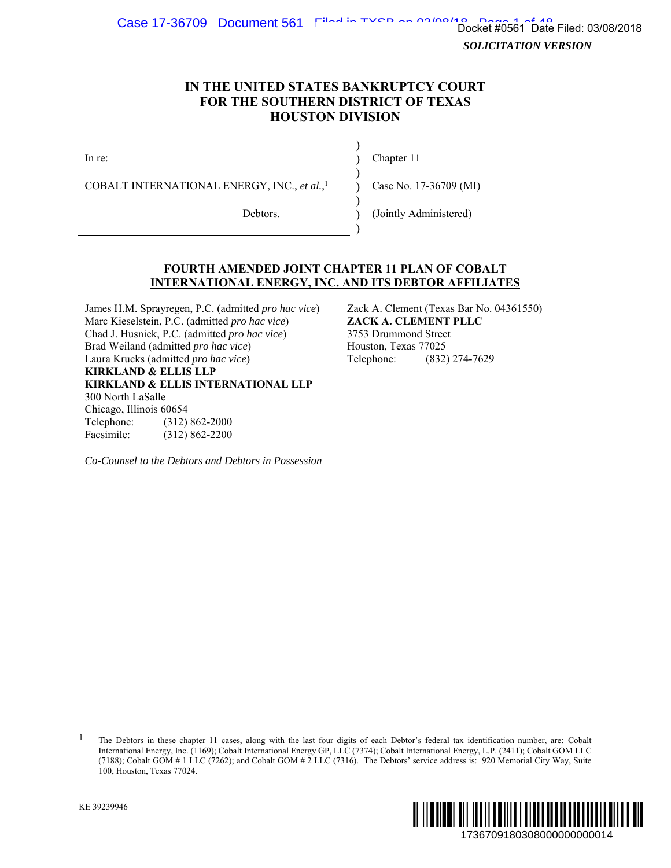Case 17-36709 Document 561 Filed in TYCR on 03/08/19  $\frac{1}{2}$  Docket  $\frac{2}{3}$  To  $\frac{4}{3}$  Docket  $\frac{4}{3}$ 

*SOLICITATION VERSION* 

## **IN THE UNITED STATES BANKRUPTCY COURT FOR THE SOUTHERN DISTRICT OF TEXAS HOUSTON DIVISION**

)

)

)

)

In re: (a) Chapter 11

COBALT INTERNATIONAL ENERGY, INC., *et al.*,

) Case No. 17-36709 (MI)

Debtors. (Jointly Administered)

## **FOURTH AMENDED JOINT CHAPTER 11 PLAN OF COBALT INTERNATIONAL ENERGY, INC. AND ITS DEBTOR AFFILIATES**

James H.M. Sprayregen, P.C. (admitted *pro hac vice*) Zack A. Clement (Texas Bar No. 04361550) Marc Kieselstein, P.C. (admitted *pro hac vice*) **ZACK A. CLEMENT PLLC** Chad J. Husnick, P.C. (admitted *pro hac vice*) 3753 Drummond Street Brad Weiland (admitted *pro hac vice*) Houston, Texas 77025 Laura Krucks (admitted *pro hac vice*) Telephone: (832) 274-7629 **KIRKLAND & ELLIS LLP KIRKLAND & ELLIS INTERNATIONAL LLP**  300 North LaSalle Chicago, Illinois 60654 Telephone: (312) 862-2000 Facsimile: (312) 862-2200

*Co-Counsel to the Debtors and Debtors in Possession*

<sup>&</sup>lt;sup>1</sup> The Debtors in these chapter 11 cases, along with the last four digits of each Debtor's federal tax identification number, are: Cobalt International Energy, Inc. (1169); Cobalt International Energy GP, LLC (7374); Cobalt International Energy, L.P. (2411); Cobalt GOM LLC (7188); Cobalt GOM # 1 LLC (7262); and Cobalt GOM # 2 LLC (7316). The Debtors' service address is: 920 Memorial City Way, Suite 100, Houston, Texas 77024.



-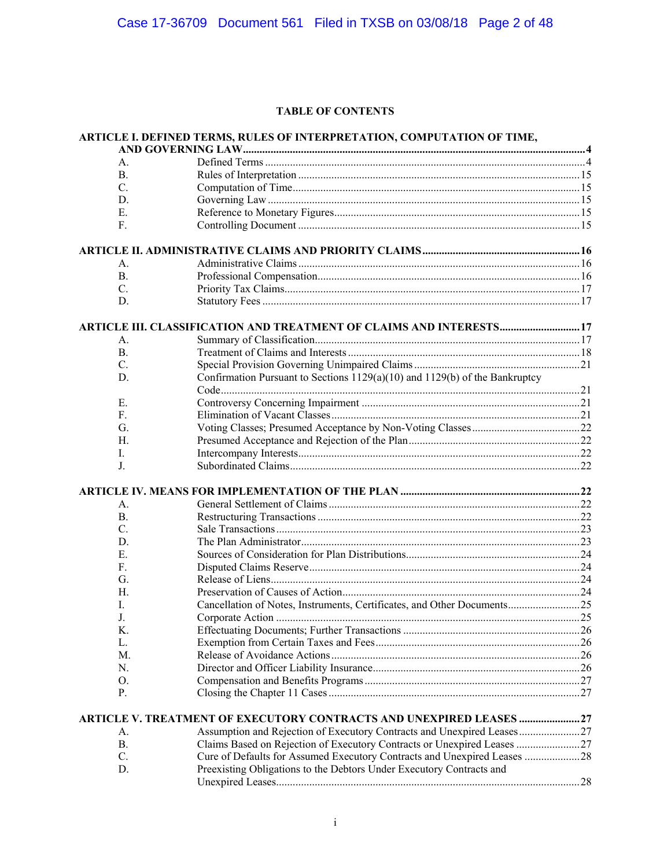## **TABLE OF CONTENTS**

|                 | ARTICLE I. DEFINED TERMS, RULES OF INTERPRETATION, COMPUTATION OF TIME,         |  |
|-----------------|---------------------------------------------------------------------------------|--|
|                 |                                                                                 |  |
| A.<br><b>B.</b> |                                                                                 |  |
|                 |                                                                                 |  |
| $\mathbf{C}$ .  |                                                                                 |  |
| D.              |                                                                                 |  |
| Е.              |                                                                                 |  |
| F.              |                                                                                 |  |
|                 |                                                                                 |  |
| А.              |                                                                                 |  |
| <b>B.</b>       |                                                                                 |  |
| $C_{\cdot}$     |                                                                                 |  |
| D.              |                                                                                 |  |
|                 | ARTICLE III. CLASSIFICATION AND TREATMENT OF CLAIMS AND INTERESTS 17            |  |
| А.              |                                                                                 |  |
| В.              |                                                                                 |  |
| $\mathbf{C}$ .  |                                                                                 |  |
| D.              | Confirmation Pursuant to Sections $1129(a)(10)$ and $1129(b)$ of the Bankruptcy |  |
| Е.              |                                                                                 |  |
| $F_{\cdot}$     |                                                                                 |  |
| G.              |                                                                                 |  |
| Н.              |                                                                                 |  |
| I.              |                                                                                 |  |
| J.              |                                                                                 |  |
|                 |                                                                                 |  |
|                 |                                                                                 |  |
| Α.              |                                                                                 |  |
| <b>B.</b>       |                                                                                 |  |
| $\mathbf{C}$ .  |                                                                                 |  |
| D.              |                                                                                 |  |
| Е.              |                                                                                 |  |
| F.              |                                                                                 |  |
| G.              |                                                                                 |  |
| Н.              |                                                                                 |  |
| I.              | Cancellation of Notes, Instruments, Certificates, and Other Documents 25        |  |
| J.              |                                                                                 |  |
| Κ.              |                                                                                 |  |
| L.              |                                                                                 |  |
| М.              |                                                                                 |  |
| N.              |                                                                                 |  |
| О.              |                                                                                 |  |
| Р.              |                                                                                 |  |
|                 | ARTICLE V. TREATMENT OF EXECUTORY CONTRACTS AND UNEXPIRED LEASES ?              |  |
| А.              | Assumption and Rejection of Executory Contracts and Unexpired Leases27          |  |
| В.              | Claims Based on Rejection of Executory Contracts or Unexpired Leases            |  |
| C.              | Cure of Defaults for Assumed Executory Contracts and Unexpired Leases 28        |  |
| D.              | Preexisting Obligations to the Debtors Under Executory Contracts and            |  |
|                 |                                                                                 |  |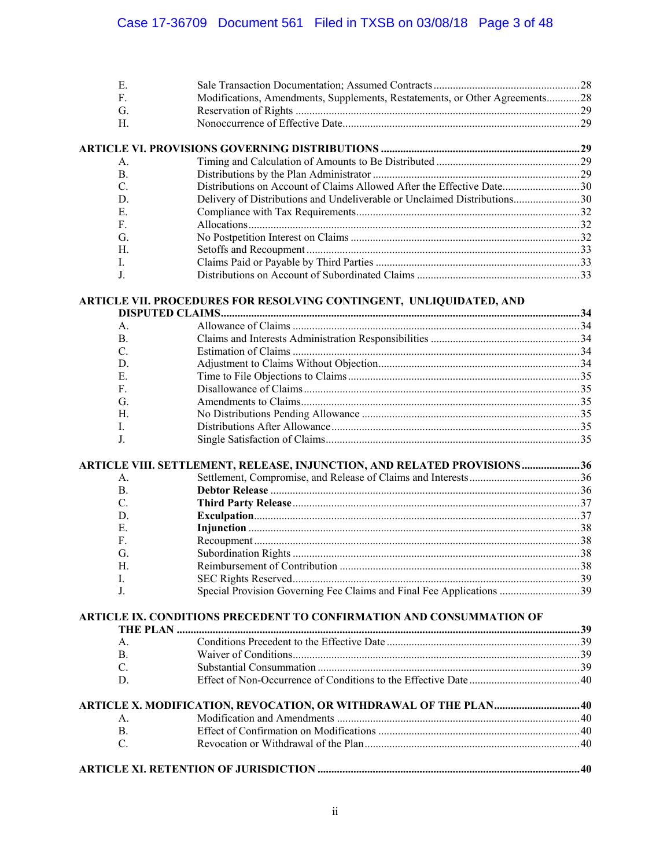| E. |                                                                             |  |
|----|-----------------------------------------------------------------------------|--|
| F. | Modifications, Amendments, Supplements, Restatements, or Other Agreements28 |  |
| G. |                                                                             |  |
| Н. |                                                                             |  |
|    |                                                                             |  |
|    |                                                                             |  |
| А. |                                                                             |  |
| В. |                                                                             |  |
| C. | Distributions on Account of Claims Allowed After the Effective Date30       |  |

| - E.         |  |
|--------------|--|
| $\mathbf{F}$ |  |
|              |  |
| H.           |  |
| $\mathbf{L}$ |  |
| $J_{\cdot}$  |  |

## **ARTICLE VII. PROCEDURES FOR RESOLVING CONTINGENT, UNLIQUIDATED, AND**

| A <sub>1</sub>  |                                                                         |  |
|-----------------|-------------------------------------------------------------------------|--|
| $\mathbf{B}$ .  |                                                                         |  |
| $\mathcal{C}$   |                                                                         |  |
| D.              |                                                                         |  |
| E.              |                                                                         |  |
| F.              |                                                                         |  |
| G.              |                                                                         |  |
| Н.              |                                                                         |  |
| L.              |                                                                         |  |
|                 |                                                                         |  |
| J.              |                                                                         |  |
| A.              | ARTICLE VIII. SETTLEMENT, RELEASE, INJUNCTION, AND RELATED PROVISIONS36 |  |
| <b>B.</b>       |                                                                         |  |
| $\mathcal{C}$ . |                                                                         |  |
| D.              |                                                                         |  |
| E.              |                                                                         |  |
| F.              |                                                                         |  |
| G.              |                                                                         |  |
| Н.              |                                                                         |  |
| I.              |                                                                         |  |

| ARTICLE IX. CONDITIONS PRECEDENT TO CONFIRMATION AND CONSUMMATION OF |  |  |
|----------------------------------------------------------------------|--|--|
|                                                                      |  |  |
|                                                                      |  |  |
| R.                                                                   |  |  |

| $A_{1}$       |  |
|---------------|--|
| B.            |  |
| $\mathcal{C}$ |  |
|               |  |
|               |  |

C. Substantial Consummation ............................................................................................... 39

# **ARTICLE XI. RETENTION OF JURISDICTION ............................................................................................... 40**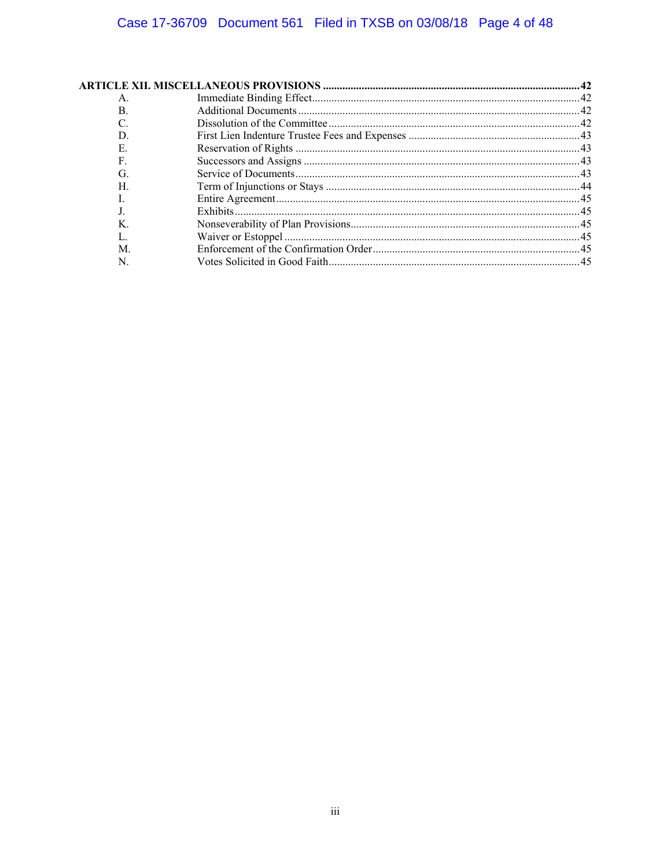| A. |  |
|----|--|
| B. |  |
|    |  |
|    |  |
| E. |  |
| F  |  |
| G. |  |
| H  |  |
|    |  |
|    |  |
|    |  |
|    |  |
| М  |  |
| N  |  |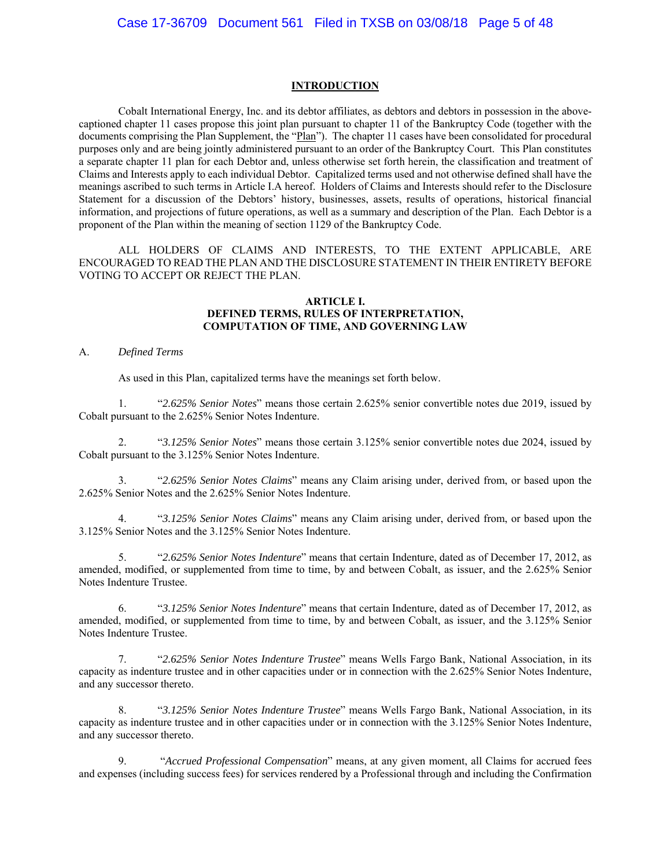#### **INTRODUCTION**

Cobalt International Energy, Inc. and its debtor affiliates, as debtors and debtors in possession in the abovecaptioned chapter 11 cases propose this joint plan pursuant to chapter 11 of the Bankruptcy Code (together with the documents comprising the Plan Supplement, the "Plan"). The chapter 11 cases have been consolidated for procedural purposes only and are being jointly administered pursuant to an order of the Bankruptcy Court. This Plan constitutes a separate chapter 11 plan for each Debtor and, unless otherwise set forth herein, the classification and treatment of Claims and Interests apply to each individual Debtor. Capitalized terms used and not otherwise defined shall have the meanings ascribed to such terms in Article I.A hereof. Holders of Claims and Interests should refer to the Disclosure Statement for a discussion of the Debtors' history, businesses, assets, results of operations, historical financial information, and projections of future operations, as well as a summary and description of the Plan. Each Debtor is a proponent of the Plan within the meaning of section 1129 of the Bankruptcy Code.

ALL HOLDERS OF CLAIMS AND INTERESTS, TO THE EXTENT APPLICABLE, ARE ENCOURAGED TO READ THE PLAN AND THE DISCLOSURE STATEMENT IN THEIR ENTIRETY BEFORE VOTING TO ACCEPT OR REJECT THE PLAN.

### **ARTICLE I. DEFINED TERMS, RULES OF INTERPRETATION, COMPUTATION OF TIME, AND GOVERNING LAW**

#### A. *Defined Terms*

As used in this Plan, capitalized terms have the meanings set forth below.

1. "*2.625% Senior Notes*" means those certain 2.625% senior convertible notes due 2019, issued by Cobalt pursuant to the 2.625% Senior Notes Indenture.

2. "*3.125% Senior Notes*" means those certain 3.125% senior convertible notes due 2024, issued by Cobalt pursuant to the 3.125% Senior Notes Indenture.

3. "*2.625% Senior Notes Claims*" means any Claim arising under, derived from, or based upon the 2.625% Senior Notes and the 2.625% Senior Notes Indenture.

4. "*3.125% Senior Notes Claims*" means any Claim arising under, derived from, or based upon the 3.125% Senior Notes and the 3.125% Senior Notes Indenture.

5. "*2.625% Senior Notes Indenture*" means that certain Indenture, dated as of December 17, 2012, as amended, modified, or supplemented from time to time, by and between Cobalt, as issuer, and the 2.625% Senior Notes Indenture Trustee.

6. "*3.125% Senior Notes Indenture*" means that certain Indenture, dated as of December 17, 2012, as amended, modified, or supplemented from time to time, by and between Cobalt, as issuer, and the 3.125% Senior Notes Indenture Trustee.

7. "*2.625% Senior Notes Indenture Trustee*" means Wells Fargo Bank, National Association, in its capacity as indenture trustee and in other capacities under or in connection with the 2.625% Senior Notes Indenture, and any successor thereto.

8. "*3.125% Senior Notes Indenture Trustee*" means Wells Fargo Bank, National Association, in its capacity as indenture trustee and in other capacities under or in connection with the 3.125% Senior Notes Indenture, and any successor thereto.

9. "*Accrued Professional Compensation*" means, at any given moment, all Claims for accrued fees and expenses (including success fees) for services rendered by a Professional through and including the Confirmation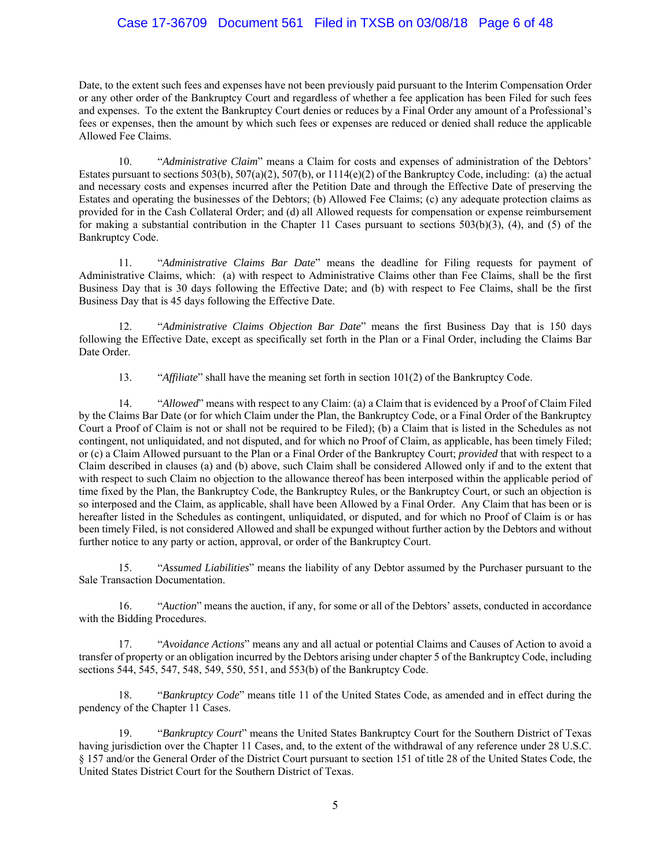## Case 17-36709 Document 561 Filed in TXSB on 03/08/18 Page 6 of 48

Date, to the extent such fees and expenses have not been previously paid pursuant to the Interim Compensation Order or any other order of the Bankruptcy Court and regardless of whether a fee application has been Filed for such fees and expenses. To the extent the Bankruptcy Court denies or reduces by a Final Order any amount of a Professional's fees or expenses, then the amount by which such fees or expenses are reduced or denied shall reduce the applicable Allowed Fee Claims.

10. "*Administrative Claim*" means a Claim for costs and expenses of administration of the Debtors' Estates pursuant to sections 503(b), 507(a)(2), 507(b), or  $1114(e)(2)$  of the Bankruptcy Code, including: (a) the actual and necessary costs and expenses incurred after the Petition Date and through the Effective Date of preserving the Estates and operating the businesses of the Debtors; (b) Allowed Fee Claims; (c) any adequate protection claims as provided for in the Cash Collateral Order; and (d) all Allowed requests for compensation or expense reimbursement for making a substantial contribution in the Chapter 11 Cases pursuant to sections  $503(b)(3)$ , (4), and (5) of the Bankruptcy Code.

11. "*Administrative Claims Bar Date*" means the deadline for Filing requests for payment of Administrative Claims, which: (a) with respect to Administrative Claims other than Fee Claims, shall be the first Business Day that is 30 days following the Effective Date; and (b) with respect to Fee Claims, shall be the first Business Day that is 45 days following the Effective Date.

12. "*Administrative Claims Objection Bar Date*" means the first Business Day that is 150 days following the Effective Date, except as specifically set forth in the Plan or a Final Order, including the Claims Bar Date Order.

13. "*Affiliate*" shall have the meaning set forth in section 101(2) of the Bankruptcy Code.

14. "*Allowed*" means with respect to any Claim: (a) a Claim that is evidenced by a Proof of Claim Filed by the Claims Bar Date (or for which Claim under the Plan, the Bankruptcy Code, or a Final Order of the Bankruptcy Court a Proof of Claim is not or shall not be required to be Filed); (b) a Claim that is listed in the Schedules as not contingent, not unliquidated, and not disputed, and for which no Proof of Claim, as applicable, has been timely Filed; or (c) a Claim Allowed pursuant to the Plan or a Final Order of the Bankruptcy Court; *provided* that with respect to a Claim described in clauses (a) and (b) above, such Claim shall be considered Allowed only if and to the extent that with respect to such Claim no objection to the allowance thereof has been interposed within the applicable period of time fixed by the Plan, the Bankruptcy Code, the Bankruptcy Rules, or the Bankruptcy Court, or such an objection is so interposed and the Claim, as applicable, shall have been Allowed by a Final Order. Any Claim that has been or is hereafter listed in the Schedules as contingent, unliquidated, or disputed, and for which no Proof of Claim is or has been timely Filed, is not considered Allowed and shall be expunged without further action by the Debtors and without further notice to any party or action, approval, or order of the Bankruptcy Court.

15. "*Assumed Liabilities*" means the liability of any Debtor assumed by the Purchaser pursuant to the Sale Transaction Documentation.

16. "*Auction*" means the auction, if any, for some or all of the Debtors' assets, conducted in accordance with the Bidding Procedures.

17. "*Avoidance Actions*" means any and all actual or potential Claims and Causes of Action to avoid a transfer of property or an obligation incurred by the Debtors arising under chapter 5 of the Bankruptcy Code, including sections 544, 545, 547, 548, 549, 550, 551, and 553(b) of the Bankruptcy Code.

18. "*Bankruptcy Code*" means title 11 of the United States Code, as amended and in effect during the pendency of the Chapter 11 Cases.

19. "*Bankruptcy Court*" means the United States Bankruptcy Court for the Southern District of Texas having jurisdiction over the Chapter 11 Cases, and, to the extent of the withdrawal of any reference under 28 U.S.C. § 157 and/or the General Order of the District Court pursuant to section 151 of title 28 of the United States Code, the United States District Court for the Southern District of Texas.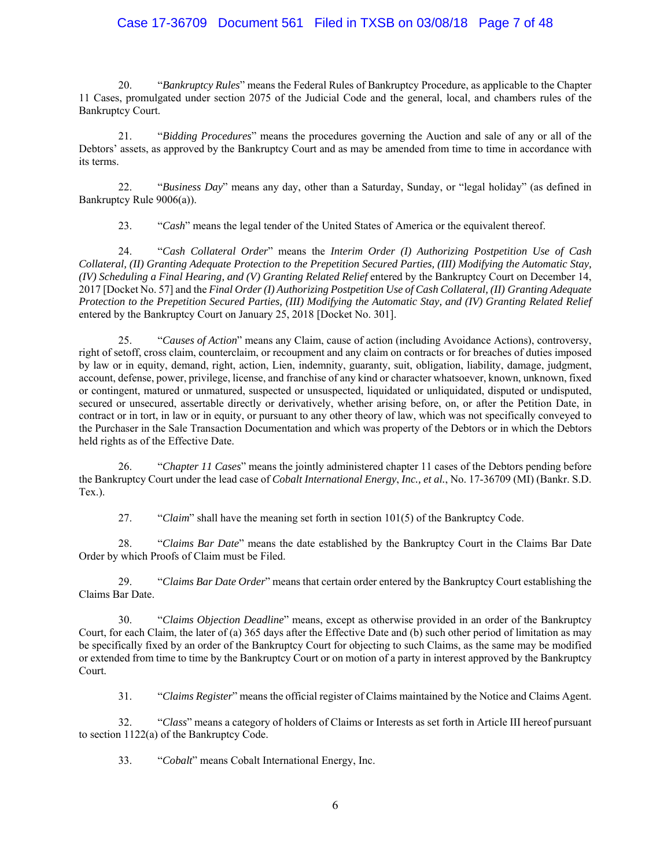## Case 17-36709 Document 561 Filed in TXSB on 03/08/18 Page 7 of 48

20. "*Bankruptcy Rules*" means the Federal Rules of Bankruptcy Procedure, as applicable to the Chapter 11 Cases, promulgated under section 2075 of the Judicial Code and the general, local, and chambers rules of the Bankruptcy Court.

21. "*Bidding Procedures*" means the procedures governing the Auction and sale of any or all of the Debtors' assets, as approved by the Bankruptcy Court and as may be amended from time to time in accordance with its terms.

22. "*Business Day*" means any day, other than a Saturday, Sunday, or "legal holiday" (as defined in Bankruptcy Rule 9006(a)).

23. "*Cash*" means the legal tender of the United States of America or the equivalent thereof.

24. "*Cash Collateral Order*" means the *Interim Order (I) Authorizing Postpetition Use of Cash Collateral, (II) Granting Adequate Protection to the Prepetition Secured Parties, (III) Modifying the Automatic Stay, (IV) Scheduling a Final Hearing, and (V) Granting Related Relief* entered by the Bankruptcy Court on December 14, 2017 [Docket No. 57] and the *Final Order (I) Authorizing Postpetition Use of Cash Collateral, (II) Granting Adequate Protection to the Prepetition Secured Parties, (III) Modifying the Automatic Stay, and (IV) Granting Related Relief*  entered by the Bankruptcy Court on January 25, 2018 [Docket No. 301].

25. "*Causes of Action*" means any Claim, cause of action (including Avoidance Actions), controversy, right of setoff, cross claim, counterclaim, or recoupment and any claim on contracts or for breaches of duties imposed by law or in equity, demand, right, action, Lien, indemnity, guaranty, suit, obligation, liability, damage, judgment, account, defense, power, privilege, license, and franchise of any kind or character whatsoever, known, unknown, fixed or contingent, matured or unmatured, suspected or unsuspected, liquidated or unliquidated, disputed or undisputed, secured or unsecured, assertable directly or derivatively, whether arising before, on, or after the Petition Date, in contract or in tort, in law or in equity, or pursuant to any other theory of law, which was not specifically conveyed to the Purchaser in the Sale Transaction Documentation and which was property of the Debtors or in which the Debtors held rights as of the Effective Date.

26. "*Chapter 11 Cases*" means the jointly administered chapter 11 cases of the Debtors pending before the Bankruptcy Court under the lead case of *Cobalt International Energy*, *Inc., et al.*, No. 17-36709 (MI) (Bankr. S.D. Tex.).

27. "*Claim*" shall have the meaning set forth in section 101(5) of the Bankruptcy Code.

28. "*Claims Bar Date*" means the date established by the Bankruptcy Court in the Claims Bar Date Order by which Proofs of Claim must be Filed.

29. "*Claims Bar Date Order*" means that certain order entered by the Bankruptcy Court establishing the Claims Bar Date.

30. "*Claims Objection Deadline*" means, except as otherwise provided in an order of the Bankruptcy Court, for each Claim, the later of (a) 365 days after the Effective Date and (b) such other period of limitation as may be specifically fixed by an order of the Bankruptcy Court for objecting to such Claims, as the same may be modified or extended from time to time by the Bankruptcy Court or on motion of a party in interest approved by the Bankruptcy Court.

31. "*Claims Register*" means the official register of Claims maintained by the Notice and Claims Agent.

32. "*Class*" means a category of holders of Claims or Interests as set forth in Article III hereof pursuant to section 1122(a) of the Bankruptcy Code.

33. "*Cobalt*" means Cobalt International Energy, Inc.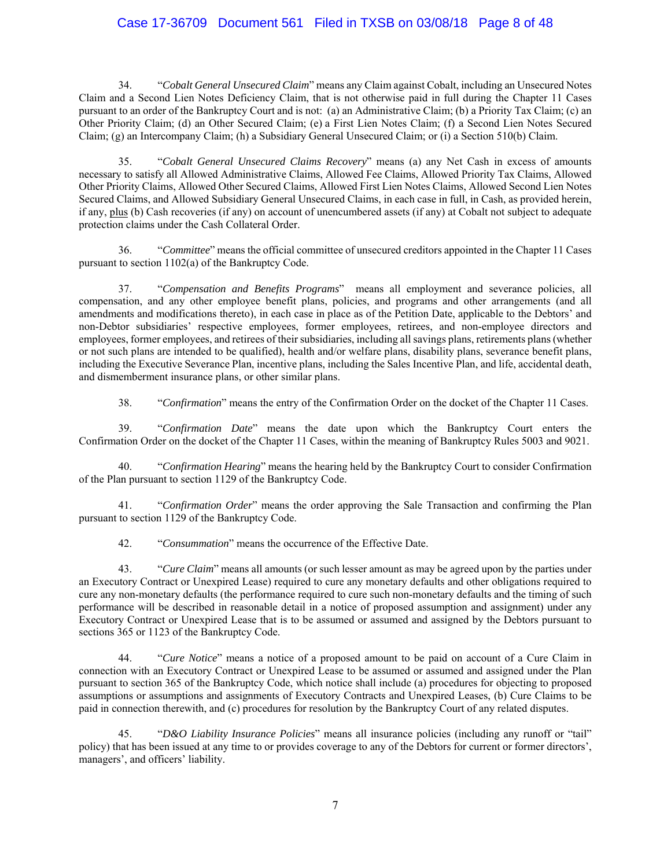## Case 17-36709 Document 561 Filed in TXSB on 03/08/18 Page 8 of 48

34. "*Cobalt General Unsecured Claim*" means any Claim against Cobalt, including an Unsecured Notes Claim and a Second Lien Notes Deficiency Claim, that is not otherwise paid in full during the Chapter 11 Cases pursuant to an order of the Bankruptcy Court and is not: (a) an Administrative Claim; (b) a Priority Tax Claim; (c) an Other Priority Claim; (d) an Other Secured Claim; (e) a First Lien Notes Claim; (f) a Second Lien Notes Secured Claim; (g) an Intercompany Claim; (h) a Subsidiary General Unsecured Claim; or (i) a Section 510(b) Claim.

35. "*Cobalt General Unsecured Claims Recovery*" means (a) any Net Cash in excess of amounts necessary to satisfy all Allowed Administrative Claims, Allowed Fee Claims, Allowed Priority Tax Claims, Allowed Other Priority Claims, Allowed Other Secured Claims, Allowed First Lien Notes Claims, Allowed Second Lien Notes Secured Claims, and Allowed Subsidiary General Unsecured Claims, in each case in full, in Cash, as provided herein, if any, plus (b) Cash recoveries (if any) on account of unencumbered assets (if any) at Cobalt not subject to adequate protection claims under the Cash Collateral Order.

36. "*Committee*" means the official committee of unsecured creditors appointed in the Chapter 11 Cases pursuant to section 1102(a) of the Bankruptcy Code.

37. "*Compensation and Benefits Programs*" means all employment and severance policies, all compensation, and any other employee benefit plans, policies, and programs and other arrangements (and all amendments and modifications thereto), in each case in place as of the Petition Date, applicable to the Debtors' and non-Debtor subsidiaries' respective employees, former employees, retirees, and non-employee directors and employees, former employees, and retirees of their subsidiaries, including all savings plans, retirements plans (whether or not such plans are intended to be qualified), health and/or welfare plans, disability plans, severance benefit plans, including the Executive Severance Plan, incentive plans, including the Sales Incentive Plan, and life, accidental death, and dismemberment insurance plans, or other similar plans.

38. "*Confirmation*" means the entry of the Confirmation Order on the docket of the Chapter 11 Cases.

39. "*Confirmation Date*" means the date upon which the Bankruptcy Court enters the Confirmation Order on the docket of the Chapter 11 Cases, within the meaning of Bankruptcy Rules 5003 and 9021.

40. "*Confirmation Hearing*" means the hearing held by the Bankruptcy Court to consider Confirmation of the Plan pursuant to section 1129 of the Bankruptcy Code.

41. "*Confirmation Order*" means the order approving the Sale Transaction and confirming the Plan pursuant to section 1129 of the Bankruptcy Code.

42. "*Consummation*" means the occurrence of the Effective Date.

43. "*Cure Claim*" means all amounts (or such lesser amount as may be agreed upon by the parties under an Executory Contract or Unexpired Lease) required to cure any monetary defaults and other obligations required to cure any non-monetary defaults (the performance required to cure such non-monetary defaults and the timing of such performance will be described in reasonable detail in a notice of proposed assumption and assignment) under any Executory Contract or Unexpired Lease that is to be assumed or assumed and assigned by the Debtors pursuant to sections 365 or 1123 of the Bankruptcy Code.

44. "*Cure Notice*" means a notice of a proposed amount to be paid on account of a Cure Claim in connection with an Executory Contract or Unexpired Lease to be assumed or assumed and assigned under the Plan pursuant to section 365 of the Bankruptcy Code, which notice shall include (a) procedures for objecting to proposed assumptions or assumptions and assignments of Executory Contracts and Unexpired Leases, (b) Cure Claims to be paid in connection therewith, and (c) procedures for resolution by the Bankruptcy Court of any related disputes.

45. "*D&O Liability Insurance Policies*" means all insurance policies (including any runoff or "tail" policy) that has been issued at any time to or provides coverage to any of the Debtors for current or former directors', managers', and officers' liability.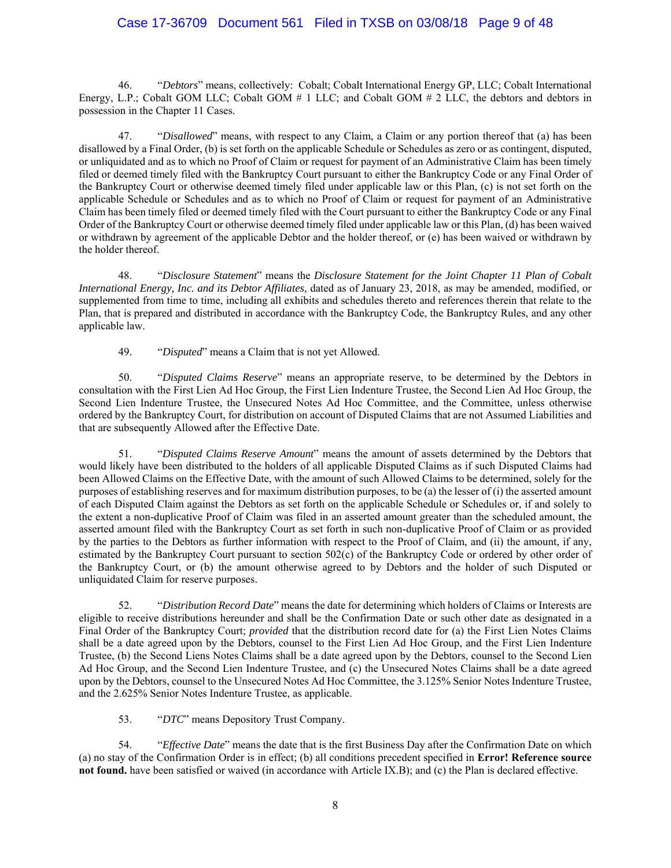## Case 17-36709 Document 561 Filed in TXSB on 03/08/18 Page 9 of 48

46. "*Debtors*" means, collectively: Cobalt; Cobalt International Energy GP, LLC; Cobalt International Energy, L.P.; Cobalt GOM LLC; Cobalt GOM # 1 LLC; and Cobalt GOM # 2 LLC, the debtors and debtors in possession in the Chapter 11 Cases.

47. "*Disallowed*" means, with respect to any Claim, a Claim or any portion thereof that (a) has been disallowed by a Final Order, (b) is set forth on the applicable Schedule or Schedules as zero or as contingent, disputed, or unliquidated and as to which no Proof of Claim or request for payment of an Administrative Claim has been timely filed or deemed timely filed with the Bankruptcy Court pursuant to either the Bankruptcy Code or any Final Order of the Bankruptcy Court or otherwise deemed timely filed under applicable law or this Plan, (c) is not set forth on the applicable Schedule or Schedules and as to which no Proof of Claim or request for payment of an Administrative Claim has been timely filed or deemed timely filed with the Court pursuant to either the Bankruptcy Code or any Final Order of the Bankruptcy Court or otherwise deemed timely filed under applicable law or this Plan, (d) has been waived or withdrawn by agreement of the applicable Debtor and the holder thereof, or (e) has been waived or withdrawn by the holder thereof.

48. "*Disclosure Statement*" means the *Disclosure Statement for the Joint Chapter 11 Plan of Cobalt International Energy, Inc. and its Debtor Affiliates*, dated as of January 23, 2018, as may be amended, modified, or supplemented from time to time, including all exhibits and schedules thereto and references therein that relate to the Plan, that is prepared and distributed in accordance with the Bankruptcy Code, the Bankruptcy Rules, and any other applicable law.

49. "*Disputed*" means a Claim that is not yet Allowed.

50. "*Disputed Claims Reserve*" means an appropriate reserve, to be determined by the Debtors in consultation with the First Lien Ad Hoc Group, the First Lien Indenture Trustee, the Second Lien Ad Hoc Group, the Second Lien Indenture Trustee, the Unsecured Notes Ad Hoc Committee, and the Committee, unless otherwise ordered by the Bankruptcy Court, for distribution on account of Disputed Claims that are not Assumed Liabilities and that are subsequently Allowed after the Effective Date.

51. "*Disputed Claims Reserve Amount*" means the amount of assets determined by the Debtors that would likely have been distributed to the holders of all applicable Disputed Claims as if such Disputed Claims had been Allowed Claims on the Effective Date, with the amount of such Allowed Claims to be determined, solely for the purposes of establishing reserves and for maximum distribution purposes, to be (a) the lesser of (i) the asserted amount of each Disputed Claim against the Debtors as set forth on the applicable Schedule or Schedules or, if and solely to the extent a non-duplicative Proof of Claim was filed in an asserted amount greater than the scheduled amount, the asserted amount filed with the Bankruptcy Court as set forth in such non-duplicative Proof of Claim or as provided by the parties to the Debtors as further information with respect to the Proof of Claim, and (ii) the amount, if any, estimated by the Bankruptcy Court pursuant to section 502(c) of the Bankruptcy Code or ordered by other order of the Bankruptcy Court, or (b) the amount otherwise agreed to by Debtors and the holder of such Disputed or unliquidated Claim for reserve purposes.

52. "*Distribution Record Date*" means the date for determining which holders of Claims or Interests are eligible to receive distributions hereunder and shall be the Confirmation Date or such other date as designated in a Final Order of the Bankruptcy Court; *provided* that the distribution record date for (a) the First Lien Notes Claims shall be a date agreed upon by the Debtors, counsel to the First Lien Ad Hoc Group, and the First Lien Indenture Trustee, (b) the Second Liens Notes Claims shall be a date agreed upon by the Debtors, counsel to the Second Lien Ad Hoc Group, and the Second Lien Indenture Trustee, and (c) the Unsecured Notes Claims shall be a date agreed upon by the Debtors, counsel to the Unsecured Notes Ad Hoc Committee, the 3.125% Senior Notes Indenture Trustee, and the 2.625% Senior Notes Indenture Trustee, as applicable.

53. "*DTC*" means Depository Trust Company.

54. "*Effective Date*" means the date that is the first Business Day after the Confirmation Date on which (a) no stay of the Confirmation Order is in effect; (b) all conditions precedent specified in **Error! Reference source not found.** have been satisfied or waived (in accordance with Article IX.B); and (c) the Plan is declared effective.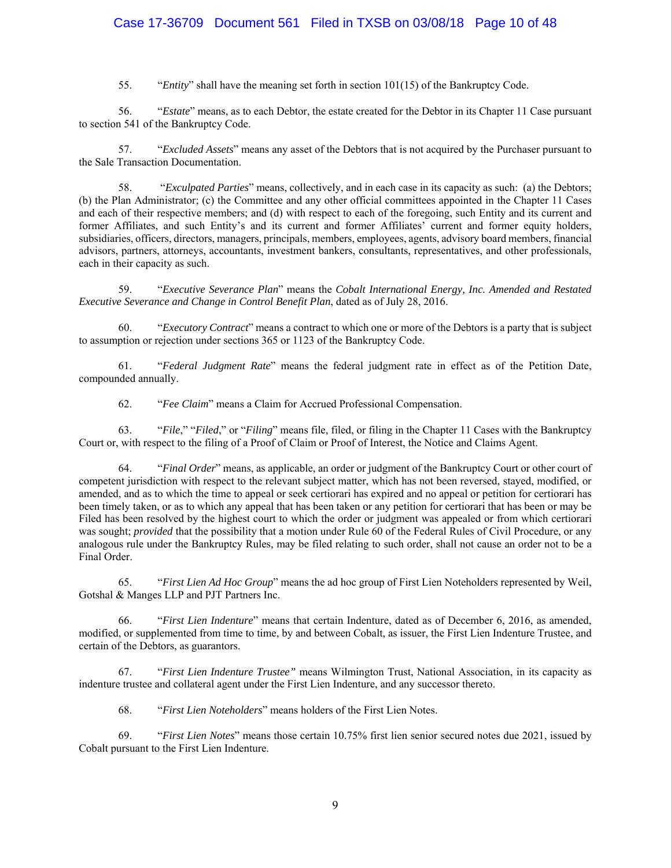## Case 17-36709 Document 561 Filed in TXSB on 03/08/18 Page 10 of 48

55. "*Entity*" shall have the meaning set forth in section 101(15) of the Bankruptcy Code.

56. "*Estate*" means, as to each Debtor, the estate created for the Debtor in its Chapter 11 Case pursuant to section 541 of the Bankruptcy Code.

57. "*Excluded Assets*" means any asset of the Debtors that is not acquired by the Purchaser pursuant to the Sale Transaction Documentation.

58. "*Exculpated Parties*" means, collectively, and in each case in its capacity as such: (a) the Debtors; (b) the Plan Administrator; (c) the Committee and any other official committees appointed in the Chapter 11 Cases and each of their respective members; and (d) with respect to each of the foregoing, such Entity and its current and former Affiliates, and such Entity's and its current and former Affiliates' current and former equity holders, subsidiaries, officers, directors, managers, principals, members, employees, agents, advisory board members, financial advisors, partners, attorneys, accountants, investment bankers, consultants, representatives, and other professionals, each in their capacity as such.

59. "*Executive Severance Plan*" means the *Cobalt International Energy, Inc. Amended and Restated Executive Severance and Change in Control Benefit Plan*, dated as of July 28, 2016.

60. "*Executory Contract*" means a contract to which one or more of the Debtors is a party that is subject to assumption or rejection under sections 365 or 1123 of the Bankruptcy Code.

61. "*Federal Judgment Rate*" means the federal judgment rate in effect as of the Petition Date, compounded annually.

62. "*Fee Claim*" means a Claim for Accrued Professional Compensation.

63. "*File*," "*Filed*," or "*Filing*" means file, filed, or filing in the Chapter 11 Cases with the Bankruptcy Court or, with respect to the filing of a Proof of Claim or Proof of Interest, the Notice and Claims Agent.

64. "*Final Order*" means, as applicable, an order or judgment of the Bankruptcy Court or other court of competent jurisdiction with respect to the relevant subject matter, which has not been reversed, stayed, modified, or amended, and as to which the time to appeal or seek certiorari has expired and no appeal or petition for certiorari has been timely taken, or as to which any appeal that has been taken or any petition for certiorari that has been or may be Filed has been resolved by the highest court to which the order or judgment was appealed or from which certiorari was sought; *provided* that the possibility that a motion under Rule 60 of the Federal Rules of Civil Procedure, or any analogous rule under the Bankruptcy Rules, may be filed relating to such order, shall not cause an order not to be a Final Order.

65. "*First Lien Ad Hoc Group*" means the ad hoc group of First Lien Noteholders represented by Weil, Gotshal & Manges LLP and PJT Partners Inc.

66. "*First Lien Indenture*" means that certain Indenture, dated as of December 6, 2016, as amended, modified, or supplemented from time to time, by and between Cobalt, as issuer, the First Lien Indenture Trustee, and certain of the Debtors, as guarantors.

67. "*First Lien Indenture Trustee"* means Wilmington Trust, National Association, in its capacity as indenture trustee and collateral agent under the First Lien Indenture, and any successor thereto.

68. "*First Lien Noteholders*" means holders of the First Lien Notes.

69. "*First Lien Notes*" means those certain 10.75% first lien senior secured notes due 2021, issued by Cobalt pursuant to the First Lien Indenture.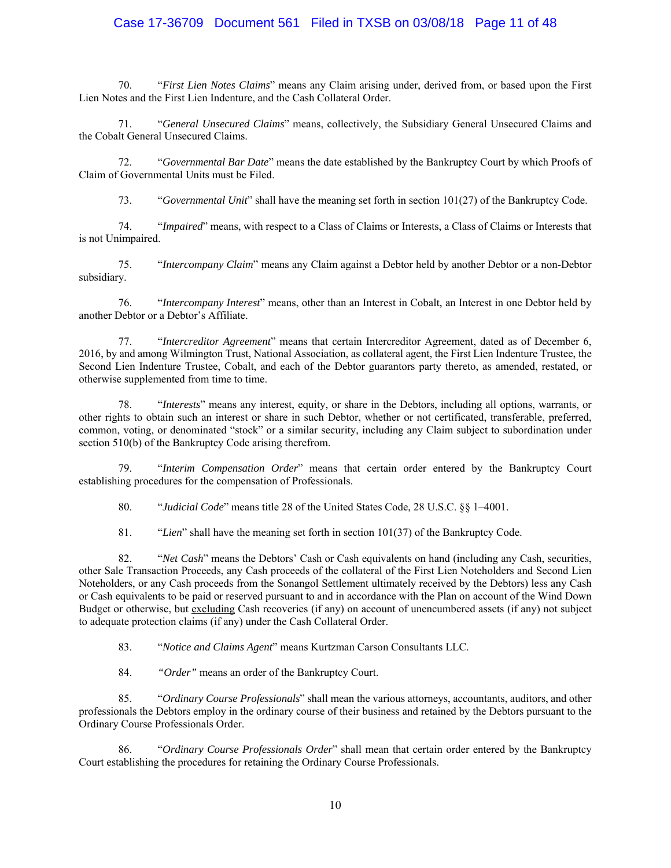## Case 17-36709 Document 561 Filed in TXSB on 03/08/18 Page 11 of 48

70. "*First Lien Notes Claims*" means any Claim arising under, derived from, or based upon the First Lien Notes and the First Lien Indenture, and the Cash Collateral Order.

71. "*General Unsecured Claims*" means, collectively, the Subsidiary General Unsecured Claims and the Cobalt General Unsecured Claims.

72. "*Governmental Bar Date*" means the date established by the Bankruptcy Court by which Proofs of Claim of Governmental Units must be Filed.

73. "*Governmental Unit*" shall have the meaning set forth in section 101(27) of the Bankruptcy Code.

74. "*Impaired*" means, with respect to a Class of Claims or Interests, a Class of Claims or Interests that is not Unimpaired.

75. "*Intercompany Claim*" means any Claim against a Debtor held by another Debtor or a non-Debtor subsidiary.

76. "*Intercompany Interest*" means, other than an Interest in Cobalt, an Interest in one Debtor held by another Debtor or a Debtor's Affiliate.

77. "*Intercreditor Agreement*" means that certain Intercreditor Agreement, dated as of December 6, 2016, by and among Wilmington Trust, National Association, as collateral agent, the First Lien Indenture Trustee, the Second Lien Indenture Trustee, Cobalt, and each of the Debtor guarantors party thereto, as amended, restated, or otherwise supplemented from time to time.

78. "*Interests*" means any interest, equity, or share in the Debtors, including all options, warrants, or other rights to obtain such an interest or share in such Debtor, whether or not certificated, transferable, preferred, common, voting, or denominated "stock" or a similar security, including any Claim subject to subordination under section 510(b) of the Bankruptcy Code arising therefrom.

79. "*Interim Compensation Order*" means that certain order entered by the Bankruptcy Court establishing procedures for the compensation of Professionals.

80. "*Judicial Code*" means title 28 of the United States Code, 28 U.S.C. §§ 1–4001.

81. "*Lien*" shall have the meaning set forth in section 101(37) of the Bankruptcy Code.

82. "*Net Cash*" means the Debtors' Cash or Cash equivalents on hand (including any Cash, securities, other Sale Transaction Proceeds, any Cash proceeds of the collateral of the First Lien Noteholders and Second Lien Noteholders, or any Cash proceeds from the Sonangol Settlement ultimately received by the Debtors) less any Cash or Cash equivalents to be paid or reserved pursuant to and in accordance with the Plan on account of the Wind Down Budget or otherwise, but excluding Cash recoveries (if any) on account of unencumbered assets (if any) not subject to adequate protection claims (if any) under the Cash Collateral Order.

83. "*Notice and Claims Agent*" means Kurtzman Carson Consultants LLC.

84. *"Order"* means an order of the Bankruptcy Court.

85. "*Ordinary Course Professionals*" shall mean the various attorneys, accountants, auditors, and other professionals the Debtors employ in the ordinary course of their business and retained by the Debtors pursuant to the Ordinary Course Professionals Order.

86. "*Ordinary Course Professionals Order*" shall mean that certain order entered by the Bankruptcy Court establishing the procedures for retaining the Ordinary Course Professionals.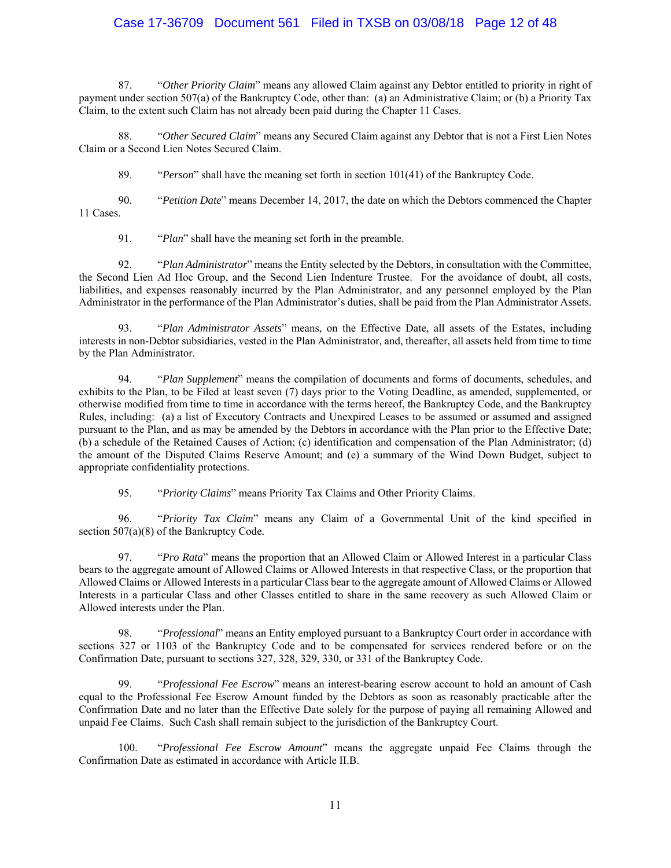## Case 17-36709 Document 561 Filed in TXSB on 03/08/18 Page 12 of 48

87. "*Other Priority Claim*" means any allowed Claim against any Debtor entitled to priority in right of payment under section 507(a) of the Bankruptcy Code, other than: (a) an Administrative Claim; or (b) a Priority Tax Claim, to the extent such Claim has not already been paid during the Chapter 11 Cases.

88. "*Other Secured Claim*" means any Secured Claim against any Debtor that is not a First Lien Notes Claim or a Second Lien Notes Secured Claim.

89. "*Person*" shall have the meaning set forth in section 101(41) of the Bankruptcy Code.

90. "*Petition Date*" means December 14, 2017, the date on which the Debtors commenced the Chapter 11 Cases.

91. "*Plan*" shall have the meaning set forth in the preamble.

92. "*Plan Administrator*" means the Entity selected by the Debtors, in consultation with the Committee, the Second Lien Ad Hoc Group, and the Second Lien Indenture Trustee. For the avoidance of doubt, all costs, liabilities, and expenses reasonably incurred by the Plan Administrator, and any personnel employed by the Plan Administrator in the performance of the Plan Administrator's duties, shall be paid from the Plan Administrator Assets.

93. "*Plan Administrator Assets*" means, on the Effective Date, all assets of the Estates, including interests in non-Debtor subsidiaries, vested in the Plan Administrator, and, thereafter, all assets held from time to time by the Plan Administrator.

94. "*Plan Supplement*" means the compilation of documents and forms of documents, schedules, and exhibits to the Plan, to be Filed at least seven (7) days prior to the Voting Deadline, as amended, supplemented, or otherwise modified from time to time in accordance with the terms hereof, the Bankruptcy Code, and the Bankruptcy Rules, including: (a) a list of Executory Contracts and Unexpired Leases to be assumed or assumed and assigned pursuant to the Plan, and as may be amended by the Debtors in accordance with the Plan prior to the Effective Date; (b) a schedule of the Retained Causes of Action; (c) identification and compensation of the Plan Administrator; (d) the amount of the Disputed Claims Reserve Amount; and (e) a summary of the Wind Down Budget, subject to appropriate confidentiality protections.

95. "*Priority Claims*" means Priority Tax Claims and Other Priority Claims.

96. "*Priority Tax Claim*" means any Claim of a Governmental Unit of the kind specified in section 507(a)(8) of the Bankruptcy Code.

97. "*Pro Rata*" means the proportion that an Allowed Claim or Allowed Interest in a particular Class bears to the aggregate amount of Allowed Claims or Allowed Interests in that respective Class, or the proportion that Allowed Claims or Allowed Interests in a particular Class bear to the aggregate amount of Allowed Claims or Allowed Interests in a particular Class and other Classes entitled to share in the same recovery as such Allowed Claim or Allowed interests under the Plan.

98. "*Professional*" means an Entity employed pursuant to a Bankruptcy Court order in accordance with sections 327 or 1103 of the Bankruptcy Code and to be compensated for services rendered before or on the Confirmation Date, pursuant to sections 327, 328, 329, 330, or 331 of the Bankruptcy Code.

99. "*Professional Fee Escrow*" means an interest-bearing escrow account to hold an amount of Cash equal to the Professional Fee Escrow Amount funded by the Debtors as soon as reasonably practicable after the Confirmation Date and no later than the Effective Date solely for the purpose of paying all remaining Allowed and unpaid Fee Claims. Such Cash shall remain subject to the jurisdiction of the Bankruptcy Court.

100. "*Professional Fee Escrow Amount*" means the aggregate unpaid Fee Claims through the Confirmation Date as estimated in accordance with Article II.B.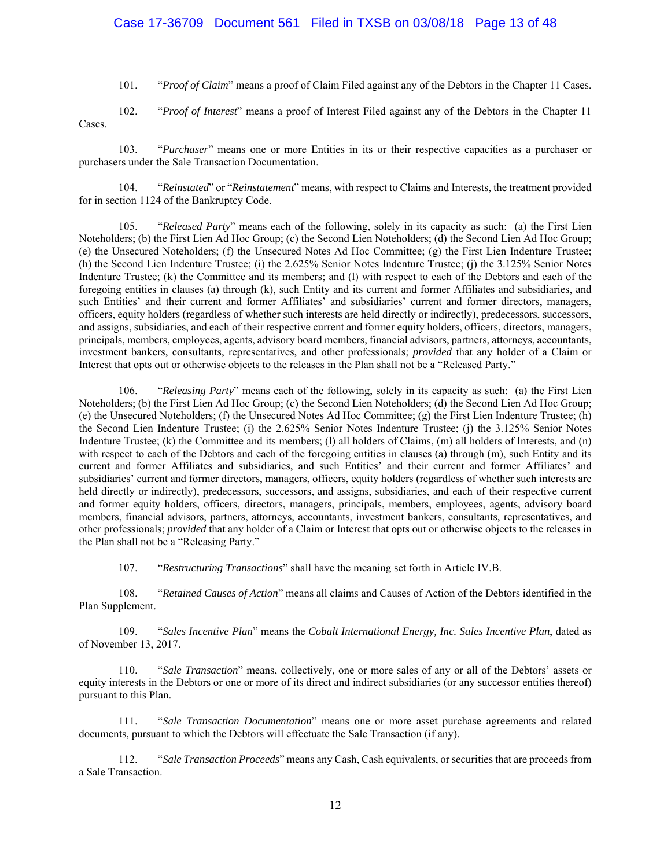## Case 17-36709 Document 561 Filed in TXSB on 03/08/18 Page 13 of 48

101. "*Proof of Claim*" means a proof of Claim Filed against any of the Debtors in the Chapter 11 Cases.

102. "*Proof of Interest*" means a proof of Interest Filed against any of the Debtors in the Chapter 11 Cases.

103. "*Purchaser*" means one or more Entities in its or their respective capacities as a purchaser or purchasers under the Sale Transaction Documentation.

104. "*Reinstated*" or "*Reinstatement*" means, with respect to Claims and Interests, the treatment provided for in section 1124 of the Bankruptcy Code.

105. "*Released Party*" means each of the following, solely in its capacity as such: (a) the First Lien Noteholders; (b) the First Lien Ad Hoc Group; (c) the Second Lien Noteholders; (d) the Second Lien Ad Hoc Group; (e) the Unsecured Noteholders; (f) the Unsecured Notes Ad Hoc Committee; (g) the First Lien Indenture Trustee; (h) the Second Lien Indenture Trustee; (i) the 2.625% Senior Notes Indenture Trustee; (j) the 3.125% Senior Notes Indenture Trustee; (k) the Committee and its members; and (l) with respect to each of the Debtors and each of the foregoing entities in clauses (a) through (k), such Entity and its current and former Affiliates and subsidiaries, and such Entities' and their current and former Affiliates' and subsidiaries' current and former directors, managers, officers, equity holders (regardless of whether such interests are held directly or indirectly), predecessors, successors, and assigns, subsidiaries, and each of their respective current and former equity holders, officers, directors, managers, principals, members, employees, agents, advisory board members, financial advisors, partners, attorneys, accountants, investment bankers, consultants, representatives, and other professionals; *provided* that any holder of a Claim or Interest that opts out or otherwise objects to the releases in the Plan shall not be a "Released Party."

106. "*Releasing Party*" means each of the following, solely in its capacity as such: (a) the First Lien Noteholders; (b) the First Lien Ad Hoc Group; (c) the Second Lien Noteholders; (d) the Second Lien Ad Hoc Group; (e) the Unsecured Noteholders; (f) the Unsecured Notes Ad Hoc Committee; (g) the First Lien Indenture Trustee; (h) the Second Lien Indenture Trustee; (i) the 2.625% Senior Notes Indenture Trustee; (j) the 3.125% Senior Notes Indenture Trustee; (k) the Committee and its members; (l) all holders of Claims, (m) all holders of Interests, and (n) with respect to each of the Debtors and each of the foregoing entities in clauses (a) through (m), such Entity and its current and former Affiliates and subsidiaries, and such Entities' and their current and former Affiliates' and subsidiaries' current and former directors, managers, officers, equity holders (regardless of whether such interests are held directly or indirectly), predecessors, successors, and assigns, subsidiaries, and each of their respective current and former equity holders, officers, directors, managers, principals, members, employees, agents, advisory board members, financial advisors, partners, attorneys, accountants, investment bankers, consultants, representatives, and other professionals; *provided* that any holder of a Claim or Interest that opts out or otherwise objects to the releases in the Plan shall not be a "Releasing Party."

107. "*Restructuring Transactions*" shall have the meaning set forth in Article IV.B.

108. "*Retained Causes of Action*" means all claims and Causes of Action of the Debtors identified in the Plan Supplement.

109. "*Sales Incentive Plan*" means the *Cobalt International Energy, Inc. Sales Incentive Plan*, dated as of November 13, 2017.

110. "*Sale Transaction*" means, collectively, one or more sales of any or all of the Debtors' assets or equity interests in the Debtors or one or more of its direct and indirect subsidiaries (or any successor entities thereof) pursuant to this Plan.

111. "*Sale Transaction Documentation*" means one or more asset purchase agreements and related documents, pursuant to which the Debtors will effectuate the Sale Transaction (if any).

112. "*Sale Transaction Proceeds*" means any Cash, Cash equivalents, or securities that are proceeds from a Sale Transaction.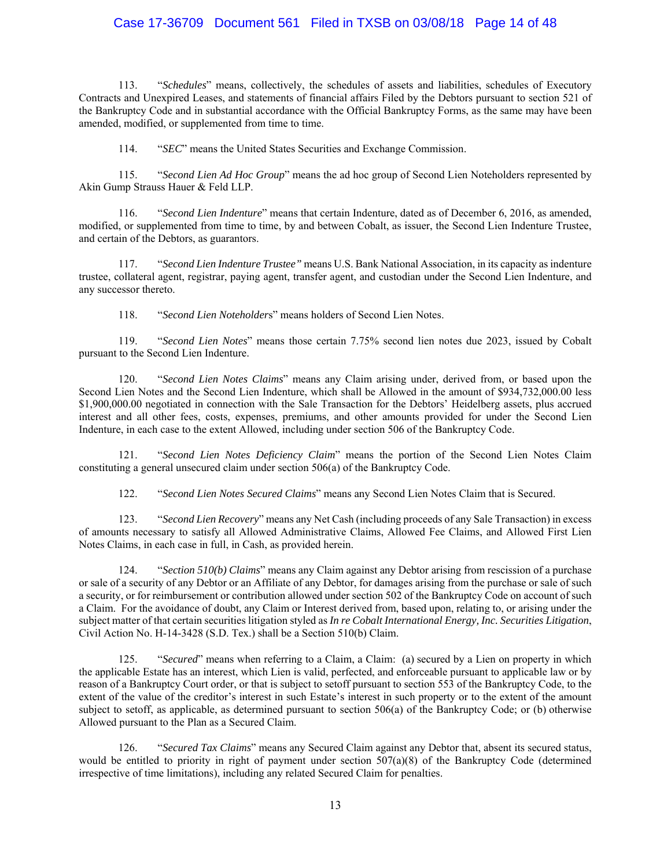## Case 17-36709 Document 561 Filed in TXSB on 03/08/18 Page 14 of 48

113. "*Schedules*" means, collectively, the schedules of assets and liabilities, schedules of Executory Contracts and Unexpired Leases, and statements of financial affairs Filed by the Debtors pursuant to section 521 of the Bankruptcy Code and in substantial accordance with the Official Bankruptcy Forms, as the same may have been amended, modified, or supplemented from time to time.

114. "*SEC*" means the United States Securities and Exchange Commission.

115. "*Second Lien Ad Hoc Group*" means the ad hoc group of Second Lien Noteholders represented by Akin Gump Strauss Hauer & Feld LLP.

116. "*Second Lien Indenture*" means that certain Indenture, dated as of December 6, 2016, as amended, modified, or supplemented from time to time, by and between Cobalt, as issuer, the Second Lien Indenture Trustee, and certain of the Debtors, as guarantors.

117. "*Second Lien Indenture Trustee"* means U.S. Bank National Association, in its capacity as indenture trustee, collateral agent, registrar, paying agent, transfer agent, and custodian under the Second Lien Indenture, and any successor thereto.

118. "*Second Lien Noteholder*s" means holders of Second Lien Notes.

119. "*Second Lien Notes*" means those certain 7.75% second lien notes due 2023, issued by Cobalt pursuant to the Second Lien Indenture.

120. "*Second Lien Notes Claims*" means any Claim arising under, derived from, or based upon the Second Lien Notes and the Second Lien Indenture, which shall be Allowed in the amount of \$934,732,000.00 less \$1,900,000.00 negotiated in connection with the Sale Transaction for the Debtors' Heidelberg assets, plus accrued interest and all other fees, costs, expenses, premiums, and other amounts provided for under the Second Lien Indenture, in each case to the extent Allowed, including under section 506 of the Bankruptcy Code.

121. "*Second Lien Notes Deficiency Claim*" means the portion of the Second Lien Notes Claim constituting a general unsecured claim under section 506(a) of the Bankruptcy Code.

122. "*Second Lien Notes Secured Claims*" means any Second Lien Notes Claim that is Secured.

123. "*Second Lien Recovery*" means any Net Cash (including proceeds of any Sale Transaction) in excess of amounts necessary to satisfy all Allowed Administrative Claims, Allowed Fee Claims, and Allowed First Lien Notes Claims, in each case in full, in Cash, as provided herein.

124. "*Section 510(b) Claims*" means any Claim against any Debtor arising from rescission of a purchase or sale of a security of any Debtor or an Affiliate of any Debtor, for damages arising from the purchase or sale of such a security, or for reimbursement or contribution allowed under section 502 of the Bankruptcy Code on account of such a Claim. For the avoidance of doubt, any Claim or Interest derived from, based upon, relating to, or arising under the subject matter of that certain securities litigation styled as *In re Cobalt International Energy, Inc. Securities Litigation*, Civil Action No. H-14-3428 (S.D. Tex.) shall be a Section 510(b) Claim.

125. "*Secured*" means when referring to a Claim, a Claim: (a) secured by a Lien on property in which the applicable Estate has an interest, which Lien is valid, perfected, and enforceable pursuant to applicable law or by reason of a Bankruptcy Court order, or that is subject to setoff pursuant to section 553 of the Bankruptcy Code, to the extent of the value of the creditor's interest in such Estate's interest in such property or to the extent of the amount subject to setoff, as applicable, as determined pursuant to section 506(a) of the Bankruptcy Code; or (b) otherwise Allowed pursuant to the Plan as a Secured Claim.

126. "*Secured Tax Claims*" means any Secured Claim against any Debtor that, absent its secured status, would be entitled to priority in right of payment under section 507(a)(8) of the Bankruptcy Code (determined irrespective of time limitations), including any related Secured Claim for penalties.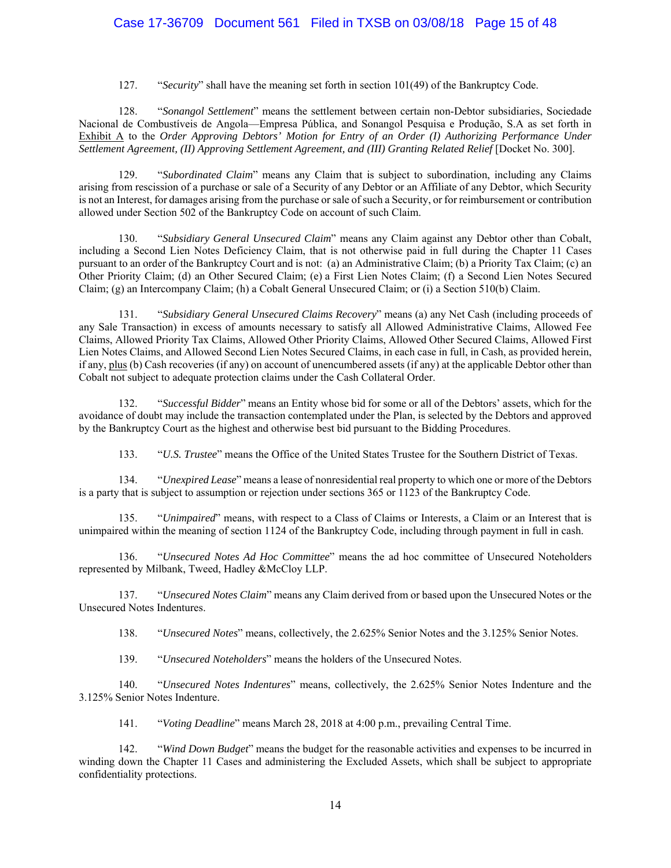## Case 17-36709 Document 561 Filed in TXSB on 03/08/18 Page 15 of 48

127. "*Security*" shall have the meaning set forth in section 101(49) of the Bankruptcy Code.

128. "*Sonangol Settlement*" means the settlement between certain non-Debtor subsidiaries, Sociedade Nacional de Combustíveis de Angola—Empresa Pública, and Sonangol Pesquisa e Produção, S.A as set forth in Exhibit A to the *Order Approving Debtors' Motion for Entry of an Order (I) Authorizing Performance Under Settlement Agreement, (II) Approving Settlement Agreement, and (III) Granting Related Relief* [Docket No. 300].

129. "*Subordinated Claim*" means any Claim that is subject to subordination, including any Claims arising from rescission of a purchase or sale of a Security of any Debtor or an Affiliate of any Debtor, which Security is not an Interest, for damages arising from the purchase or sale of such a Security, or for reimbursement or contribution allowed under Section 502 of the Bankruptcy Code on account of such Claim.

130. "*Subsidiary General Unsecured Claim*" means any Claim against any Debtor other than Cobalt, including a Second Lien Notes Deficiency Claim, that is not otherwise paid in full during the Chapter 11 Cases pursuant to an order of the Bankruptcy Court and is not: (a) an Administrative Claim; (b) a Priority Tax Claim; (c) an Other Priority Claim; (d) an Other Secured Claim; (e) a First Lien Notes Claim; (f) a Second Lien Notes Secured Claim; (g) an Intercompany Claim; (h) a Cobalt General Unsecured Claim; or (i) a Section 510(b) Claim.

131. "*Subsidiary General Unsecured Claims Recovery*" means (a) any Net Cash (including proceeds of any Sale Transaction) in excess of amounts necessary to satisfy all Allowed Administrative Claims, Allowed Fee Claims, Allowed Priority Tax Claims, Allowed Other Priority Claims, Allowed Other Secured Claims, Allowed First Lien Notes Claims, and Allowed Second Lien Notes Secured Claims, in each case in full, in Cash, as provided herein, if any, plus (b) Cash recoveries (if any) on account of unencumbered assets (if any) at the applicable Debtor other than Cobalt not subject to adequate protection claims under the Cash Collateral Order.

132. "*Successful Bidder*" means an Entity whose bid for some or all of the Debtors' assets, which for the avoidance of doubt may include the transaction contemplated under the Plan, is selected by the Debtors and approved by the Bankruptcy Court as the highest and otherwise best bid pursuant to the Bidding Procedures.

133. "*U.S. Trustee*" means the Office of the United States Trustee for the Southern District of Texas.

134. "*Unexpired Lease*" means a lease of nonresidential real property to which one or more of the Debtors is a party that is subject to assumption or rejection under sections 365 or 1123 of the Bankruptcy Code.

135. "*Unimpaired*" means, with respect to a Class of Claims or Interests, a Claim or an Interest that is unimpaired within the meaning of section 1124 of the Bankruptcy Code, including through payment in full in cash.

136. "*Unsecured Notes Ad Hoc Committee*" means the ad hoc committee of Unsecured Noteholders represented by Milbank, Tweed, Hadley &McCloy LLP.

137. "*Unsecured Notes Claim*" means any Claim derived from or based upon the Unsecured Notes or the Unsecured Notes Indentures.

138. "*Unsecured Notes*" means, collectively, the 2.625% Senior Notes and the 3.125% Senior Notes.

139. "*Unsecured Noteholders*" means the holders of the Unsecured Notes.

140. "*Unsecured Notes Indentures*" means, collectively, the 2.625% Senior Notes Indenture and the 3.125% Senior Notes Indenture.

141. "*Voting Deadline*" means March 28, 2018 at 4:00 p.m., prevailing Central Time.

142. "*Wind Down Budget*" means the budget for the reasonable activities and expenses to be incurred in winding down the Chapter 11 Cases and administering the Excluded Assets, which shall be subject to appropriate confidentiality protections.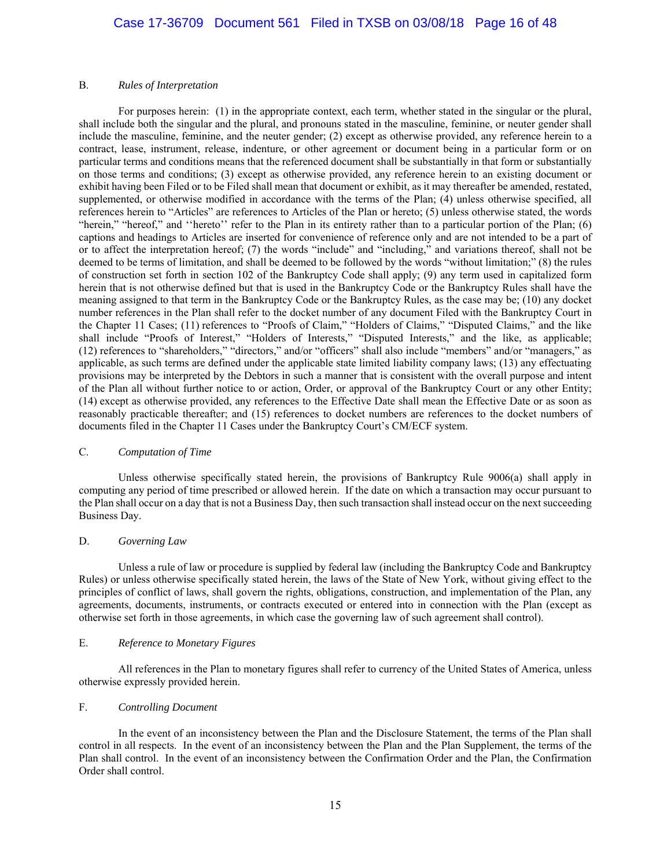#### B. *Rules of Interpretation*

For purposes herein: (1) in the appropriate context, each term, whether stated in the singular or the plural, shall include both the singular and the plural, and pronouns stated in the masculine, feminine, or neuter gender shall include the masculine, feminine, and the neuter gender; (2) except as otherwise provided, any reference herein to a contract, lease, instrument, release, indenture, or other agreement or document being in a particular form or on particular terms and conditions means that the referenced document shall be substantially in that form or substantially on those terms and conditions; (3) except as otherwise provided, any reference herein to an existing document or exhibit having been Filed or to be Filed shall mean that document or exhibit, as it may thereafter be amended, restated, supplemented, or otherwise modified in accordance with the terms of the Plan; (4) unless otherwise specified, all references herein to "Articles" are references to Articles of the Plan or hereto; (5) unless otherwise stated, the words "herein," "hereof," and ''hereto'' refer to the Plan in its entirety rather than to a particular portion of the Plan; (6) captions and headings to Articles are inserted for convenience of reference only and are not intended to be a part of or to affect the interpretation hereof; (7) the words "include" and "including," and variations thereof, shall not be deemed to be terms of limitation, and shall be deemed to be followed by the words "without limitation;" (8) the rules of construction set forth in section 102 of the Bankruptcy Code shall apply; (9) any term used in capitalized form herein that is not otherwise defined but that is used in the Bankruptcy Code or the Bankruptcy Rules shall have the meaning assigned to that term in the Bankruptcy Code or the Bankruptcy Rules, as the case may be; (10) any docket number references in the Plan shall refer to the docket number of any document Filed with the Bankruptcy Court in the Chapter 11 Cases; (11) references to "Proofs of Claim," "Holders of Claims," "Disputed Claims," and the like shall include "Proofs of Interest," "Holders of Interests," "Disputed Interests," and the like, as applicable; (12) references to "shareholders," "directors," and/or "officers" shall also include "members" and/or "managers," as applicable, as such terms are defined under the applicable state limited liability company laws; (13) any effectuating provisions may be interpreted by the Debtors in such a manner that is consistent with the overall purpose and intent of the Plan all without further notice to or action, Order, or approval of the Bankruptcy Court or any other Entity; (14) except as otherwise provided, any references to the Effective Date shall mean the Effective Date or as soon as reasonably practicable thereafter; and (15) references to docket numbers are references to the docket numbers of documents filed in the Chapter 11 Cases under the Bankruptcy Court's CM/ECF system.

#### C. *Computation of Time*

Unless otherwise specifically stated herein, the provisions of Bankruptcy Rule 9006(a) shall apply in computing any period of time prescribed or allowed herein. If the date on which a transaction may occur pursuant to the Plan shall occur on a day that is not a Business Day, then such transaction shall instead occur on the next succeeding Business Day.

### D. *Governing Law*

Unless a rule of law or procedure is supplied by federal law (including the Bankruptcy Code and Bankruptcy Rules) or unless otherwise specifically stated herein, the laws of the State of New York, without giving effect to the principles of conflict of laws, shall govern the rights, obligations, construction, and implementation of the Plan, any agreements, documents, instruments, or contracts executed or entered into in connection with the Plan (except as otherwise set forth in those agreements, in which case the governing law of such agreement shall control).

#### E. *Reference to Monetary Figures*

All references in the Plan to monetary figures shall refer to currency of the United States of America, unless otherwise expressly provided herein.

#### F. *Controlling Document*

In the event of an inconsistency between the Plan and the Disclosure Statement, the terms of the Plan shall control in all respects. In the event of an inconsistency between the Plan and the Plan Supplement, the terms of the Plan shall control. In the event of an inconsistency between the Confirmation Order and the Plan, the Confirmation Order shall control.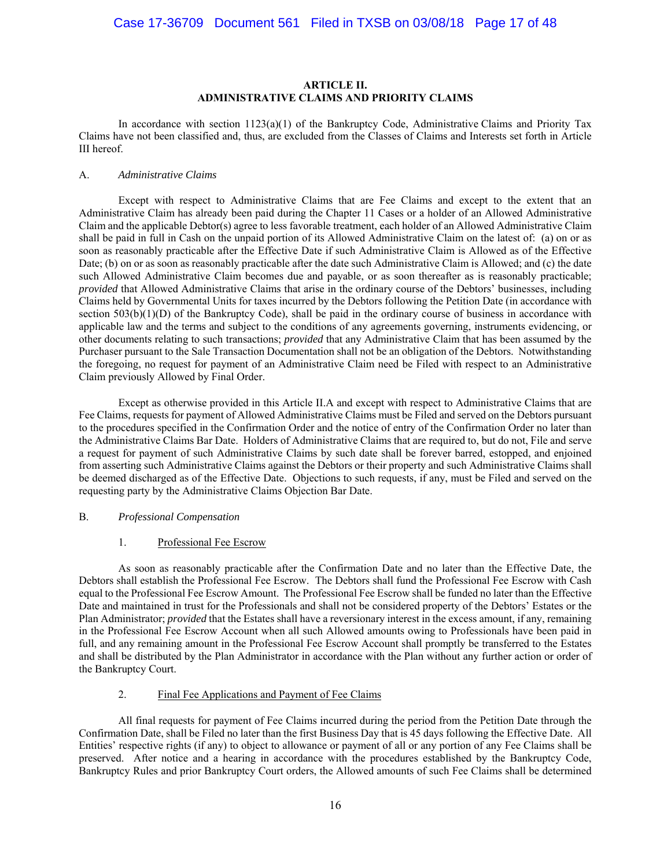### **ARTICLE II. ADMINISTRATIVE CLAIMS AND PRIORITY CLAIMS**

In accordance with section  $1123(a)(1)$  of the Bankruptcy Code, Administrative Claims and Priority Tax Claims have not been classified and, thus, are excluded from the Classes of Claims and Interests set forth in Article III hereof.

#### A. *Administrative Claims*

Except with respect to Administrative Claims that are Fee Claims and except to the extent that an Administrative Claim has already been paid during the Chapter 11 Cases or a holder of an Allowed Administrative Claim and the applicable Debtor(s) agree to less favorable treatment, each holder of an Allowed Administrative Claim shall be paid in full in Cash on the unpaid portion of its Allowed Administrative Claim on the latest of: (a) on or as soon as reasonably practicable after the Effective Date if such Administrative Claim is Allowed as of the Effective Date; (b) on or as soon as reasonably practicable after the date such Administrative Claim is Allowed; and (c) the date such Allowed Administrative Claim becomes due and payable, or as soon thereafter as is reasonably practicable; *provided* that Allowed Administrative Claims that arise in the ordinary course of the Debtors' businesses, including Claims held by Governmental Units for taxes incurred by the Debtors following the Petition Date (in accordance with section 503(b)(1)(D) of the Bankruptcy Code), shall be paid in the ordinary course of business in accordance with applicable law and the terms and subject to the conditions of any agreements governing, instruments evidencing, or other documents relating to such transactions; *provided* that any Administrative Claim that has been assumed by the Purchaser pursuant to the Sale Transaction Documentation shall not be an obligation of the Debtors. Notwithstanding the foregoing, no request for payment of an Administrative Claim need be Filed with respect to an Administrative Claim previously Allowed by Final Order.

Except as otherwise provided in this Article II.A and except with respect to Administrative Claims that are Fee Claims, requests for payment of Allowed Administrative Claims must be Filed and served on the Debtors pursuant to the procedures specified in the Confirmation Order and the notice of entry of the Confirmation Order no later than the Administrative Claims Bar Date. Holders of Administrative Claims that are required to, but do not, File and serve a request for payment of such Administrative Claims by such date shall be forever barred, estopped, and enjoined from asserting such Administrative Claims against the Debtors or their property and such Administrative Claims shall be deemed discharged as of the Effective Date. Objections to such requests, if any, must be Filed and served on the requesting party by the Administrative Claims Objection Bar Date.

#### B. *Professional Compensation*

#### 1. Professional Fee Escrow

As soon as reasonably practicable after the Confirmation Date and no later than the Effective Date, the Debtors shall establish the Professional Fee Escrow. The Debtors shall fund the Professional Fee Escrow with Cash equal to the Professional Fee Escrow Amount. The Professional Fee Escrow shall be funded no later than the Effective Date and maintained in trust for the Professionals and shall not be considered property of the Debtors' Estates or the Plan Administrator; *provided* that the Estates shall have a reversionary interest in the excess amount, if any, remaining in the Professional Fee Escrow Account when all such Allowed amounts owing to Professionals have been paid in full, and any remaining amount in the Professional Fee Escrow Account shall promptly be transferred to the Estates and shall be distributed by the Plan Administrator in accordance with the Plan without any further action or order of the Bankruptcy Court.

#### 2. Final Fee Applications and Payment of Fee Claims

All final requests for payment of Fee Claims incurred during the period from the Petition Date through the Confirmation Date, shall be Filed no later than the first Business Day that is 45 days following the Effective Date. All Entities' respective rights (if any) to object to allowance or payment of all or any portion of any Fee Claims shall be preserved. After notice and a hearing in accordance with the procedures established by the Bankruptcy Code, Bankruptcy Rules and prior Bankruptcy Court orders, the Allowed amounts of such Fee Claims shall be determined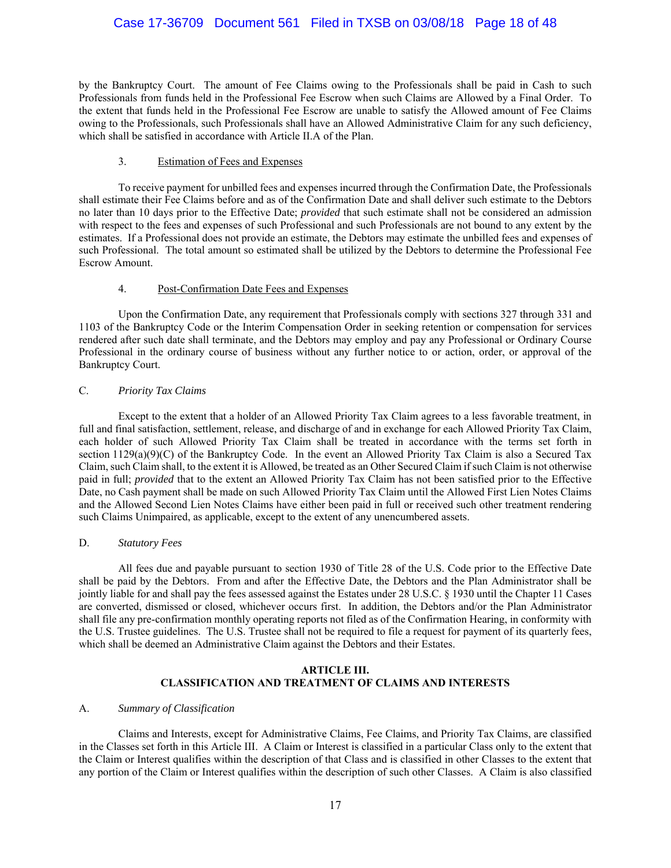## Case 17-36709 Document 561 Filed in TXSB on 03/08/18 Page 18 of 48

by the Bankruptcy Court. The amount of Fee Claims owing to the Professionals shall be paid in Cash to such Professionals from funds held in the Professional Fee Escrow when such Claims are Allowed by a Final Order. To the extent that funds held in the Professional Fee Escrow are unable to satisfy the Allowed amount of Fee Claims owing to the Professionals, such Professionals shall have an Allowed Administrative Claim for any such deficiency, which shall be satisfied in accordance with Article II.A of the Plan.

#### 3. Estimation of Fees and Expenses

To receive payment for unbilled fees and expenses incurred through the Confirmation Date, the Professionals shall estimate their Fee Claims before and as of the Confirmation Date and shall deliver such estimate to the Debtors no later than 10 days prior to the Effective Date; *provided* that such estimate shall not be considered an admission with respect to the fees and expenses of such Professional and such Professionals are not bound to any extent by the estimates. If a Professional does not provide an estimate, the Debtors may estimate the unbilled fees and expenses of such Professional. The total amount so estimated shall be utilized by the Debtors to determine the Professional Fee Escrow Amount.

### 4. Post-Confirmation Date Fees and Expenses

Upon the Confirmation Date, any requirement that Professionals comply with sections 327 through 331 and 1103 of the Bankruptcy Code or the Interim Compensation Order in seeking retention or compensation for services rendered after such date shall terminate, and the Debtors may employ and pay any Professional or Ordinary Course Professional in the ordinary course of business without any further notice to or action, order, or approval of the Bankruptcy Court.

### C. *Priority Tax Claims*

Except to the extent that a holder of an Allowed Priority Tax Claim agrees to a less favorable treatment, in full and final satisfaction, settlement, release, and discharge of and in exchange for each Allowed Priority Tax Claim, each holder of such Allowed Priority Tax Claim shall be treated in accordance with the terms set forth in section 1129(a)(9)(C) of the Bankruptcy Code. In the event an Allowed Priority Tax Claim is also a Secured Tax Claim, such Claim shall, to the extent it is Allowed, be treated as an Other Secured Claim if such Claim is not otherwise paid in full; *provided* that to the extent an Allowed Priority Tax Claim has not been satisfied prior to the Effective Date, no Cash payment shall be made on such Allowed Priority Tax Claim until the Allowed First Lien Notes Claims and the Allowed Second Lien Notes Claims have either been paid in full or received such other treatment rendering such Claims Unimpaired, as applicable, except to the extent of any unencumbered assets.

### D. *Statutory Fees*

All fees due and payable pursuant to section 1930 of Title 28 of the U.S. Code prior to the Effective Date shall be paid by the Debtors. From and after the Effective Date, the Debtors and the Plan Administrator shall be jointly liable for and shall pay the fees assessed against the Estates under 28 U.S.C. § 1930 until the Chapter 11 Cases are converted, dismissed or closed, whichever occurs first. In addition, the Debtors and/or the Plan Administrator shall file any pre-confirmation monthly operating reports not filed as of the Confirmation Hearing, in conformity with the U.S. Trustee guidelines. The U.S. Trustee shall not be required to file a request for payment of its quarterly fees, which shall be deemed an Administrative Claim against the Debtors and their Estates.

#### **ARTICLE III. CLASSIFICATION AND TREATMENT OF CLAIMS AND INTERESTS**

#### A. *Summary of Classification*

Claims and Interests, except for Administrative Claims, Fee Claims, and Priority Tax Claims, are classified in the Classes set forth in this Article III. A Claim or Interest is classified in a particular Class only to the extent that the Claim or Interest qualifies within the description of that Class and is classified in other Classes to the extent that any portion of the Claim or Interest qualifies within the description of such other Classes. A Claim is also classified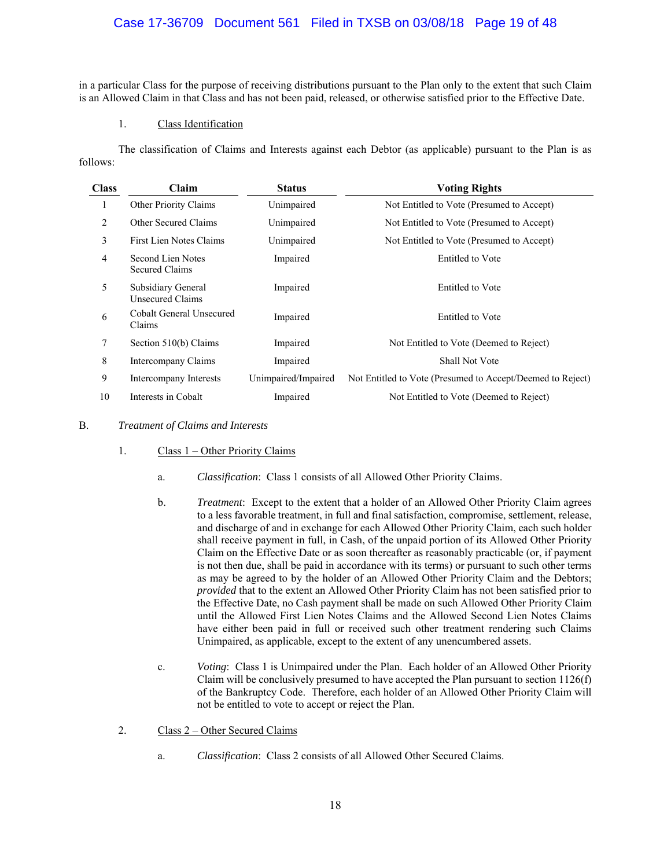## Case 17-36709 Document 561 Filed in TXSB on 03/08/18 Page 19 of 48

in a particular Class for the purpose of receiving distributions pursuant to the Plan only to the extent that such Claim is an Allowed Claim in that Class and has not been paid, released, or otherwise satisfied prior to the Effective Date.

### 1. Class Identification

The classification of Claims and Interests against each Debtor (as applicable) pursuant to the Plan is as follows:

| <b>Class</b> | Claim                                  | <b>Status</b>       | <b>Voting Rights</b>                                       |
|--------------|----------------------------------------|---------------------|------------------------------------------------------------|
| 1            | Other Priority Claims                  | Unimpaired          | Not Entitled to Vote (Presumed to Accept)                  |
| 2            | Other Secured Claims                   | Unimpaired          | Not Entitled to Vote (Presumed to Accept)                  |
| 3            | First Lien Notes Claims                | Unimpaired          | Not Entitled to Vote (Presumed to Accept)                  |
| 4            | Second Lien Notes<br>Secured Claims    | Impaired            | Entitled to Vote                                           |
| 5            | Subsidiary General<br>Unsecured Claims | Impaired            | <b>Entitled</b> to Vote                                    |
| 6            | Cobalt General Unsecured<br>Claims     | Impaired            | Entitled to Vote                                           |
| 7            | Section 510(b) Claims                  | Impaired            | Not Entitled to Vote (Deemed to Reject)                    |
| 8            | Intercompany Claims                    | Impaired            | Shall Not Vote                                             |
| 9            | Intercompany Interests                 | Unimpaired/Impaired | Not Entitled to Vote (Presumed to Accept/Deemed to Reject) |
| 10           | Interests in Cobalt                    | Impaired            | Not Entitled to Vote (Deemed to Reject)                    |

#### B. *Treatment of Claims and Interests*

- 1. Class 1 Other Priority Claims
	- a. *Classification*: Class 1 consists of all Allowed Other Priority Claims.
	- b. *Treatment*: Except to the extent that a holder of an Allowed Other Priority Claim agrees to a less favorable treatment, in full and final satisfaction, compromise, settlement, release, and discharge of and in exchange for each Allowed Other Priority Claim, each such holder shall receive payment in full, in Cash, of the unpaid portion of its Allowed Other Priority Claim on the Effective Date or as soon thereafter as reasonably practicable (or, if payment is not then due, shall be paid in accordance with its terms) or pursuant to such other terms as may be agreed to by the holder of an Allowed Other Priority Claim and the Debtors; *provided* that to the extent an Allowed Other Priority Claim has not been satisfied prior to the Effective Date, no Cash payment shall be made on such Allowed Other Priority Claim until the Allowed First Lien Notes Claims and the Allowed Second Lien Notes Claims have either been paid in full or received such other treatment rendering such Claims Unimpaired, as applicable, except to the extent of any unencumbered assets.
	- c. *Voting*: Class 1 is Unimpaired under the Plan. Each holder of an Allowed Other Priority Claim will be conclusively presumed to have accepted the Plan pursuant to section  $1126(f)$ of the Bankruptcy Code. Therefore, each holder of an Allowed Other Priority Claim will not be entitled to vote to accept or reject the Plan.
- 2. Class 2 Other Secured Claims
	- a. *Classification*: Class 2 consists of all Allowed Other Secured Claims.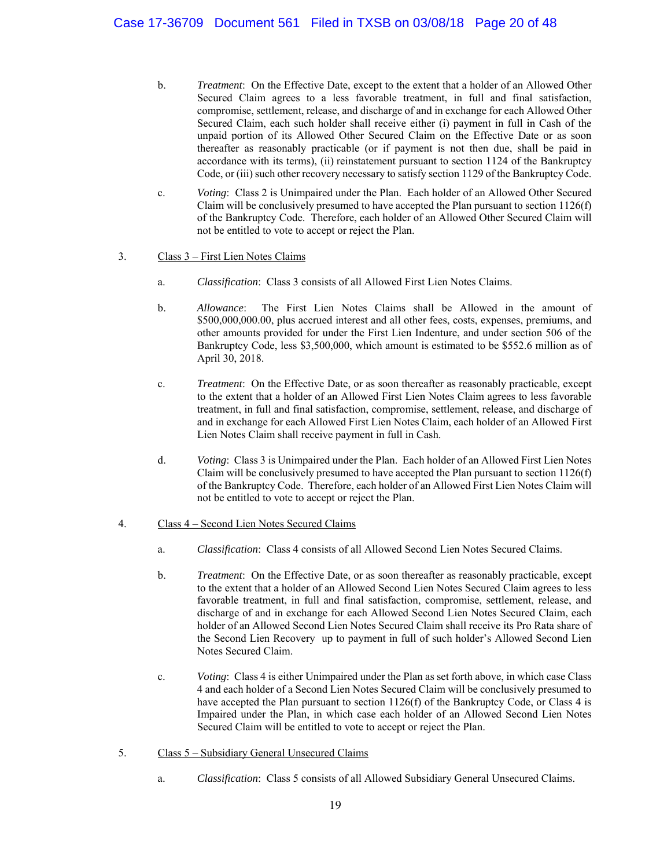- b. *Treatment*: On the Effective Date, except to the extent that a holder of an Allowed Other Secured Claim agrees to a less favorable treatment, in full and final satisfaction, compromise, settlement, release, and discharge of and in exchange for each Allowed Other Secured Claim, each such holder shall receive either (i) payment in full in Cash of the unpaid portion of its Allowed Other Secured Claim on the Effective Date or as soon thereafter as reasonably practicable (or if payment is not then due, shall be paid in accordance with its terms), (ii) reinstatement pursuant to section 1124 of the Bankruptcy Code, or (iii) such other recovery necessary to satisfy section 1129 of the Bankruptcy Code.
- c. *Voting*: Class 2 is Unimpaired under the Plan. Each holder of an Allowed Other Secured Claim will be conclusively presumed to have accepted the Plan pursuant to section  $1126(f)$ of the Bankruptcy Code. Therefore, each holder of an Allowed Other Secured Claim will not be entitled to vote to accept or reject the Plan.

## 3. Class 3 – First Lien Notes Claims

- a. *Classification*: Class 3 consists of all Allowed First Lien Notes Claims.
- b. *Allowance*: The First Lien Notes Claims shall be Allowed in the amount of \$500,000,000.00, plus accrued interest and all other fees, costs, expenses, premiums, and other amounts provided for under the First Lien Indenture, and under section 506 of the Bankruptcy Code, less \$3,500,000, which amount is estimated to be \$552.6 million as of April 30, 2018.
- c. *Treatment*: On the Effective Date, or as soon thereafter as reasonably practicable, except to the extent that a holder of an Allowed First Lien Notes Claim agrees to less favorable treatment, in full and final satisfaction, compromise, settlement, release, and discharge of and in exchange for each Allowed First Lien Notes Claim, each holder of an Allowed First Lien Notes Claim shall receive payment in full in Cash.
- d. *Voting*: Class 3 is Unimpaired under the Plan. Each holder of an Allowed First Lien Notes Claim will be conclusively presumed to have accepted the Plan pursuant to section  $1126(f)$ of the Bankruptcy Code. Therefore, each holder of an Allowed First Lien Notes Claim will not be entitled to vote to accept or reject the Plan.

### 4. Class 4 – Second Lien Notes Secured Claims

- a. *Classification*: Class 4 consists of all Allowed Second Lien Notes Secured Claims.
- b. *Treatment*: On the Effective Date, or as soon thereafter as reasonably practicable, except to the extent that a holder of an Allowed Second Lien Notes Secured Claim agrees to less favorable treatment, in full and final satisfaction, compromise, settlement, release, and discharge of and in exchange for each Allowed Second Lien Notes Secured Claim, each holder of an Allowed Second Lien Notes Secured Claim shall receive its Pro Rata share of the Second Lien Recovery up to payment in full of such holder's Allowed Second Lien Notes Secured Claim.
- c. *Voting*: Class 4 is either Unimpaired under the Plan as set forth above, in which case Class 4 and each holder of a Second Lien Notes Secured Claim will be conclusively presumed to have accepted the Plan pursuant to section 1126(f) of the Bankruptcy Code, or Class 4 is Impaired under the Plan, in which case each holder of an Allowed Second Lien Notes Secured Claim will be entitled to vote to accept or reject the Plan.
- 5. Class 5 Subsidiary General Unsecured Claims
	- a. *Classification*: Class 5 consists of all Allowed Subsidiary General Unsecured Claims.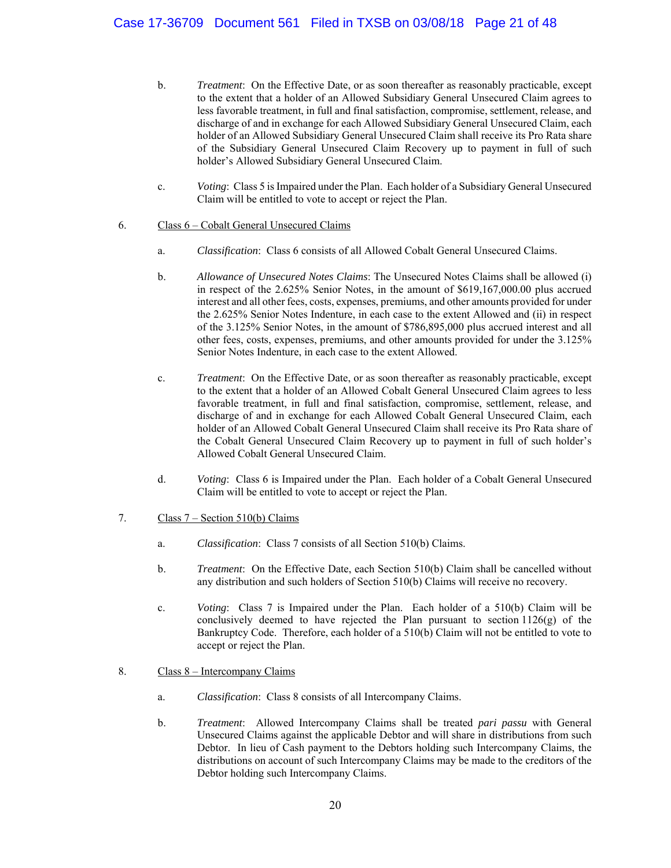- b. *Treatment*: On the Effective Date, or as soon thereafter as reasonably practicable, except to the extent that a holder of an Allowed Subsidiary General Unsecured Claim agrees to less favorable treatment, in full and final satisfaction, compromise, settlement, release, and discharge of and in exchange for each Allowed Subsidiary General Unsecured Claim, each holder of an Allowed Subsidiary General Unsecured Claim shall receive its Pro Rata share of the Subsidiary General Unsecured Claim Recovery up to payment in full of such holder's Allowed Subsidiary General Unsecured Claim.
- c. *Voting*: Class 5 is Impaired under the Plan. Each holder of a Subsidiary General Unsecured Claim will be entitled to vote to accept or reject the Plan.

### 6. Class 6 – Cobalt General Unsecured Claims

- a. *Classification*: Class 6 consists of all Allowed Cobalt General Unsecured Claims.
- b. *Allowance of Unsecured Notes Claims*: The Unsecured Notes Claims shall be allowed (i) in respect of the 2.625% Senior Notes, in the amount of \$619,167,000.00 plus accrued interest and all other fees, costs, expenses, premiums, and other amounts provided for under the 2.625% Senior Notes Indenture, in each case to the extent Allowed and (ii) in respect of the 3.125% Senior Notes, in the amount of \$786,895,000 plus accrued interest and all other fees, costs, expenses, premiums, and other amounts provided for under the 3.125% Senior Notes Indenture, in each case to the extent Allowed.
- c. *Treatment*: On the Effective Date, or as soon thereafter as reasonably practicable, except to the extent that a holder of an Allowed Cobalt General Unsecured Claim agrees to less favorable treatment, in full and final satisfaction, compromise, settlement, release, and discharge of and in exchange for each Allowed Cobalt General Unsecured Claim, each holder of an Allowed Cobalt General Unsecured Claim shall receive its Pro Rata share of the Cobalt General Unsecured Claim Recovery up to payment in full of such holder's Allowed Cobalt General Unsecured Claim.
- d. *Voting*: Class 6 is Impaired under the Plan. Each holder of a Cobalt General Unsecured Claim will be entitled to vote to accept or reject the Plan.

### 7. Class  $7 -$  Section 510(b) Claims

- a. *Classification*: Class 7 consists of all Section 510(b) Claims.
- b. *Treatment*: On the Effective Date, each Section 510(b) Claim shall be cancelled without any distribution and such holders of Section 510(b) Claims will receive no recovery.
- c. *Voting*: Class 7 is Impaired under the Plan. Each holder of a 510(b) Claim will be conclusively deemed to have rejected the Plan pursuant to section 1126(g) of the Bankruptcy Code. Therefore, each holder of a 510(b) Claim will not be entitled to vote to accept or reject the Plan.
- 8. Class 8 Intercompany Claims
	- a. *Classification*: Class 8 consists of all Intercompany Claims.
	- b. *Treatment*: Allowed Intercompany Claims shall be treated *pari passu* with General Unsecured Claims against the applicable Debtor and will share in distributions from such Debtor. In lieu of Cash payment to the Debtors holding such Intercompany Claims, the distributions on account of such Intercompany Claims may be made to the creditors of the Debtor holding such Intercompany Claims.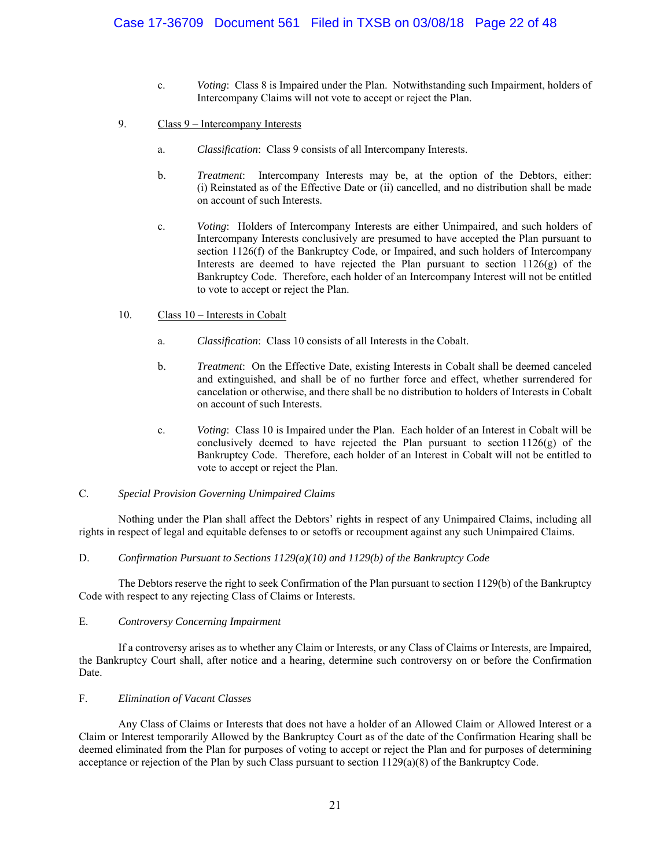- c. *Voting*: Class 8 is Impaired under the Plan. Notwithstanding such Impairment, holders of Intercompany Claims will not vote to accept or reject the Plan.
- 9. Class 9 Intercompany Interests
	- a. *Classification*: Class 9 consists of all Intercompany Interests.
	- b. *Treatment*: Intercompany Interests may be, at the option of the Debtors, either: (i) Reinstated as of the Effective Date or (ii) cancelled, and no distribution shall be made on account of such Interests.
	- c. *Voting*: Holders of Intercompany Interests are either Unimpaired, and such holders of Intercompany Interests conclusively are presumed to have accepted the Plan pursuant to section 1126(f) of the Bankruptcy Code, or Impaired, and such holders of Intercompany Interests are deemed to have rejected the Plan pursuant to section 1126(g) of the Bankruptcy Code. Therefore, each holder of an Intercompany Interest will not be entitled to vote to accept or reject the Plan.
- 10. Class 10 Interests in Cobalt
	- a. *Classification*: Class 10 consists of all Interests in the Cobalt.
	- b. *Treatment*: On the Effective Date, existing Interests in Cobalt shall be deemed canceled and extinguished, and shall be of no further force and effect, whether surrendered for cancelation or otherwise, and there shall be no distribution to holders of Interests in Cobalt on account of such Interests.
	- c. *Voting*: Class 10 is Impaired under the Plan. Each holder of an Interest in Cobalt will be conclusively deemed to have rejected the Plan pursuant to section  $1126(g)$  of the Bankruptcy Code. Therefore, each holder of an Interest in Cobalt will not be entitled to vote to accept or reject the Plan.

#### C. *Special Provision Governing Unimpaired Claims*

Nothing under the Plan shall affect the Debtors' rights in respect of any Unimpaired Claims, including all rights in respect of legal and equitable defenses to or setoffs or recoupment against any such Unimpaired Claims.

#### D. *Confirmation Pursuant to Sections 1129(a)(10) and 1129(b) of the Bankruptcy Code*

The Debtors reserve the right to seek Confirmation of the Plan pursuant to section 1129(b) of the Bankruptcy Code with respect to any rejecting Class of Claims or Interests.

#### E. *Controversy Concerning Impairment*

 If a controversy arises as to whether any Claim or Interests, or any Class of Claims or Interests, are Impaired, the Bankruptcy Court shall, after notice and a hearing, determine such controversy on or before the Confirmation Date.

#### F. *Elimination of Vacant Classes*

Any Class of Claims or Interests that does not have a holder of an Allowed Claim or Allowed Interest or a Claim or Interest temporarily Allowed by the Bankruptcy Court as of the date of the Confirmation Hearing shall be deemed eliminated from the Plan for purposes of voting to accept or reject the Plan and for purposes of determining acceptance or rejection of the Plan by such Class pursuant to section 1129(a)(8) of the Bankruptcy Code.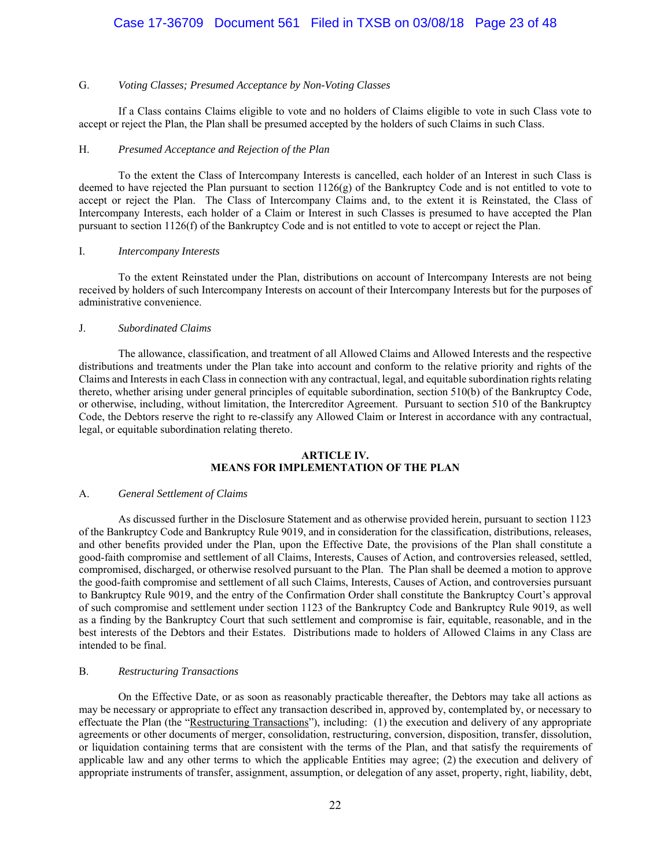## Case 17-36709 Document 561 Filed in TXSB on 03/08/18 Page 23 of 48

#### G. *Voting Classes; Presumed Acceptance by Non-Voting Classes*

If a Class contains Claims eligible to vote and no holders of Claims eligible to vote in such Class vote to accept or reject the Plan, the Plan shall be presumed accepted by the holders of such Claims in such Class.

#### H. *Presumed Acceptance and Rejection of the Plan*

To the extent the Class of Intercompany Interests is cancelled, each holder of an Interest in such Class is deemed to have rejected the Plan pursuant to section 1126(g) of the Bankruptcy Code and is not entitled to vote to accept or reject the Plan. The Class of Intercompany Claims and, to the extent it is Reinstated, the Class of Intercompany Interests, each holder of a Claim or Interest in such Classes is presumed to have accepted the Plan pursuant to section 1126(f) of the Bankruptcy Code and is not entitled to vote to accept or reject the Plan.

### I. *Intercompany Interests*

To the extent Reinstated under the Plan, distributions on account of Intercompany Interests are not being received by holders of such Intercompany Interests on account of their Intercompany Interests but for the purposes of administrative convenience.

#### J. *Subordinated Claims*

The allowance, classification, and treatment of all Allowed Claims and Allowed Interests and the respective distributions and treatments under the Plan take into account and conform to the relative priority and rights of the Claims and Interests in each Class in connection with any contractual, legal, and equitable subordination rights relating thereto, whether arising under general principles of equitable subordination, section 510(b) of the Bankruptcy Code, or otherwise, including, without limitation, the Intercreditor Agreement. Pursuant to section 510 of the Bankruptcy Code, the Debtors reserve the right to re-classify any Allowed Claim or Interest in accordance with any contractual, legal, or equitable subordination relating thereto.

#### **ARTICLE IV. MEANS FOR IMPLEMENTATION OF THE PLAN**

#### A. *General Settlement of Claims*

 As discussed further in the Disclosure Statement and as otherwise provided herein, pursuant to section 1123 of the Bankruptcy Code and Bankruptcy Rule 9019, and in consideration for the classification, distributions, releases, and other benefits provided under the Plan, upon the Effective Date, the provisions of the Plan shall constitute a good-faith compromise and settlement of all Claims, Interests, Causes of Action, and controversies released, settled, compromised, discharged, or otherwise resolved pursuant to the Plan. The Plan shall be deemed a motion to approve the good-faith compromise and settlement of all such Claims, Interests, Causes of Action, and controversies pursuant to Bankruptcy Rule 9019, and the entry of the Confirmation Order shall constitute the Bankruptcy Court's approval of such compromise and settlement under section 1123 of the Bankruptcy Code and Bankruptcy Rule 9019, as well as a finding by the Bankruptcy Court that such settlement and compromise is fair, equitable, reasonable, and in the best interests of the Debtors and their Estates. Distributions made to holders of Allowed Claims in any Class are intended to be final.

#### B. *Restructuring Transactions*

On the Effective Date, or as soon as reasonably practicable thereafter, the Debtors may take all actions as may be necessary or appropriate to effect any transaction described in, approved by, contemplated by, or necessary to effectuate the Plan (the "Restructuring Transactions"), including: (1) the execution and delivery of any appropriate agreements or other documents of merger, consolidation, restructuring, conversion, disposition, transfer, dissolution, or liquidation containing terms that are consistent with the terms of the Plan, and that satisfy the requirements of applicable law and any other terms to which the applicable Entities may agree; (2) the execution and delivery of appropriate instruments of transfer, assignment, assumption, or delegation of any asset, property, right, liability, debt,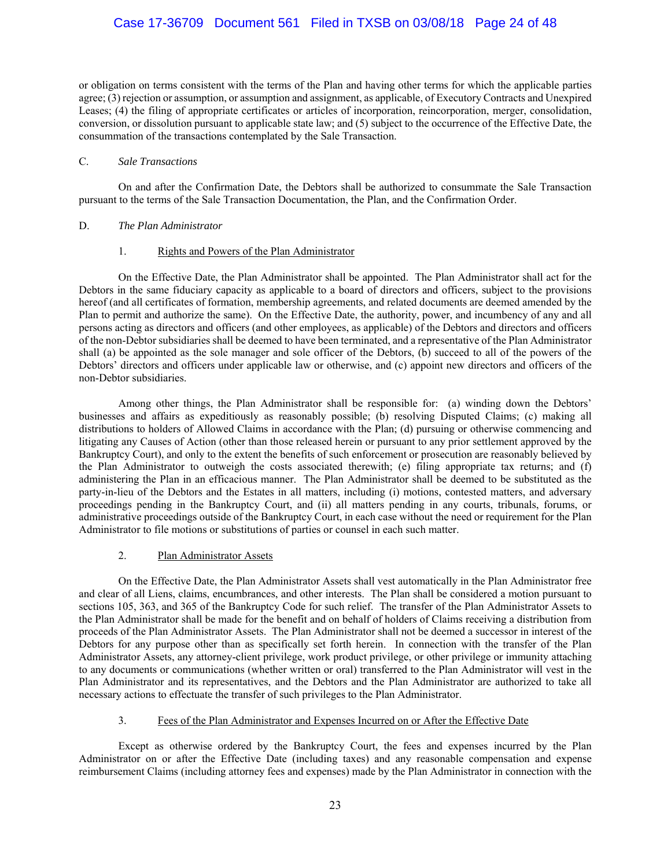## Case 17-36709 Document 561 Filed in TXSB on 03/08/18 Page 24 of 48

or obligation on terms consistent with the terms of the Plan and having other terms for which the applicable parties agree; (3) rejection or assumption, or assumption and assignment, as applicable, of Executory Contracts and Unexpired Leases; (4) the filing of appropriate certificates or articles of incorporation, reincorporation, merger, consolidation, conversion, or dissolution pursuant to applicable state law; and (5) subject to the occurrence of the Effective Date, the consummation of the transactions contemplated by the Sale Transaction.

#### C. *Sale Transactions*

 On and after the Confirmation Date, the Debtors shall be authorized to consummate the Sale Transaction pursuant to the terms of the Sale Transaction Documentation, the Plan, and the Confirmation Order.

#### D. *The Plan Administrator*

#### 1. Rights and Powers of the Plan Administrator

 On the Effective Date, the Plan Administrator shall be appointed. The Plan Administrator shall act for the Debtors in the same fiduciary capacity as applicable to a board of directors and officers, subject to the provisions hereof (and all certificates of formation, membership agreements, and related documents are deemed amended by the Plan to permit and authorize the same). On the Effective Date, the authority, power, and incumbency of any and all persons acting as directors and officers (and other employees, as applicable) of the Debtors and directors and officers of the non-Debtor subsidiaries shall be deemed to have been terminated, and a representative of the Plan Administrator shall (a) be appointed as the sole manager and sole officer of the Debtors, (b) succeed to all of the powers of the Debtors' directors and officers under applicable law or otherwise, and (c) appoint new directors and officers of the non-Debtor subsidiaries.

 Among other things, the Plan Administrator shall be responsible for: (a) winding down the Debtors' businesses and affairs as expeditiously as reasonably possible; (b) resolving Disputed Claims; (c) making all distributions to holders of Allowed Claims in accordance with the Plan; (d) pursuing or otherwise commencing and litigating any Causes of Action (other than those released herein or pursuant to any prior settlement approved by the Bankruptcy Court), and only to the extent the benefits of such enforcement or prosecution are reasonably believed by the Plan Administrator to outweigh the costs associated therewith; (e) filing appropriate tax returns; and (f) administering the Plan in an efficacious manner. The Plan Administrator shall be deemed to be substituted as the party-in-lieu of the Debtors and the Estates in all matters, including (i) motions, contested matters, and adversary proceedings pending in the Bankruptcy Court, and (ii) all matters pending in any courts, tribunals, forums, or administrative proceedings outside of the Bankruptcy Court, in each case without the need or requirement for the Plan Administrator to file motions or substitutions of parties or counsel in each such matter.

### 2. Plan Administrator Assets

 On the Effective Date, the Plan Administrator Assets shall vest automatically in the Plan Administrator free and clear of all Liens, claims, encumbrances, and other interests. The Plan shall be considered a motion pursuant to sections 105, 363, and 365 of the Bankruptcy Code for such relief. The transfer of the Plan Administrator Assets to the Plan Administrator shall be made for the benefit and on behalf of holders of Claims receiving a distribution from proceeds of the Plan Administrator Assets. The Plan Administrator shall not be deemed a successor in interest of the Debtors for any purpose other than as specifically set forth herein. In connection with the transfer of the Plan Administrator Assets, any attorney-client privilege, work product privilege, or other privilege or immunity attaching to any documents or communications (whether written or oral) transferred to the Plan Administrator will vest in the Plan Administrator and its representatives, and the Debtors and the Plan Administrator are authorized to take all necessary actions to effectuate the transfer of such privileges to the Plan Administrator.

#### 3. Fees of the Plan Administrator and Expenses Incurred on or After the Effective Date

 Except as otherwise ordered by the Bankruptcy Court, the fees and expenses incurred by the Plan Administrator on or after the Effective Date (including taxes) and any reasonable compensation and expense reimbursement Claims (including attorney fees and expenses) made by the Plan Administrator in connection with the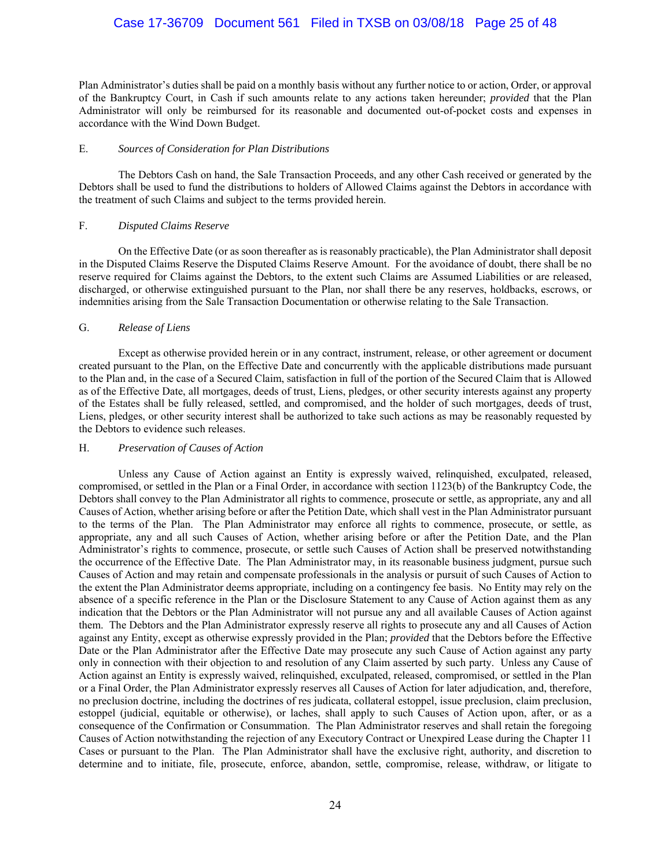## Case 17-36709 Document 561 Filed in TXSB on 03/08/18 Page 25 of 48

Plan Administrator's duties shall be paid on a monthly basis without any further notice to or action, Order, or approval of the Bankruptcy Court, in Cash if such amounts relate to any actions taken hereunder; *provided* that the Plan Administrator will only be reimbursed for its reasonable and documented out-of-pocket costs and expenses in accordance with the Wind Down Budget.

#### E. *Sources of Consideration for Plan Distributions*

The Debtors Cash on hand, the Sale Transaction Proceeds, and any other Cash received or generated by the Debtors shall be used to fund the distributions to holders of Allowed Claims against the Debtors in accordance with the treatment of such Claims and subject to the terms provided herein.

#### F. *Disputed Claims Reserve*

On the Effective Date (or as soon thereafter as is reasonably practicable), the Plan Administrator shall deposit in the Disputed Claims Reserve the Disputed Claims Reserve Amount. For the avoidance of doubt, there shall be no reserve required for Claims against the Debtors, to the extent such Claims are Assumed Liabilities or are released, discharged, or otherwise extinguished pursuant to the Plan, nor shall there be any reserves, holdbacks, escrows, or indemnities arising from the Sale Transaction Documentation or otherwise relating to the Sale Transaction.

#### G. *Release of Liens*

 Except as otherwise provided herein or in any contract, instrument, release, or other agreement or document created pursuant to the Plan, on the Effective Date and concurrently with the applicable distributions made pursuant to the Plan and, in the case of a Secured Claim, satisfaction in full of the portion of the Secured Claim that is Allowed as of the Effective Date, all mortgages, deeds of trust, Liens, pledges, or other security interests against any property of the Estates shall be fully released, settled, and compromised, and the holder of such mortgages, deeds of trust, Liens, pledges, or other security interest shall be authorized to take such actions as may be reasonably requested by the Debtors to evidence such releases.

#### H. *Preservation of Causes of Action*

 Unless any Cause of Action against an Entity is expressly waived, relinquished, exculpated, released, compromised, or settled in the Plan or a Final Order, in accordance with section 1123(b) of the Bankruptcy Code, the Debtors shall convey to the Plan Administrator all rights to commence, prosecute or settle, as appropriate, any and all Causes of Action, whether arising before or after the Petition Date, which shall vest in the Plan Administrator pursuant to the terms of the Plan. The Plan Administrator may enforce all rights to commence, prosecute, or settle, as appropriate, any and all such Causes of Action, whether arising before or after the Petition Date, and the Plan Administrator's rights to commence, prosecute, or settle such Causes of Action shall be preserved notwithstanding the occurrence of the Effective Date. The Plan Administrator may, in its reasonable business judgment, pursue such Causes of Action and may retain and compensate professionals in the analysis or pursuit of such Causes of Action to the extent the Plan Administrator deems appropriate, including on a contingency fee basis. No Entity may rely on the absence of a specific reference in the Plan or the Disclosure Statement to any Cause of Action against them as any indication that the Debtors or the Plan Administrator will not pursue any and all available Causes of Action against them. The Debtors and the Plan Administrator expressly reserve all rights to prosecute any and all Causes of Action against any Entity, except as otherwise expressly provided in the Plan; *provided* that the Debtors before the Effective Date or the Plan Administrator after the Effective Date may prosecute any such Cause of Action against any party only in connection with their objection to and resolution of any Claim asserted by such party. Unless any Cause of Action against an Entity is expressly waived, relinquished, exculpated, released, compromised, or settled in the Plan or a Final Order, the Plan Administrator expressly reserves all Causes of Action for later adjudication, and, therefore, no preclusion doctrine, including the doctrines of res judicata, collateral estoppel, issue preclusion, claim preclusion, estoppel (judicial, equitable or otherwise), or laches, shall apply to such Causes of Action upon, after, or as a consequence of the Confirmation or Consummation. The Plan Administrator reserves and shall retain the foregoing Causes of Action notwithstanding the rejection of any Executory Contract or Unexpired Lease during the Chapter 11 Cases or pursuant to the Plan. The Plan Administrator shall have the exclusive right, authority, and discretion to determine and to initiate, file, prosecute, enforce, abandon, settle, compromise, release, withdraw, or litigate to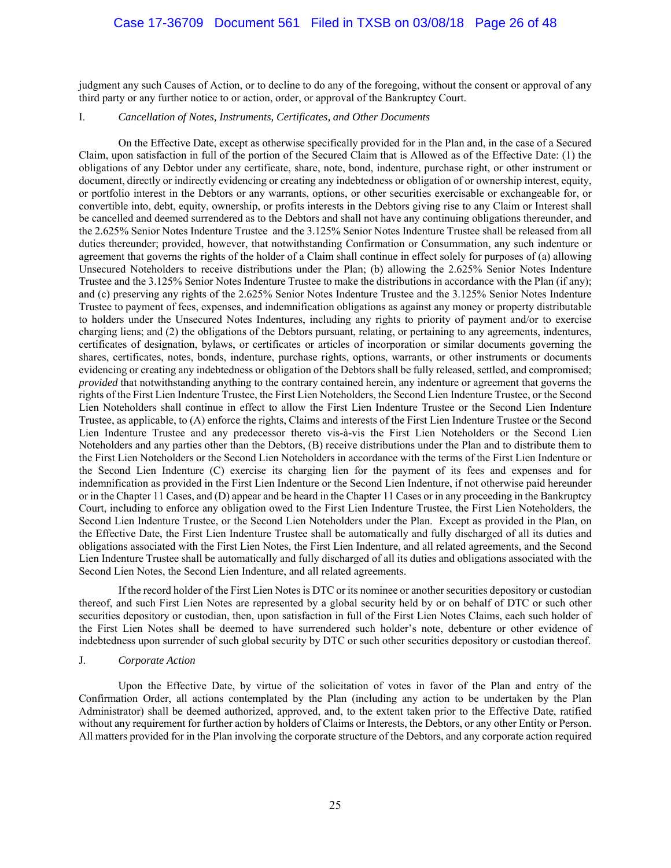judgment any such Causes of Action, or to decline to do any of the foregoing, without the consent or approval of any third party or any further notice to or action, order, or approval of the Bankruptcy Court.

### I. *Cancellation of Notes, Instruments, Certificates, and Other Documents*

 On the Effective Date, except as otherwise specifically provided for in the Plan and, in the case of a Secured Claim, upon satisfaction in full of the portion of the Secured Claim that is Allowed as of the Effective Date: (1) the obligations of any Debtor under any certificate, share, note, bond, indenture, purchase right, or other instrument or document, directly or indirectly evidencing or creating any indebtedness or obligation of or ownership interest, equity, or portfolio interest in the Debtors or any warrants, options, or other securities exercisable or exchangeable for, or convertible into, debt, equity, ownership, or profits interests in the Debtors giving rise to any Claim or Interest shall be cancelled and deemed surrendered as to the Debtors and shall not have any continuing obligations thereunder, and the 2.625% Senior Notes Indenture Trustee and the 3.125% Senior Notes Indenture Trustee shall be released from all duties thereunder; provided, however, that notwithstanding Confirmation or Consummation, any such indenture or agreement that governs the rights of the holder of a Claim shall continue in effect solely for purposes of (a) allowing Unsecured Noteholders to receive distributions under the Plan; (b) allowing the 2.625% Senior Notes Indenture Trustee and the 3.125% Senior Notes Indenture Trustee to make the distributions in accordance with the Plan (if any); and (c) preserving any rights of the 2.625% Senior Notes Indenture Trustee and the 3.125% Senior Notes Indenture Trustee to payment of fees, expenses, and indemnification obligations as against any money or property distributable to holders under the Unsecured Notes Indentures, including any rights to priority of payment and/or to exercise charging liens; and (2) the obligations of the Debtors pursuant, relating, or pertaining to any agreements, indentures, certificates of designation, bylaws, or certificates or articles of incorporation or similar documents governing the shares, certificates, notes, bonds, indenture, purchase rights, options, warrants, or other instruments or documents evidencing or creating any indebtedness or obligation of the Debtors shall be fully released, settled, and compromised; *provided* that notwithstanding anything to the contrary contained herein, any indenture or agreement that governs the rights of the First Lien Indenture Trustee, the First Lien Noteholders, the Second Lien Indenture Trustee, or the Second Lien Noteholders shall continue in effect to allow the First Lien Indenture Trustee or the Second Lien Indenture Trustee, as applicable, to (A) enforce the rights, Claims and interests of the First Lien Indenture Trustee or the Second Lien Indenture Trustee and any predecessor thereto vis-à-vis the First Lien Noteholders or the Second Lien Noteholders and any parties other than the Debtors, (B) receive distributions under the Plan and to distribute them to the First Lien Noteholders or the Second Lien Noteholders in accordance with the terms of the First Lien Indenture or the Second Lien Indenture (C) exercise its charging lien for the payment of its fees and expenses and for indemnification as provided in the First Lien Indenture or the Second Lien Indenture, if not otherwise paid hereunder or in the Chapter 11 Cases, and (D) appear and be heard in the Chapter 11 Cases or in any proceeding in the Bankruptcy Court, including to enforce any obligation owed to the First Lien Indenture Trustee, the First Lien Noteholders, the Second Lien Indenture Trustee, or the Second Lien Noteholders under the Plan. Except as provided in the Plan, on the Effective Date, the First Lien Indenture Trustee shall be automatically and fully discharged of all its duties and obligations associated with the First Lien Notes, the First Lien Indenture, and all related agreements, and the Second Lien Indenture Trustee shall be automatically and fully discharged of all its duties and obligations associated with the Second Lien Notes, the Second Lien Indenture, and all related agreements.

If the record holder of the First Lien Notes is DTC or its nominee or another securities depository or custodian thereof, and such First Lien Notes are represented by a global security held by or on behalf of DTC or such other securities depository or custodian, then, upon satisfaction in full of the First Lien Notes Claims, each such holder of the First Lien Notes shall be deemed to have surrendered such holder's note, debenture or other evidence of indebtedness upon surrender of such global security by DTC or such other securities depository or custodian thereof.

#### J. *Corporate Action*

Upon the Effective Date, by virtue of the solicitation of votes in favor of the Plan and entry of the Confirmation Order, all actions contemplated by the Plan (including any action to be undertaken by the Plan Administrator) shall be deemed authorized, approved, and, to the extent taken prior to the Effective Date, ratified without any requirement for further action by holders of Claims or Interests, the Debtors, or any other Entity or Person. All matters provided for in the Plan involving the corporate structure of the Debtors, and any corporate action required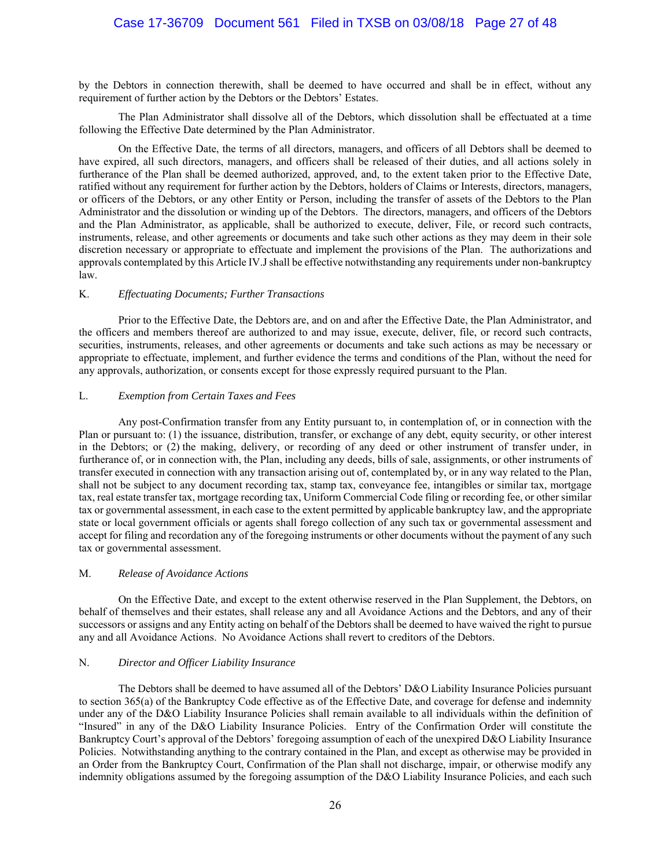## Case 17-36709 Document 561 Filed in TXSB on 03/08/18 Page 27 of 48

by the Debtors in connection therewith, shall be deemed to have occurred and shall be in effect, without any requirement of further action by the Debtors or the Debtors' Estates.

The Plan Administrator shall dissolve all of the Debtors, which dissolution shall be effectuated at a time following the Effective Date determined by the Plan Administrator.

On the Effective Date, the terms of all directors, managers, and officers of all Debtors shall be deemed to have expired, all such directors, managers, and officers shall be released of their duties, and all actions solely in furtherance of the Plan shall be deemed authorized, approved, and, to the extent taken prior to the Effective Date, ratified without any requirement for further action by the Debtors, holders of Claims or Interests, directors, managers, or officers of the Debtors, or any other Entity or Person, including the transfer of assets of the Debtors to the Plan Administrator and the dissolution or winding up of the Debtors. The directors, managers, and officers of the Debtors and the Plan Administrator, as applicable, shall be authorized to execute, deliver, File, or record such contracts, instruments, release, and other agreements or documents and take such other actions as they may deem in their sole discretion necessary or appropriate to effectuate and implement the provisions of the Plan. The authorizations and approvals contemplated by this Article IV.J shall be effective notwithstanding any requirements under non-bankruptcy law.

#### K. *Effectuating Documents; Further Transactions*

Prior to the Effective Date, the Debtors are, and on and after the Effective Date, the Plan Administrator, and the officers and members thereof are authorized to and may issue, execute, deliver, file, or record such contracts, securities, instruments, releases, and other agreements or documents and take such actions as may be necessary or appropriate to effectuate, implement, and further evidence the terms and conditions of the Plan, without the need for any approvals, authorization, or consents except for those expressly required pursuant to the Plan.

#### L. *Exemption from Certain Taxes and Fees*

Any post-Confirmation transfer from any Entity pursuant to, in contemplation of, or in connection with the Plan or pursuant to: (1) the issuance, distribution, transfer, or exchange of any debt, equity security, or other interest in the Debtors; or (2) the making, delivery, or recording of any deed or other instrument of transfer under, in furtherance of, or in connection with, the Plan, including any deeds, bills of sale, assignments, or other instruments of transfer executed in connection with any transaction arising out of, contemplated by, or in any way related to the Plan, shall not be subject to any document recording tax, stamp tax, conveyance fee, intangibles or similar tax, mortgage tax, real estate transfer tax, mortgage recording tax, Uniform Commercial Code filing or recording fee, or other similar tax or governmental assessment, in each case to the extent permitted by applicable bankruptcy law, and the appropriate state or local government officials or agents shall forego collection of any such tax or governmental assessment and accept for filing and recordation any of the foregoing instruments or other documents without the payment of any such tax or governmental assessment.

#### M. *Release of Avoidance Actions*

On the Effective Date, and except to the extent otherwise reserved in the Plan Supplement, the Debtors, on behalf of themselves and their estates, shall release any and all Avoidance Actions and the Debtors, and any of their successors or assigns and any Entity acting on behalf of the Debtors shall be deemed to have waived the right to pursue any and all Avoidance Actions. No Avoidance Actions shall revert to creditors of the Debtors.

#### N. *Director and Officer Liability Insurance*

The Debtors shall be deemed to have assumed all of the Debtors' D&O Liability Insurance Policies pursuant to section 365(a) of the Bankruptcy Code effective as of the Effective Date, and coverage for defense and indemnity under any of the D&O Liability Insurance Policies shall remain available to all individuals within the definition of "Insured" in any of the D&O Liability Insurance Policies. Entry of the Confirmation Order will constitute the Bankruptcy Court's approval of the Debtors' foregoing assumption of each of the unexpired D&O Liability Insurance Policies. Notwithstanding anything to the contrary contained in the Plan, and except as otherwise may be provided in an Order from the Bankruptcy Court, Confirmation of the Plan shall not discharge, impair, or otherwise modify any indemnity obligations assumed by the foregoing assumption of the D&O Liability Insurance Policies, and each such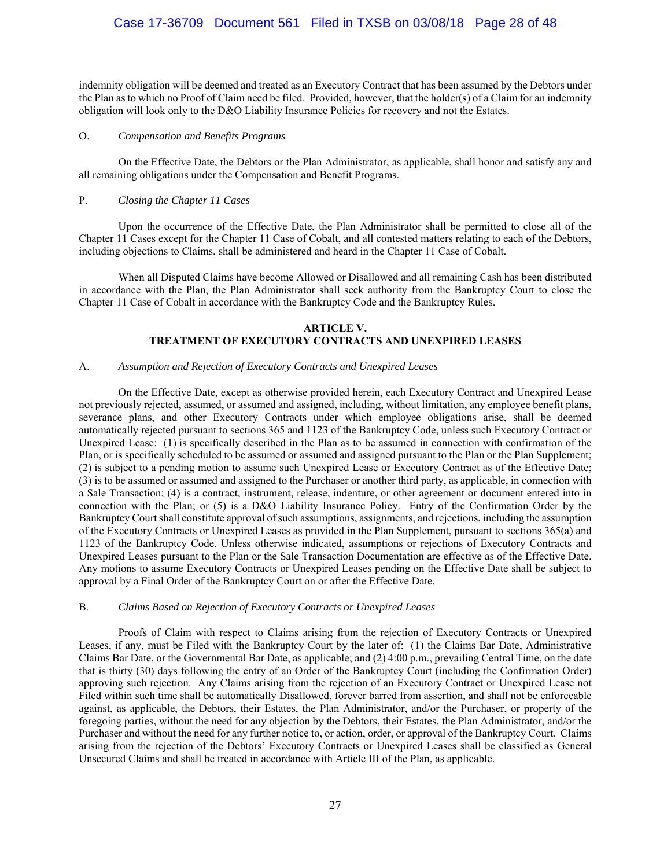## Case 17-36709 Document 561 Filed in TXSB on 03/08/18 Page 28 of 48

indemnity obligation will be deemed and treated as an Executory Contract that has been assumed by the Debtors under the Plan as to which no Proof of Claim need be filed. Provided, however, that the holder(s) of a Claim for an indemnity obligation will look only to the D&O Liability Insurance Policies for recovery and not the Estates.

#### O. *Compensation and Benefits Programs*

 On the Effective Date, the Debtors or the Plan Administrator, as applicable, shall honor and satisfy any and all remaining obligations under the Compensation and Benefit Programs.

#### P. *Closing the Chapter 11 Cases*

Upon the occurrence of the Effective Date, the Plan Administrator shall be permitted to close all of the Chapter 11 Cases except for the Chapter 11 Case of Cobalt, and all contested matters relating to each of the Debtors, including objections to Claims, shall be administered and heard in the Chapter 11 Case of Cobalt.

When all Disputed Claims have become Allowed or Disallowed and all remaining Cash has been distributed in accordance with the Plan, the Plan Administrator shall seek authority from the Bankruptcy Court to close the Chapter 11 Case of Cobalt in accordance with the Bankruptcy Code and the Bankruptcy Rules.

### **ARTICLE V. TREATMENT OF EXECUTORY CONTRACTS AND UNEXPIRED LEASES**

### A. *Assumption and Rejection of Executory Contracts and Unexpired Leases*

On the Effective Date, except as otherwise provided herein, each Executory Contract and Unexpired Lease not previously rejected, assumed, or assumed and assigned, including, without limitation, any employee benefit plans, severance plans, and other Executory Contracts under which employee obligations arise, shall be deemed automatically rejected pursuant to sections 365 and 1123 of the Bankruptcy Code, unless such Executory Contract or Unexpired Lease: (1) is specifically described in the Plan as to be assumed in connection with confirmation of the Plan, or is specifically scheduled to be assumed or assumed and assigned pursuant to the Plan or the Plan Supplement; (2) is subject to a pending motion to assume such Unexpired Lease or Executory Contract as of the Effective Date; (3) is to be assumed or assumed and assigned to the Purchaser or another third party, as applicable, in connection with a Sale Transaction; (4) is a contract, instrument, release, indenture, or other agreement or document entered into in connection with the Plan; or (5) is a D&O Liability Insurance Policy. Entry of the Confirmation Order by the Bankruptcy Court shall constitute approval of such assumptions, assignments, and rejections, including the assumption of the Executory Contracts or Unexpired Leases as provided in the Plan Supplement, pursuant to sections 365(a) and 1123 of the Bankruptcy Code. Unless otherwise indicated, assumptions or rejections of Executory Contracts and Unexpired Leases pursuant to the Plan or the Sale Transaction Documentation are effective as of the Effective Date. Any motions to assume Executory Contracts or Unexpired Leases pending on the Effective Date shall be subject to approval by a Final Order of the Bankruptcy Court on or after the Effective Date.

#### B. *Claims Based on Rejection of Executory Contracts or Unexpired Leases*

Proofs of Claim with respect to Claims arising from the rejection of Executory Contracts or Unexpired Leases, if any, must be Filed with the Bankruptcy Court by the later of: (1) the Claims Bar Date, Administrative Claims Bar Date, or the Governmental Bar Date, as applicable; and (2) 4:00 p.m., prevailing Central Time, on the date that is thirty (30) days following the entry of an Order of the Bankruptcy Court (including the Confirmation Order) approving such rejection. Any Claims arising from the rejection of an Executory Contract or Unexpired Lease not Filed within such time shall be automatically Disallowed, forever barred from assertion, and shall not be enforceable against, as applicable, the Debtors, their Estates, the Plan Administrator, and/or the Purchaser, or property of the foregoing parties, without the need for any objection by the Debtors, their Estates, the Plan Administrator, and/or the Purchaser and without the need for any further notice to, or action, order, or approval of the Bankruptcy Court. Claims arising from the rejection of the Debtors' Executory Contracts or Unexpired Leases shall be classified as General Unsecured Claims and shall be treated in accordance with Article III of the Plan, as applicable.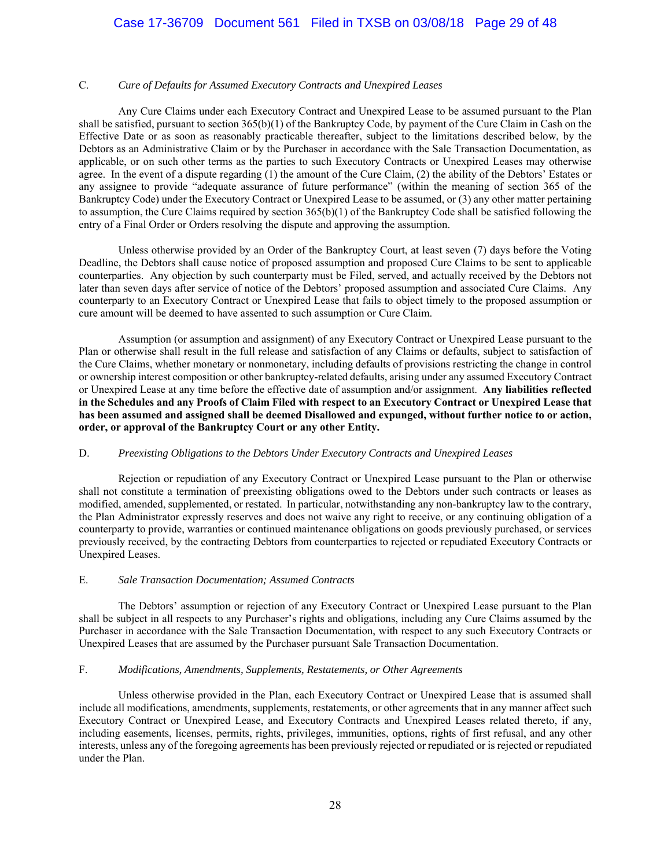#### C. *Cure of Defaults for Assumed Executory Contracts and Unexpired Leases*

Any Cure Claims under each Executory Contract and Unexpired Lease to be assumed pursuant to the Plan shall be satisfied, pursuant to section 365(b)(1) of the Bankruptcy Code, by payment of the Cure Claim in Cash on the Effective Date or as soon as reasonably practicable thereafter, subject to the limitations described below, by the Debtors as an Administrative Claim or by the Purchaser in accordance with the Sale Transaction Documentation, as applicable, or on such other terms as the parties to such Executory Contracts or Unexpired Leases may otherwise agree. In the event of a dispute regarding (1) the amount of the Cure Claim, (2) the ability of the Debtors' Estates or any assignee to provide "adequate assurance of future performance" (within the meaning of section 365 of the Bankruptcy Code) under the Executory Contract or Unexpired Lease to be assumed, or (3) any other matter pertaining to assumption, the Cure Claims required by section 365(b)(1) of the Bankruptcy Code shall be satisfied following the entry of a Final Order or Orders resolving the dispute and approving the assumption.

Unless otherwise provided by an Order of the Bankruptcy Court, at least seven (7) days before the Voting Deadline, the Debtors shall cause notice of proposed assumption and proposed Cure Claims to be sent to applicable counterparties. Any objection by such counterparty must be Filed, served, and actually received by the Debtors not later than seven days after service of notice of the Debtors' proposed assumption and associated Cure Claims. Any counterparty to an Executory Contract or Unexpired Lease that fails to object timely to the proposed assumption or cure amount will be deemed to have assented to such assumption or Cure Claim.

Assumption (or assumption and assignment) of any Executory Contract or Unexpired Lease pursuant to the Plan or otherwise shall result in the full release and satisfaction of any Claims or defaults, subject to satisfaction of the Cure Claims, whether monetary or nonmonetary, including defaults of provisions restricting the change in control or ownership interest composition or other bankruptcy-related defaults, arising under any assumed Executory Contract or Unexpired Lease at any time before the effective date of assumption and/or assignment. **Any liabilities reflected in the Schedules and any Proofs of Claim Filed with respect to an Executory Contract or Unexpired Lease that has been assumed and assigned shall be deemed Disallowed and expunged, without further notice to or action, order, or approval of the Bankruptcy Court or any other Entity.**

#### D. *Preexisting Obligations to the Debtors Under Executory Contracts and Unexpired Leases*

Rejection or repudiation of any Executory Contract or Unexpired Lease pursuant to the Plan or otherwise shall not constitute a termination of preexisting obligations owed to the Debtors under such contracts or leases as modified, amended, supplemented, or restated. In particular, notwithstanding any non-bankruptcy law to the contrary, the Plan Administrator expressly reserves and does not waive any right to receive, or any continuing obligation of a counterparty to provide, warranties or continued maintenance obligations on goods previously purchased, or services previously received, by the contracting Debtors from counterparties to rejected or repudiated Executory Contracts or Unexpired Leases.

#### E. *Sale Transaction Documentation; Assumed Contracts*

The Debtors' assumption or rejection of any Executory Contract or Unexpired Lease pursuant to the Plan shall be subject in all respects to any Purchaser's rights and obligations, including any Cure Claims assumed by the Purchaser in accordance with the Sale Transaction Documentation, with respect to any such Executory Contracts or Unexpired Leases that are assumed by the Purchaser pursuant Sale Transaction Documentation.

#### F. *Modifications, Amendments, Supplements, Restatements, or Other Agreements*

Unless otherwise provided in the Plan, each Executory Contract or Unexpired Lease that is assumed shall include all modifications, amendments, supplements, restatements, or other agreements that in any manner affect such Executory Contract or Unexpired Lease, and Executory Contracts and Unexpired Leases related thereto, if any, including easements, licenses, permits, rights, privileges, immunities, options, rights of first refusal, and any other interests, unless any of the foregoing agreements has been previously rejected or repudiated or is rejected or repudiated under the Plan.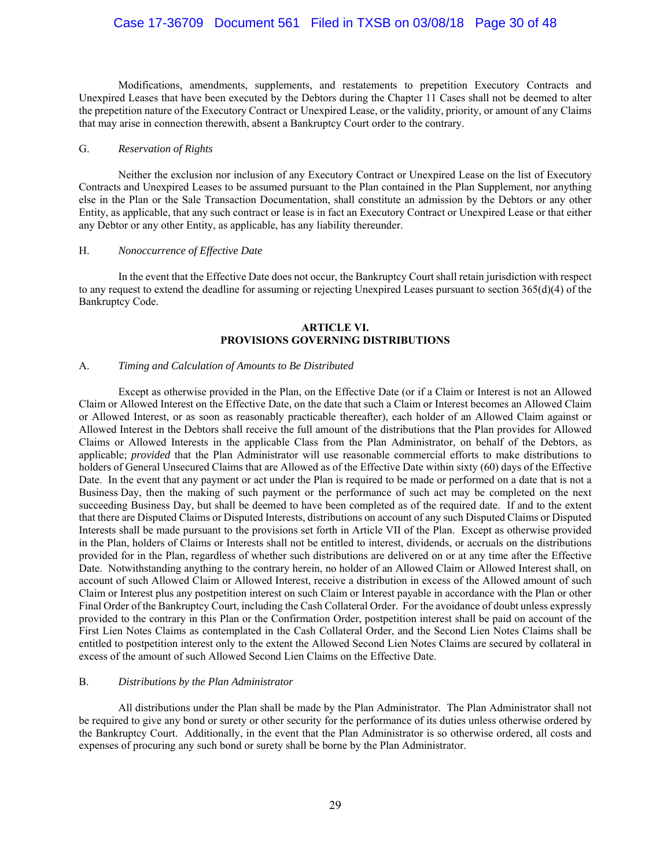## Case 17-36709 Document 561 Filed in TXSB on 03/08/18 Page 30 of 48

Modifications, amendments, supplements, and restatements to prepetition Executory Contracts and Unexpired Leases that have been executed by the Debtors during the Chapter 11 Cases shall not be deemed to alter the prepetition nature of the Executory Contract or Unexpired Lease, or the validity, priority, or amount of any Claims that may arise in connection therewith, absent a Bankruptcy Court order to the contrary.

#### G. *Reservation of Rights*

Neither the exclusion nor inclusion of any Executory Contract or Unexpired Lease on the list of Executory Contracts and Unexpired Leases to be assumed pursuant to the Plan contained in the Plan Supplement, nor anything else in the Plan or the Sale Transaction Documentation, shall constitute an admission by the Debtors or any other Entity, as applicable, that any such contract or lease is in fact an Executory Contract or Unexpired Lease or that either any Debtor or any other Entity, as applicable, has any liability thereunder.

### H. *Nonoccurrence of Effective Date*

In the event that the Effective Date does not occur, the Bankruptcy Court shall retain jurisdiction with respect to any request to extend the deadline for assuming or rejecting Unexpired Leases pursuant to section 365(d)(4) of the Bankruptcy Code.

#### **ARTICLE VI. PROVISIONS GOVERNING DISTRIBUTIONS**

#### A. *Timing and Calculation of Amounts to Be Distributed*

Except as otherwise provided in the Plan, on the Effective Date (or if a Claim or Interest is not an Allowed Claim or Allowed Interest on the Effective Date, on the date that such a Claim or Interest becomes an Allowed Claim or Allowed Interest, or as soon as reasonably practicable thereafter), each holder of an Allowed Claim against or Allowed Interest in the Debtors shall receive the full amount of the distributions that the Plan provides for Allowed Claims or Allowed Interests in the applicable Class from the Plan Administrator, on behalf of the Debtors, as applicable; *provided* that the Plan Administrator will use reasonable commercial efforts to make distributions to holders of General Unsecured Claims that are Allowed as of the Effective Date within sixty (60) days of the Effective Date. In the event that any payment or act under the Plan is required to be made or performed on a date that is not a Business Day, then the making of such payment or the performance of such act may be completed on the next succeeding Business Day, but shall be deemed to have been completed as of the required date. If and to the extent that there are Disputed Claims or Disputed Interests, distributions on account of any such Disputed Claims or Disputed Interests shall be made pursuant to the provisions set forth in Article VII of the Plan. Except as otherwise provided in the Plan, holders of Claims or Interests shall not be entitled to interest, dividends, or accruals on the distributions provided for in the Plan, regardless of whether such distributions are delivered on or at any time after the Effective Date. Notwithstanding anything to the contrary herein, no holder of an Allowed Claim or Allowed Interest shall, on account of such Allowed Claim or Allowed Interest, receive a distribution in excess of the Allowed amount of such Claim or Interest plus any postpetition interest on such Claim or Interest payable in accordance with the Plan or other Final Order of the Bankruptcy Court, including the Cash Collateral Order. For the avoidance of doubt unless expressly provided to the contrary in this Plan or the Confirmation Order, postpetition interest shall be paid on account of the First Lien Notes Claims as contemplated in the Cash Collateral Order, and the Second Lien Notes Claims shall be entitled to postpetition interest only to the extent the Allowed Second Lien Notes Claims are secured by collateral in excess of the amount of such Allowed Second Lien Claims on the Effective Date.

#### B. *Distributions by the Plan Administrator*

All distributions under the Plan shall be made by the Plan Administrator. The Plan Administrator shall not be required to give any bond or surety or other security for the performance of its duties unless otherwise ordered by the Bankruptcy Court. Additionally, in the event that the Plan Administrator is so otherwise ordered, all costs and expenses of procuring any such bond or surety shall be borne by the Plan Administrator.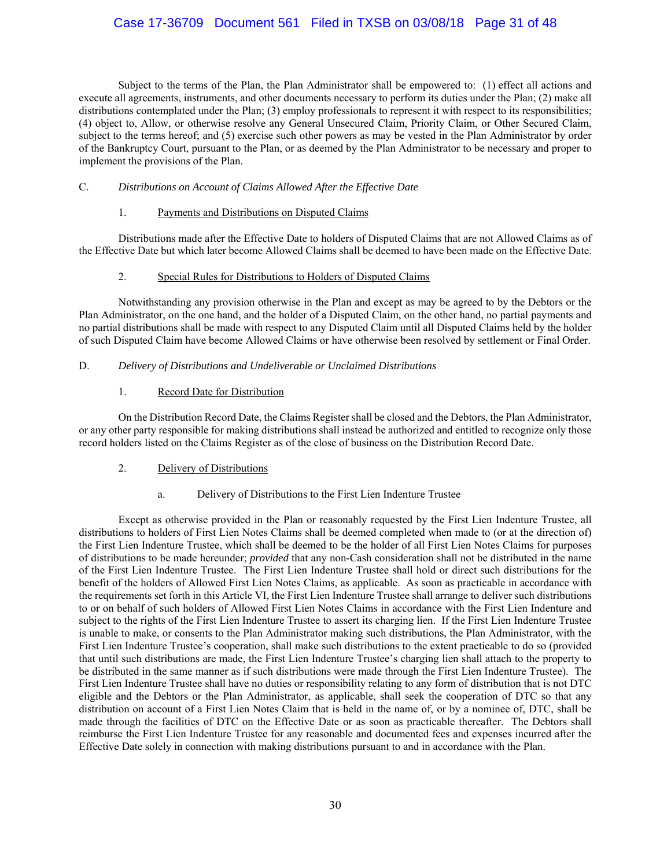## Case 17-36709 Document 561 Filed in TXSB on 03/08/18 Page 31 of 48

Subject to the terms of the Plan, the Plan Administrator shall be empowered to: (1) effect all actions and execute all agreements, instruments, and other documents necessary to perform its duties under the Plan; (2) make all distributions contemplated under the Plan; (3) employ professionals to represent it with respect to its responsibilities; (4) object to, Allow, or otherwise resolve any General Unsecured Claim, Priority Claim, or Other Secured Claim, subject to the terms hereof; and (5) exercise such other powers as may be vested in the Plan Administrator by order of the Bankruptcy Court, pursuant to the Plan, or as deemed by the Plan Administrator to be necessary and proper to implement the provisions of the Plan.

### C. *Distributions on Account of Claims Allowed After the Effective Date*

#### 1. Payments and Distributions on Disputed Claims

 Distributions made after the Effective Date to holders of Disputed Claims that are not Allowed Claims as of the Effective Date but which later become Allowed Claims shall be deemed to have been made on the Effective Date.

### 2. Special Rules for Distributions to Holders of Disputed Claims

 Notwithstanding any provision otherwise in the Plan and except as may be agreed to by the Debtors or the Plan Administrator, on the one hand, and the holder of a Disputed Claim, on the other hand, no partial payments and no partial distributions shall be made with respect to any Disputed Claim until all Disputed Claims held by the holder of such Disputed Claim have become Allowed Claims or have otherwise been resolved by settlement or Final Order.

### D. *Delivery of Distributions and Undeliverable or Unclaimed Distributions*

### 1. Record Date for Distribution

 On the Distribution Record Date, the Claims Register shall be closed and the Debtors, the Plan Administrator, or any other party responsible for making distributions shall instead be authorized and entitled to recognize only those record holders listed on the Claims Register as of the close of business on the Distribution Record Date.

### 2. Delivery of Distributions

a. Delivery of Distributions to the First Lien Indenture Trustee

Except as otherwise provided in the Plan or reasonably requested by the First Lien Indenture Trustee, all distributions to holders of First Lien Notes Claims shall be deemed completed when made to (or at the direction of) the First Lien Indenture Trustee, which shall be deemed to be the holder of all First Lien Notes Claims for purposes of distributions to be made hereunder; *provided* that any non-Cash consideration shall not be distributed in the name of the First Lien Indenture Trustee. The First Lien Indenture Trustee shall hold or direct such distributions for the benefit of the holders of Allowed First Lien Notes Claims, as applicable. As soon as practicable in accordance with the requirements set forth in this Article VI, the First Lien Indenture Trustee shall arrange to deliver such distributions to or on behalf of such holders of Allowed First Lien Notes Claims in accordance with the First Lien Indenture and subject to the rights of the First Lien Indenture Trustee to assert its charging lien. If the First Lien Indenture Trustee is unable to make, or consents to the Plan Administrator making such distributions, the Plan Administrator, with the First Lien Indenture Trustee's cooperation, shall make such distributions to the extent practicable to do so (provided that until such distributions are made, the First Lien Indenture Trustee's charging lien shall attach to the property to be distributed in the same manner as if such distributions were made through the First Lien Indenture Trustee). The First Lien Indenture Trustee shall have no duties or responsibility relating to any form of distribution that is not DTC eligible and the Debtors or the Plan Administrator, as applicable, shall seek the cooperation of DTC so that any distribution on account of a First Lien Notes Claim that is held in the name of, or by a nominee of, DTC, shall be made through the facilities of DTC on the Effective Date or as soon as practicable thereafter. The Debtors shall reimburse the First Lien Indenture Trustee for any reasonable and documented fees and expenses incurred after the Effective Date solely in connection with making distributions pursuant to and in accordance with the Plan.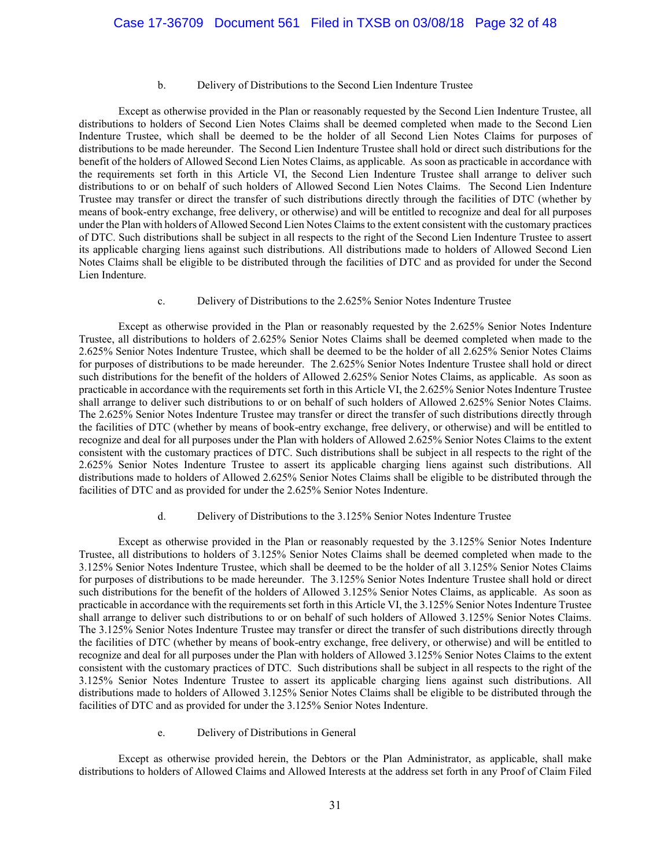#### b. Delivery of Distributions to the Second Lien Indenture Trustee

 Except as otherwise provided in the Plan or reasonably requested by the Second Lien Indenture Trustee, all distributions to holders of Second Lien Notes Claims shall be deemed completed when made to the Second Lien Indenture Trustee, which shall be deemed to be the holder of all Second Lien Notes Claims for purposes of distributions to be made hereunder. The Second Lien Indenture Trustee shall hold or direct such distributions for the benefit of the holders of Allowed Second Lien Notes Claims, as applicable. As soon as practicable in accordance with the requirements set forth in this Article VI, the Second Lien Indenture Trustee shall arrange to deliver such distributions to or on behalf of such holders of Allowed Second Lien Notes Claims. The Second Lien Indenture Trustee may transfer or direct the transfer of such distributions directly through the facilities of DTC (whether by means of book-entry exchange, free delivery, or otherwise) and will be entitled to recognize and deal for all purposes under the Plan with holders of Allowed Second Lien Notes Claims to the extent consistent with the customary practices of DTC. Such distributions shall be subject in all respects to the right of the Second Lien Indenture Trustee to assert its applicable charging liens against such distributions. All distributions made to holders of Allowed Second Lien Notes Claims shall be eligible to be distributed through the facilities of DTC and as provided for under the Second Lien Indenture.

#### c. Delivery of Distributions to the 2.625% Senior Notes Indenture Trustee

 Except as otherwise provided in the Plan or reasonably requested by the 2.625% Senior Notes Indenture Trustee, all distributions to holders of 2.625% Senior Notes Claims shall be deemed completed when made to the 2.625% Senior Notes Indenture Trustee, which shall be deemed to be the holder of all 2.625% Senior Notes Claims for purposes of distributions to be made hereunder. The 2.625% Senior Notes Indenture Trustee shall hold or direct such distributions for the benefit of the holders of Allowed 2.625% Senior Notes Claims, as applicable. As soon as practicable in accordance with the requirements set forth in this Article VI, the 2.625% Senior Notes Indenture Trustee shall arrange to deliver such distributions to or on behalf of such holders of Allowed 2.625% Senior Notes Claims. The 2.625% Senior Notes Indenture Trustee may transfer or direct the transfer of such distributions directly through the facilities of DTC (whether by means of book-entry exchange, free delivery, or otherwise) and will be entitled to recognize and deal for all purposes under the Plan with holders of Allowed 2.625% Senior Notes Claims to the extent consistent with the customary practices of DTC. Such distributions shall be subject in all respects to the right of the 2.625% Senior Notes Indenture Trustee to assert its applicable charging liens against such distributions. All distributions made to holders of Allowed 2.625% Senior Notes Claims shall be eligible to be distributed through the facilities of DTC and as provided for under the 2.625% Senior Notes Indenture.

#### d. Delivery of Distributions to the 3.125% Senior Notes Indenture Trustee

Except as otherwise provided in the Plan or reasonably requested by the 3.125% Senior Notes Indenture Trustee, all distributions to holders of 3.125% Senior Notes Claims shall be deemed completed when made to the 3.125% Senior Notes Indenture Trustee, which shall be deemed to be the holder of all 3.125% Senior Notes Claims for purposes of distributions to be made hereunder. The 3.125% Senior Notes Indenture Trustee shall hold or direct such distributions for the benefit of the holders of Allowed 3.125% Senior Notes Claims, as applicable. As soon as practicable in accordance with the requirements set forth in this Article VI, the 3.125% Senior Notes Indenture Trustee shall arrange to deliver such distributions to or on behalf of such holders of Allowed 3.125% Senior Notes Claims. The 3.125% Senior Notes Indenture Trustee may transfer or direct the transfer of such distributions directly through the facilities of DTC (whether by means of book-entry exchange, free delivery, or otherwise) and will be entitled to recognize and deal for all purposes under the Plan with holders of Allowed 3.125% Senior Notes Claims to the extent consistent with the customary practices of DTC. Such distributions shall be subject in all respects to the right of the 3.125% Senior Notes Indenture Trustee to assert its applicable charging liens against such distributions. All distributions made to holders of Allowed 3.125% Senior Notes Claims shall be eligible to be distributed through the facilities of DTC and as provided for under the 3.125% Senior Notes Indenture.

#### e. Delivery of Distributions in General

Except as otherwise provided herein, the Debtors or the Plan Administrator, as applicable, shall make distributions to holders of Allowed Claims and Allowed Interests at the address set forth in any Proof of Claim Filed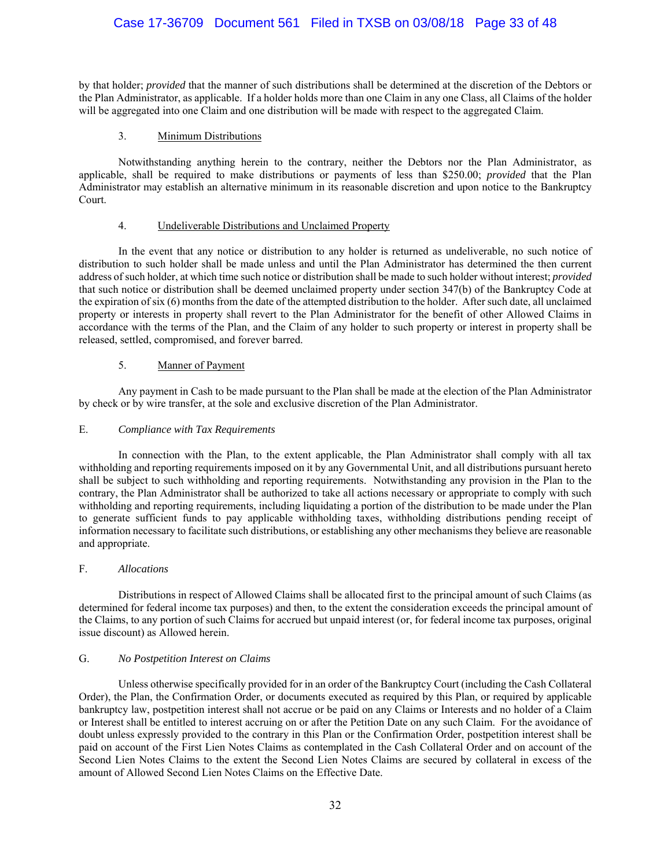## Case 17-36709 Document 561 Filed in TXSB on 03/08/18 Page 33 of 48

by that holder; *provided* that the manner of such distributions shall be determined at the discretion of the Debtors or the Plan Administrator, as applicable. If a holder holds more than one Claim in any one Class, all Claims of the holder will be aggregated into one Claim and one distribution will be made with respect to the aggregated Claim.

### 3. Minimum Distributions

Notwithstanding anything herein to the contrary, neither the Debtors nor the Plan Administrator, as applicable, shall be required to make distributions or payments of less than \$250.00; *provided* that the Plan Administrator may establish an alternative minimum in its reasonable discretion and upon notice to the Bankruptcy Court.

#### 4. Undeliverable Distributions and Unclaimed Property

In the event that any notice or distribution to any holder is returned as undeliverable, no such notice of distribution to such holder shall be made unless and until the Plan Administrator has determined the then current address of such holder, at which time such notice or distribution shall be made to such holder without interest; *provided* that such notice or distribution shall be deemed unclaimed property under section 347(b) of the Bankruptcy Code at the expiration of six (6) months from the date of the attempted distribution to the holder. After such date, all unclaimed property or interests in property shall revert to the Plan Administrator for the benefit of other Allowed Claims in accordance with the terms of the Plan, and the Claim of any holder to such property or interest in property shall be released, settled, compromised, and forever barred.

### 5. Manner of Payment

Any payment in Cash to be made pursuant to the Plan shall be made at the election of the Plan Administrator by check or by wire transfer, at the sole and exclusive discretion of the Plan Administrator.

#### E. *Compliance with Tax Requirements*

In connection with the Plan, to the extent applicable, the Plan Administrator shall comply with all tax withholding and reporting requirements imposed on it by any Governmental Unit, and all distributions pursuant hereto shall be subject to such withholding and reporting requirements. Notwithstanding any provision in the Plan to the contrary, the Plan Administrator shall be authorized to take all actions necessary or appropriate to comply with such withholding and reporting requirements, including liquidating a portion of the distribution to be made under the Plan to generate sufficient funds to pay applicable withholding taxes, withholding distributions pending receipt of information necessary to facilitate such distributions, or establishing any other mechanisms they believe are reasonable and appropriate.

#### F. *Allocations*

Distributions in respect of Allowed Claims shall be allocated first to the principal amount of such Claims (as determined for federal income tax purposes) and then, to the extent the consideration exceeds the principal amount of the Claims, to any portion of such Claims for accrued but unpaid interest (or, for federal income tax purposes, original issue discount) as Allowed herein.

#### G. *No Postpetition Interest on Claims*

Unless otherwise specifically provided for in an order of the Bankruptcy Court (including the Cash Collateral Order), the Plan, the Confirmation Order, or documents executed as required by this Plan, or required by applicable bankruptcy law, postpetition interest shall not accrue or be paid on any Claims or Interests and no holder of a Claim or Interest shall be entitled to interest accruing on or after the Petition Date on any such Claim. For the avoidance of doubt unless expressly provided to the contrary in this Plan or the Confirmation Order, postpetition interest shall be paid on account of the First Lien Notes Claims as contemplated in the Cash Collateral Order and on account of the Second Lien Notes Claims to the extent the Second Lien Notes Claims are secured by collateral in excess of the amount of Allowed Second Lien Notes Claims on the Effective Date.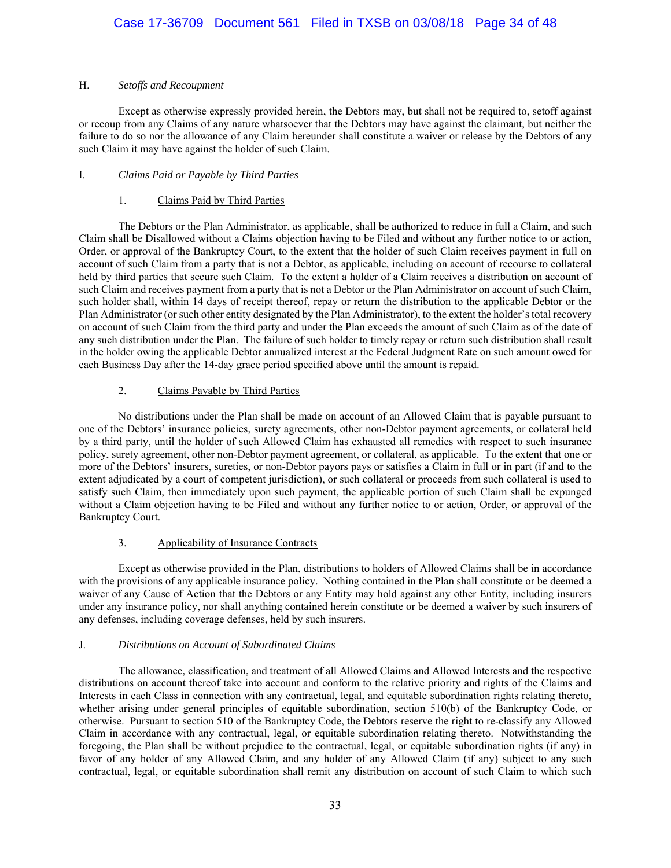### H. *Setoffs and Recoupment*

Except as otherwise expressly provided herein, the Debtors may, but shall not be required to, setoff against or recoup from any Claims of any nature whatsoever that the Debtors may have against the claimant, but neither the failure to do so nor the allowance of any Claim hereunder shall constitute a waiver or release by the Debtors of any such Claim it may have against the holder of such Claim.

## I. *Claims Paid or Payable by Third Parties*

## 1. Claims Paid by Third Parties

The Debtors or the Plan Administrator, as applicable, shall be authorized to reduce in full a Claim, and such Claim shall be Disallowed without a Claims objection having to be Filed and without any further notice to or action, Order, or approval of the Bankruptcy Court, to the extent that the holder of such Claim receives payment in full on account of such Claim from a party that is not a Debtor, as applicable, including on account of recourse to collateral held by third parties that secure such Claim. To the extent a holder of a Claim receives a distribution on account of such Claim and receives payment from a party that is not a Debtor or the Plan Administrator on account of such Claim, such holder shall, within 14 days of receipt thereof, repay or return the distribution to the applicable Debtor or the Plan Administrator (or such other entity designated by the Plan Administrator), to the extent the holder's total recovery on account of such Claim from the third party and under the Plan exceeds the amount of such Claim as of the date of any such distribution under the Plan. The failure of such holder to timely repay or return such distribution shall result in the holder owing the applicable Debtor annualized interest at the Federal Judgment Rate on such amount owed for each Business Day after the 14-day grace period specified above until the amount is repaid.

## 2. Claims Payable by Third Parties

No distributions under the Plan shall be made on account of an Allowed Claim that is payable pursuant to one of the Debtors' insurance policies, surety agreements, other non-Debtor payment agreements, or collateral held by a third party, until the holder of such Allowed Claim has exhausted all remedies with respect to such insurance policy, surety agreement, other non-Debtor payment agreement, or collateral, as applicable. To the extent that one or more of the Debtors' insurers, sureties, or non-Debtor payors pays or satisfies a Claim in full or in part (if and to the extent adjudicated by a court of competent jurisdiction), or such collateral or proceeds from such collateral is used to satisfy such Claim, then immediately upon such payment, the applicable portion of such Claim shall be expunged without a Claim objection having to be Filed and without any further notice to or action, Order, or approval of the Bankruptcy Court.

### 3. Applicability of Insurance Contracts

Except as otherwise provided in the Plan, distributions to holders of Allowed Claims shall be in accordance with the provisions of any applicable insurance policy. Nothing contained in the Plan shall constitute or be deemed a waiver of any Cause of Action that the Debtors or any Entity may hold against any other Entity, including insurers under any insurance policy, nor shall anything contained herein constitute or be deemed a waiver by such insurers of any defenses, including coverage defenses, held by such insurers.

### J. *Distributions on Account of Subordinated Claims*

The allowance, classification, and treatment of all Allowed Claims and Allowed Interests and the respective distributions on account thereof take into account and conform to the relative priority and rights of the Claims and Interests in each Class in connection with any contractual, legal, and equitable subordination rights relating thereto, whether arising under general principles of equitable subordination, section 510(b) of the Bankruptcy Code, or otherwise. Pursuant to section 510 of the Bankruptcy Code, the Debtors reserve the right to re-classify any Allowed Claim in accordance with any contractual, legal, or equitable subordination relating thereto. Notwithstanding the foregoing, the Plan shall be without prejudice to the contractual, legal, or equitable subordination rights (if any) in favor of any holder of any Allowed Claim, and any holder of any Allowed Claim (if any) subject to any such contractual, legal, or equitable subordination shall remit any distribution on account of such Claim to which such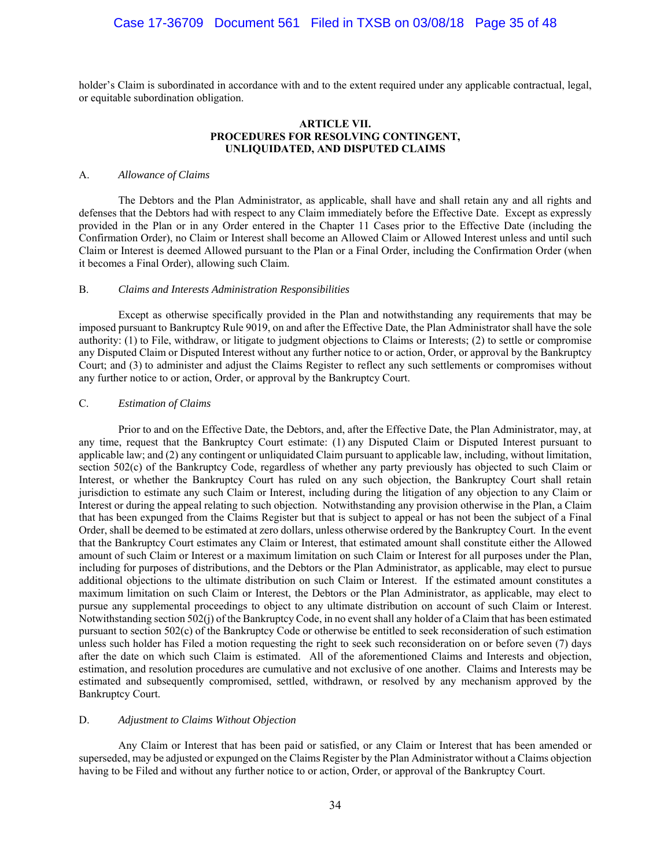holder's Claim is subordinated in accordance with and to the extent required under any applicable contractual, legal, or equitable subordination obligation.

#### **ARTICLE VII. PROCEDURES FOR RESOLVING CONTINGENT, UNLIQUIDATED, AND DISPUTED CLAIMS**

#### A. *Allowance of Claims*

The Debtors and the Plan Administrator, as applicable, shall have and shall retain any and all rights and defenses that the Debtors had with respect to any Claim immediately before the Effective Date. Except as expressly provided in the Plan or in any Order entered in the Chapter 11 Cases prior to the Effective Date (including the Confirmation Order), no Claim or Interest shall become an Allowed Claim or Allowed Interest unless and until such Claim or Interest is deemed Allowed pursuant to the Plan or a Final Order, including the Confirmation Order (when it becomes a Final Order), allowing such Claim.

#### B. *Claims and Interests Administration Responsibilities*

Except as otherwise specifically provided in the Plan and notwithstanding any requirements that may be imposed pursuant to Bankruptcy Rule 9019, on and after the Effective Date, the Plan Administrator shall have the sole authority: (1) to File, withdraw, or litigate to judgment objections to Claims or Interests; (2) to settle or compromise any Disputed Claim or Disputed Interest without any further notice to or action, Order, or approval by the Bankruptcy Court; and (3) to administer and adjust the Claims Register to reflect any such settlements or compromises without any further notice to or action, Order, or approval by the Bankruptcy Court.

#### C. *Estimation of Claims*

Prior to and on the Effective Date, the Debtors, and, after the Effective Date, the Plan Administrator, may, at any time, request that the Bankruptcy Court estimate: (1) any Disputed Claim or Disputed Interest pursuant to applicable law; and (2) any contingent or unliquidated Claim pursuant to applicable law, including, without limitation, section 502(c) of the Bankruptcy Code, regardless of whether any party previously has objected to such Claim or Interest, or whether the Bankruptcy Court has ruled on any such objection, the Bankruptcy Court shall retain jurisdiction to estimate any such Claim or Interest, including during the litigation of any objection to any Claim or Interest or during the appeal relating to such objection. Notwithstanding any provision otherwise in the Plan, a Claim that has been expunged from the Claims Register but that is subject to appeal or has not been the subject of a Final Order, shall be deemed to be estimated at zero dollars, unless otherwise ordered by the Bankruptcy Court. In the event that the Bankruptcy Court estimates any Claim or Interest, that estimated amount shall constitute either the Allowed amount of such Claim or Interest or a maximum limitation on such Claim or Interest for all purposes under the Plan, including for purposes of distributions, and the Debtors or the Plan Administrator, as applicable, may elect to pursue additional objections to the ultimate distribution on such Claim or Interest. If the estimated amount constitutes a maximum limitation on such Claim or Interest, the Debtors or the Plan Administrator, as applicable, may elect to pursue any supplemental proceedings to object to any ultimate distribution on account of such Claim or Interest. Notwithstanding section 502(j) of the Bankruptcy Code, in no event shall any holder of a Claim that has been estimated pursuant to section 502(c) of the Bankruptcy Code or otherwise be entitled to seek reconsideration of such estimation unless such holder has Filed a motion requesting the right to seek such reconsideration on or before seven (7) days after the date on which such Claim is estimated. All of the aforementioned Claims and Interests and objection, estimation, and resolution procedures are cumulative and not exclusive of one another. Claims and Interests may be estimated and subsequently compromised, settled, withdrawn, or resolved by any mechanism approved by the Bankruptcy Court.

#### D. *Adjustment to Claims Without Objection*

Any Claim or Interest that has been paid or satisfied, or any Claim or Interest that has been amended or superseded, may be adjusted or expunged on the Claims Register by the Plan Administrator without a Claims objection having to be Filed and without any further notice to or action, Order, or approval of the Bankruptcy Court.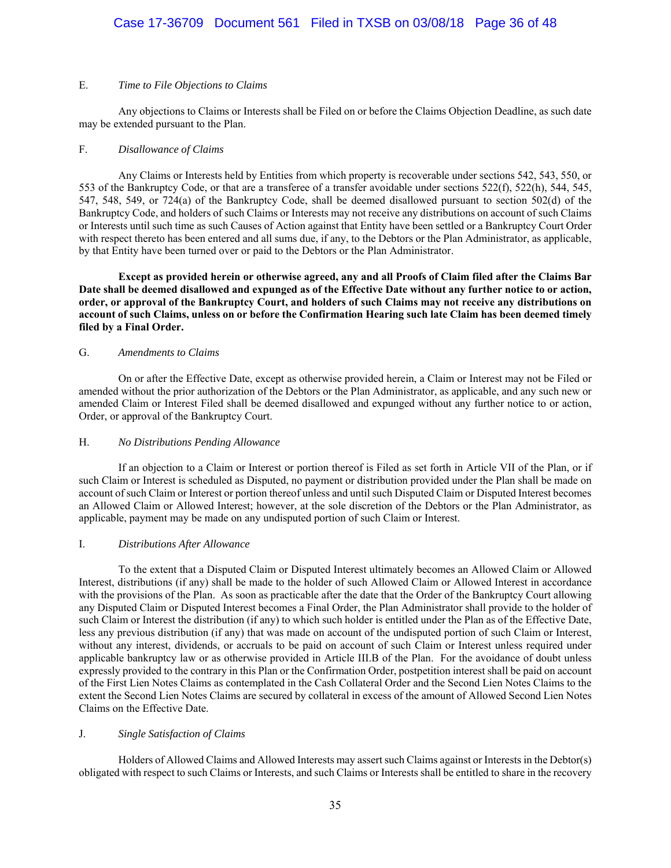## Case 17-36709 Document 561 Filed in TXSB on 03/08/18 Page 36 of 48

#### E. *Time to File Objections to Claims*

Any objections to Claims or Interests shall be Filed on or before the Claims Objection Deadline, as such date may be extended pursuant to the Plan.

#### F. *Disallowance of Claims*

Any Claims or Interests held by Entities from which property is recoverable under sections 542, 543, 550, or 553 of the Bankruptcy Code, or that are a transferee of a transfer avoidable under sections 522(f), 522(h), 544, 545, 547, 548, 549, or 724(a) of the Bankruptcy Code, shall be deemed disallowed pursuant to section 502(d) of the Bankruptcy Code, and holders of such Claims or Interests may not receive any distributions on account of such Claims or Interests until such time as such Causes of Action against that Entity have been settled or a Bankruptcy Court Order with respect thereto has been entered and all sums due, if any, to the Debtors or the Plan Administrator, as applicable, by that Entity have been turned over or paid to the Debtors or the Plan Administrator.

**Except as provided herein or otherwise agreed, any and all Proofs of Claim filed after the Claims Bar Date shall be deemed disallowed and expunged as of the Effective Date without any further notice to or action, order, or approval of the Bankruptcy Court, and holders of such Claims may not receive any distributions on account of such Claims, unless on or before the Confirmation Hearing such late Claim has been deemed timely filed by a Final Order.**

#### G. *Amendments to Claims*

On or after the Effective Date, except as otherwise provided herein, a Claim or Interest may not be Filed or amended without the prior authorization of the Debtors or the Plan Administrator, as applicable, and any such new or amended Claim or Interest Filed shall be deemed disallowed and expunged without any further notice to or action, Order, or approval of the Bankruptcy Court.

#### H. *No Distributions Pending Allowance*

If an objection to a Claim or Interest or portion thereof is Filed as set forth in Article VII of the Plan, or if such Claim or Interest is scheduled as Disputed, no payment or distribution provided under the Plan shall be made on account of such Claim or Interest or portion thereof unless and until such Disputed Claim or Disputed Interest becomes an Allowed Claim or Allowed Interest; however, at the sole discretion of the Debtors or the Plan Administrator, as applicable, payment may be made on any undisputed portion of such Claim or Interest.

### I. *Distributions After Allowance*

To the extent that a Disputed Claim or Disputed Interest ultimately becomes an Allowed Claim or Allowed Interest, distributions (if any) shall be made to the holder of such Allowed Claim or Allowed Interest in accordance with the provisions of the Plan. As soon as practicable after the date that the Order of the Bankruptcy Court allowing any Disputed Claim or Disputed Interest becomes a Final Order, the Plan Administrator shall provide to the holder of such Claim or Interest the distribution (if any) to which such holder is entitled under the Plan as of the Effective Date, less any previous distribution (if any) that was made on account of the undisputed portion of such Claim or Interest, without any interest, dividends, or accruals to be paid on account of such Claim or Interest unless required under applicable bankruptcy law or as otherwise provided in Article III.B of the Plan. For the avoidance of doubt unless expressly provided to the contrary in this Plan or the Confirmation Order, postpetition interest shall be paid on account of the First Lien Notes Claims as contemplated in the Cash Collateral Order and the Second Lien Notes Claims to the extent the Second Lien Notes Claims are secured by collateral in excess of the amount of Allowed Second Lien Notes Claims on the Effective Date.

#### J. *Single Satisfaction of Claims*

Holders of Allowed Claims and Allowed Interests may assert such Claims against or Interests in the Debtor(s) obligated with respect to such Claims or Interests, and such Claims or Interests shall be entitled to share in the recovery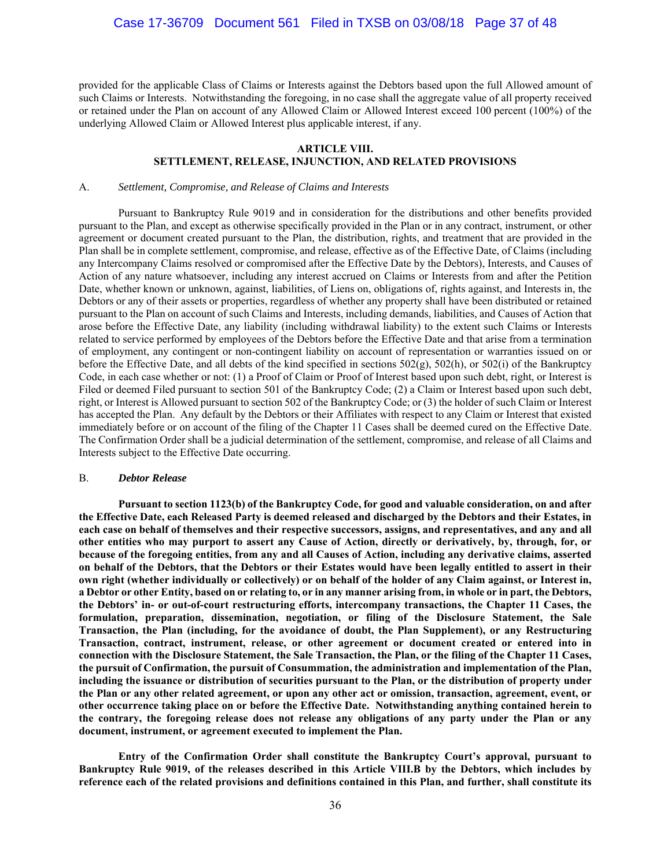provided for the applicable Class of Claims or Interests against the Debtors based upon the full Allowed amount of such Claims or Interests. Notwithstanding the foregoing, in no case shall the aggregate value of all property received or retained under the Plan on account of any Allowed Claim or Allowed Interest exceed 100 percent (100%) of the underlying Allowed Claim or Allowed Interest plus applicable interest, if any.

#### **ARTICLE VIII.**

#### **SETTLEMENT, RELEASE, INJUNCTION, AND RELATED PROVISIONS**

#### A. *Settlement, Compromise, and Release of Claims and Interests*

Pursuant to Bankruptcy Rule 9019 and in consideration for the distributions and other benefits provided pursuant to the Plan, and except as otherwise specifically provided in the Plan or in any contract, instrument, or other agreement or document created pursuant to the Plan, the distribution, rights, and treatment that are provided in the Plan shall be in complete settlement, compromise, and release, effective as of the Effective Date, of Claims (including any Intercompany Claims resolved or compromised after the Effective Date by the Debtors), Interests, and Causes of Action of any nature whatsoever, including any interest accrued on Claims or Interests from and after the Petition Date, whether known or unknown, against, liabilities, of Liens on, obligations of, rights against, and Interests in, the Debtors or any of their assets or properties, regardless of whether any property shall have been distributed or retained pursuant to the Plan on account of such Claims and Interests, including demands, liabilities, and Causes of Action that arose before the Effective Date, any liability (including withdrawal liability) to the extent such Claims or Interests related to service performed by employees of the Debtors before the Effective Date and that arise from a termination of employment, any contingent or non-contingent liability on account of representation or warranties issued on or before the Effective Date, and all debts of the kind specified in sections  $502(g)$ ,  $502(h)$ , or  $502(i)$  of the Bankruptcy Code, in each case whether or not: (1) a Proof of Claim or Proof of Interest based upon such debt, right, or Interest is Filed or deemed Filed pursuant to section 501 of the Bankruptcy Code; (2) a Claim or Interest based upon such debt, right, or Interest is Allowed pursuant to section 502 of the Bankruptcy Code; or (3) the holder of such Claim or Interest has accepted the Plan. Any default by the Debtors or their Affiliates with respect to any Claim or Interest that existed immediately before or on account of the filing of the Chapter 11 Cases shall be deemed cured on the Effective Date. The Confirmation Order shall be a judicial determination of the settlement, compromise, and release of all Claims and Interests subject to the Effective Date occurring.

#### B. *Debtor Release*

**Pursuant to section 1123(b) of the Bankruptcy Code, for good and valuable consideration, on and after the Effective Date, each Released Party is deemed released and discharged by the Debtors and their Estates, in each case on behalf of themselves and their respective successors, assigns, and representatives, and any and all other entities who may purport to assert any Cause of Action, directly or derivatively, by, through, for, or because of the foregoing entities, from any and all Causes of Action, including any derivative claims, asserted on behalf of the Debtors, that the Debtors or their Estates would have been legally entitled to assert in their own right (whether individually or collectively) or on behalf of the holder of any Claim against, or Interest in, a Debtor or other Entity, based on or relating to, or in any manner arising from, in whole or in part, the Debtors, the Debtors' in- or out-of-court restructuring efforts, intercompany transactions, the Chapter 11 Cases, the formulation, preparation, dissemination, negotiation, or filing of the Disclosure Statement, the Sale Transaction, the Plan (including, for the avoidance of doubt, the Plan Supplement), or any Restructuring Transaction, contract, instrument, release, or other agreement or document created or entered into in connection with the Disclosure Statement, the Sale Transaction, the Plan, or the filing of the Chapter 11 Cases, the pursuit of Confirmation, the pursuit of Consummation, the administration and implementation of the Plan, including the issuance or distribution of securities pursuant to the Plan, or the distribution of property under the Plan or any other related agreement, or upon any other act or omission, transaction, agreement, event, or other occurrence taking place on or before the Effective Date. Notwithstanding anything contained herein to the contrary, the foregoing release does not release any obligations of any party under the Plan or any document, instrument, or agreement executed to implement the Plan.** 

**Entry of the Confirmation Order shall constitute the Bankruptcy Court's approval, pursuant to Bankruptcy Rule 9019, of the releases described in this Article VIII.B by the Debtors, which includes by reference each of the related provisions and definitions contained in this Plan, and further, shall constitute its**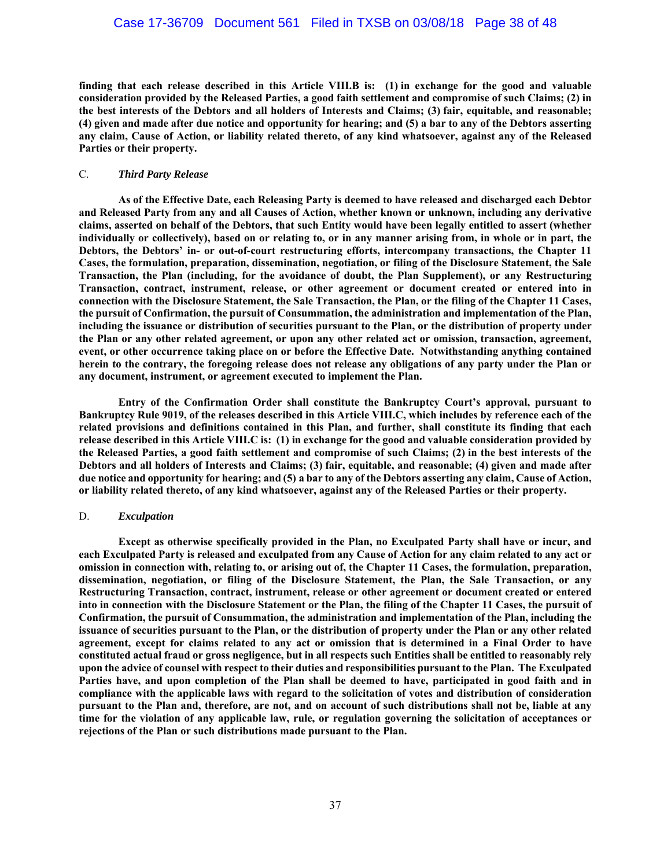## Case 17-36709 Document 561 Filed in TXSB on 03/08/18 Page 38 of 48

**finding that each release described in this Article VIII.B is: (1) in exchange for the good and valuable consideration provided by the Released Parties, a good faith settlement and compromise of such Claims; (2) in the best interests of the Debtors and all holders of Interests and Claims; (3) fair, equitable, and reasonable; (4) given and made after due notice and opportunity for hearing; and (5) a bar to any of the Debtors asserting any claim, Cause of Action, or liability related thereto, of any kind whatsoever, against any of the Released Parties or their property.** 

#### C. *Third Party Release*

**As of the Effective Date, each Releasing Party is deemed to have released and discharged each Debtor and Released Party from any and all Causes of Action, whether known or unknown, including any derivative claims, asserted on behalf of the Debtors, that such Entity would have been legally entitled to assert (whether individually or collectively), based on or relating to, or in any manner arising from, in whole or in part, the Debtors, the Debtors' in- or out-of-court restructuring efforts, intercompany transactions, the Chapter 11 Cases, the formulation, preparation, dissemination, negotiation, or filing of the Disclosure Statement, the Sale Transaction, the Plan (including, for the avoidance of doubt, the Plan Supplement), or any Restructuring Transaction, contract, instrument, release, or other agreement or document created or entered into in connection with the Disclosure Statement, the Sale Transaction, the Plan, or the filing of the Chapter 11 Cases, the pursuit of Confirmation, the pursuit of Consummation, the administration and implementation of the Plan, including the issuance or distribution of securities pursuant to the Plan, or the distribution of property under the Plan or any other related agreement, or upon any other related act or omission, transaction, agreement, event, or other occurrence taking place on or before the Effective Date. Notwithstanding anything contained herein to the contrary, the foregoing release does not release any obligations of any party under the Plan or any document, instrument, or agreement executed to implement the Plan.** 

**Entry of the Confirmation Order shall constitute the Bankruptcy Court's approval, pursuant to Bankruptcy Rule 9019, of the releases described in this Article VIII.C, which includes by reference each of the related provisions and definitions contained in this Plan, and further, shall constitute its finding that each release described in this Article VIII.C is: (1) in exchange for the good and valuable consideration provided by the Released Parties, a good faith settlement and compromise of such Claims; (2) in the best interests of the Debtors and all holders of Interests and Claims; (3) fair, equitable, and reasonable; (4) given and made after due notice and opportunity for hearing; and (5) a bar to any of the Debtors asserting any claim, Cause of Action, or liability related thereto, of any kind whatsoever, against any of the Released Parties or their property.** 

#### D. *Exculpation*

**Except as otherwise specifically provided in the Plan, no Exculpated Party shall have or incur, and each Exculpated Party is released and exculpated from any Cause of Action for any claim related to any act or omission in connection with, relating to, or arising out of, the Chapter 11 Cases, the formulation, preparation, dissemination, negotiation, or filing of the Disclosure Statement, the Plan, the Sale Transaction, or any Restructuring Transaction, contract, instrument, release or other agreement or document created or entered into in connection with the Disclosure Statement or the Plan, the filing of the Chapter 11 Cases, the pursuit of Confirmation, the pursuit of Consummation, the administration and implementation of the Plan, including the issuance of securities pursuant to the Plan, or the distribution of property under the Plan or any other related agreement, except for claims related to any act or omission that is determined in a Final Order to have constituted actual fraud or gross negligence, but in all respects such Entities shall be entitled to reasonably rely upon the advice of counsel with respect to their duties and responsibilities pursuant to the Plan. The Exculpated Parties have, and upon completion of the Plan shall be deemed to have, participated in good faith and in compliance with the applicable laws with regard to the solicitation of votes and distribution of consideration pursuant to the Plan and, therefore, are not, and on account of such distributions shall not be, liable at any time for the violation of any applicable law, rule, or regulation governing the solicitation of acceptances or rejections of the Plan or such distributions made pursuant to the Plan.**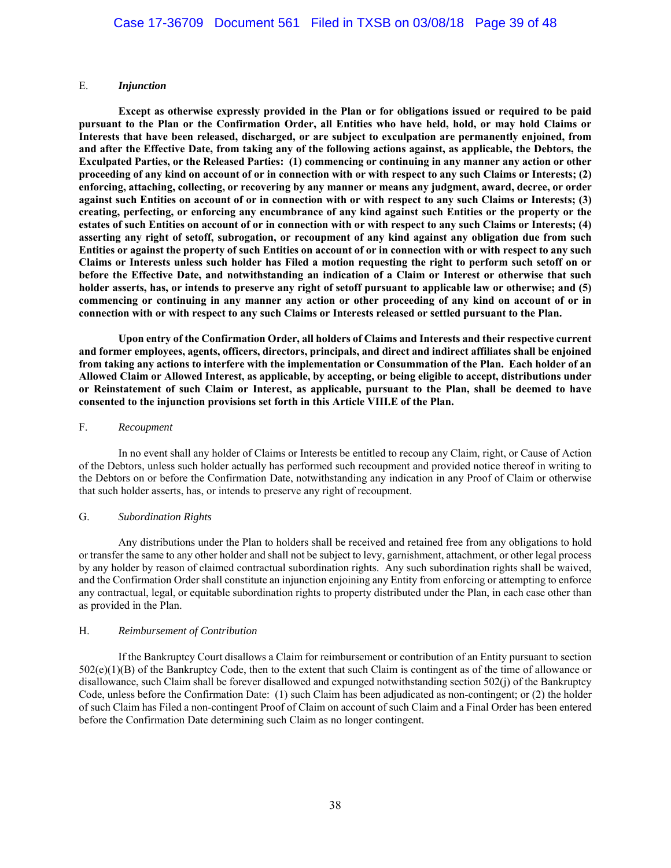### E. *Injunction*

**Except as otherwise expressly provided in the Plan or for obligations issued or required to be paid pursuant to the Plan or the Confirmation Order, all Entities who have held, hold, or may hold Claims or Interests that have been released, discharged, or are subject to exculpation are permanently enjoined, from and after the Effective Date, from taking any of the following actions against, as applicable, the Debtors, the Exculpated Parties, or the Released Parties: (1) commencing or continuing in any manner any action or other proceeding of any kind on account of or in connection with or with respect to any such Claims or Interests; (2) enforcing, attaching, collecting, or recovering by any manner or means any judgment, award, decree, or order against such Entities on account of or in connection with or with respect to any such Claims or Interests; (3) creating, perfecting, or enforcing any encumbrance of any kind against such Entities or the property or the estates of such Entities on account of or in connection with or with respect to any such Claims or Interests; (4) asserting any right of setoff, subrogation, or recoupment of any kind against any obligation due from such Entities or against the property of such Entities on account of or in connection with or with respect to any such Claims or Interests unless such holder has Filed a motion requesting the right to perform such setoff on or before the Effective Date, and notwithstanding an indication of a Claim or Interest or otherwise that such holder asserts, has, or intends to preserve any right of setoff pursuant to applicable law or otherwise; and (5) commencing or continuing in any manner any action or other proceeding of any kind on account of or in connection with or with respect to any such Claims or Interests released or settled pursuant to the Plan.** 

**Upon entry of the Confirmation Order, all holders of Claims and Interests and their respective current and former employees, agents, officers, directors, principals, and direct and indirect affiliates shall be enjoined from taking any actions to interfere with the implementation or Consummation of the Plan. Each holder of an Allowed Claim or Allowed Interest, as applicable, by accepting, or being eligible to accept, distributions under or Reinstatement of such Claim or Interest, as applicable, pursuant to the Plan, shall be deemed to have consented to the injunction provisions set forth in this Article VIII.E of the Plan.** 

#### F. *Recoupment*

In no event shall any holder of Claims or Interests be entitled to recoup any Claim, right, or Cause of Action of the Debtors, unless such holder actually has performed such recoupment and provided notice thereof in writing to the Debtors on or before the Confirmation Date, notwithstanding any indication in any Proof of Claim or otherwise that such holder asserts, has, or intends to preserve any right of recoupment.

#### G. *Subordination Rights*

Any distributions under the Plan to holders shall be received and retained free from any obligations to hold or transfer the same to any other holder and shall not be subject to levy, garnishment, attachment, or other legal process by any holder by reason of claimed contractual subordination rights. Any such subordination rights shall be waived, and the Confirmation Order shall constitute an injunction enjoining any Entity from enforcing or attempting to enforce any contractual, legal, or equitable subordination rights to property distributed under the Plan, in each case other than as provided in the Plan.

#### H. *Reimbursement of Contribution*

If the Bankruptcy Court disallows a Claim for reimbursement or contribution of an Entity pursuant to section  $502(e)(1)(B)$  of the Bankruptcy Code, then to the extent that such Claim is contingent as of the time of allowance or disallowance, such Claim shall be forever disallowed and expunged notwithstanding section 502(j) of the Bankruptcy Code, unless before the Confirmation Date: (1) such Claim has been adjudicated as non-contingent; or (2) the holder of such Claim has Filed a non-contingent Proof of Claim on account of such Claim and a Final Order has been entered before the Confirmation Date determining such Claim as no longer contingent.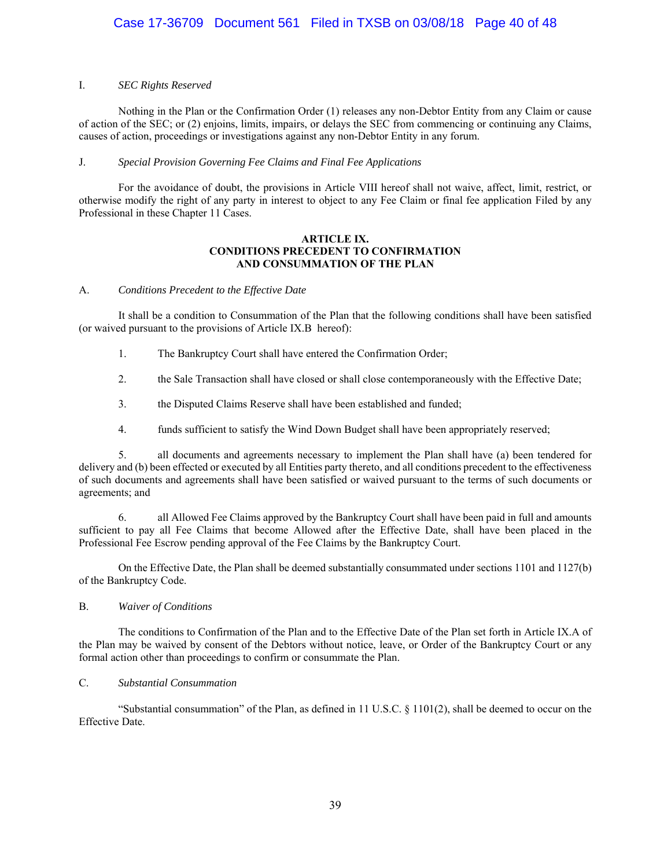### I. *SEC Rights Reserved*

 Nothing in the Plan or the Confirmation Order (1) releases any non-Debtor Entity from any Claim or cause of action of the SEC; or (2) enjoins, limits, impairs, or delays the SEC from commencing or continuing any Claims, causes of action, proceedings or investigations against any non-Debtor Entity in any forum.

### J. *Special Provision Governing Fee Claims and Final Fee Applications*

For the avoidance of doubt, the provisions in Article VIII hereof shall not waive, affect, limit, restrict, or otherwise modify the right of any party in interest to object to any Fee Claim or final fee application Filed by any Professional in these Chapter 11 Cases.

### **ARTICLE IX. CONDITIONS PRECEDENT TO CONFIRMATION AND CONSUMMATION OF THE PLAN**

## A. *Conditions Precedent to the Effective Date*

It shall be a condition to Consummation of the Plan that the following conditions shall have been satisfied (or waived pursuant to the provisions of Article IX.B hereof):

- 1. The Bankruptcy Court shall have entered the Confirmation Order;
- 2. the Sale Transaction shall have closed or shall close contemporaneously with the Effective Date;
- 3. the Disputed Claims Reserve shall have been established and funded;
- 4. funds sufficient to satisfy the Wind Down Budget shall have been appropriately reserved;

5. all documents and agreements necessary to implement the Plan shall have (a) been tendered for delivery and (b) been effected or executed by all Entities party thereto, and all conditions precedent to the effectiveness of such documents and agreements shall have been satisfied or waived pursuant to the terms of such documents or agreements; and

6. all Allowed Fee Claims approved by the Bankruptcy Court shall have been paid in full and amounts sufficient to pay all Fee Claims that become Allowed after the Effective Date, shall have been placed in the Professional Fee Escrow pending approval of the Fee Claims by the Bankruptcy Court.

On the Effective Date, the Plan shall be deemed substantially consummated under sections 1101 and 1127(b) of the Bankruptcy Code.

#### B. *Waiver of Conditions*

The conditions to Confirmation of the Plan and to the Effective Date of the Plan set forth in Article IX.A of the Plan may be waived by consent of the Debtors without notice, leave, or Order of the Bankruptcy Court or any formal action other than proceedings to confirm or consummate the Plan.

### C. *Substantial Consummation*

"Substantial consummation" of the Plan, as defined in 11 U.S.C.  $\S$  1101(2), shall be deemed to occur on the Effective Date.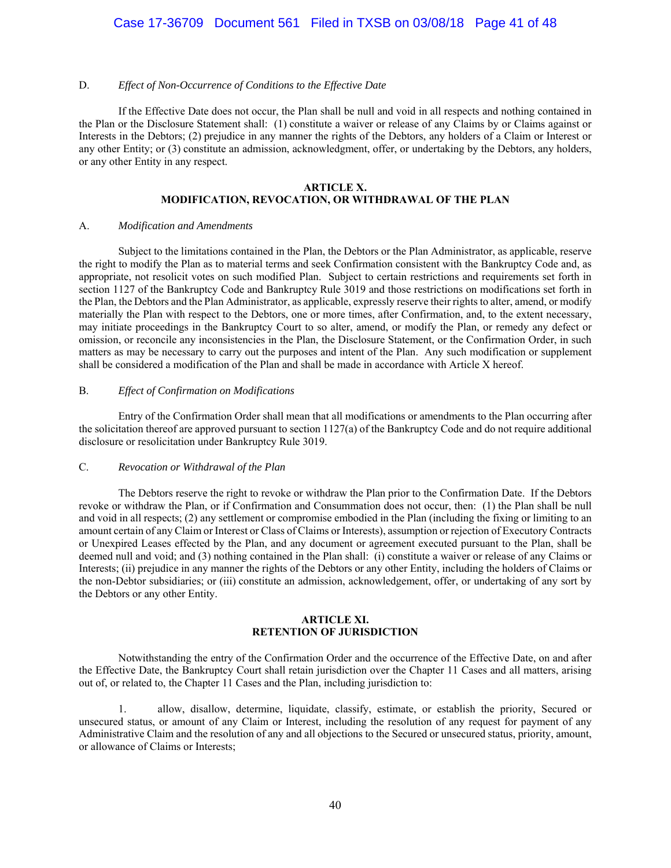## Case 17-36709 Document 561 Filed in TXSB on 03/08/18 Page 41 of 48

#### D. *Effect of Non-Occurrence of Conditions to the Effective Date*

If the Effective Date does not occur, the Plan shall be null and void in all respects and nothing contained in the Plan or the Disclosure Statement shall: (1) constitute a waiver or release of any Claims by or Claims against or Interests in the Debtors; (2) prejudice in any manner the rights of the Debtors, any holders of a Claim or Interest or any other Entity; or (3) constitute an admission, acknowledgment, offer, or undertaking by the Debtors, any holders, or any other Entity in any respect.

#### **ARTICLE X.**

## **MODIFICATION, REVOCATION, OR WITHDRAWAL OF THE PLAN**

#### A. *Modification and Amendments*

Subject to the limitations contained in the Plan, the Debtors or the Plan Administrator, as applicable, reserve the right to modify the Plan as to material terms and seek Confirmation consistent with the Bankruptcy Code and, as appropriate, not resolicit votes on such modified Plan. Subject to certain restrictions and requirements set forth in section 1127 of the Bankruptcy Code and Bankruptcy Rule 3019 and those restrictions on modifications set forth in the Plan, the Debtors and the Plan Administrator, as applicable, expressly reserve their rights to alter, amend, or modify materially the Plan with respect to the Debtors, one or more times, after Confirmation, and, to the extent necessary, may initiate proceedings in the Bankruptcy Court to so alter, amend, or modify the Plan, or remedy any defect or omission, or reconcile any inconsistencies in the Plan, the Disclosure Statement, or the Confirmation Order, in such matters as may be necessary to carry out the purposes and intent of the Plan. Any such modification or supplement shall be considered a modification of the Plan and shall be made in accordance with Article X hereof.

#### B. *Effect of Confirmation on Modifications*

Entry of the Confirmation Order shall mean that all modifications or amendments to the Plan occurring after the solicitation thereof are approved pursuant to section  $1127(a)$  of the Bankruptcy Code and do not require additional disclosure or resolicitation under Bankruptcy Rule 3019.

#### C. *Revocation or Withdrawal of the Plan*

The Debtors reserve the right to revoke or withdraw the Plan prior to the Confirmation Date. If the Debtors revoke or withdraw the Plan, or if Confirmation and Consummation does not occur, then: (1) the Plan shall be null and void in all respects; (2) any settlement or compromise embodied in the Plan (including the fixing or limiting to an amount certain of any Claim or Interest or Class of Claims or Interests), assumption or rejection of Executory Contracts or Unexpired Leases effected by the Plan, and any document or agreement executed pursuant to the Plan, shall be deemed null and void; and (3) nothing contained in the Plan shall: (i) constitute a waiver or release of any Claims or Interests; (ii) prejudice in any manner the rights of the Debtors or any other Entity, including the holders of Claims or the non-Debtor subsidiaries; or (iii) constitute an admission, acknowledgement, offer, or undertaking of any sort by the Debtors or any other Entity.

### **ARTICLE XI. RETENTION OF JURISDICTION**

Notwithstanding the entry of the Confirmation Order and the occurrence of the Effective Date, on and after the Effective Date, the Bankruptcy Court shall retain jurisdiction over the Chapter 11 Cases and all matters, arising out of, or related to, the Chapter 11 Cases and the Plan, including jurisdiction to:

1. allow, disallow, determine, liquidate, classify, estimate, or establish the priority, Secured or unsecured status, or amount of any Claim or Interest, including the resolution of any request for payment of any Administrative Claim and the resolution of any and all objections to the Secured or unsecured status, priority, amount, or allowance of Claims or Interests;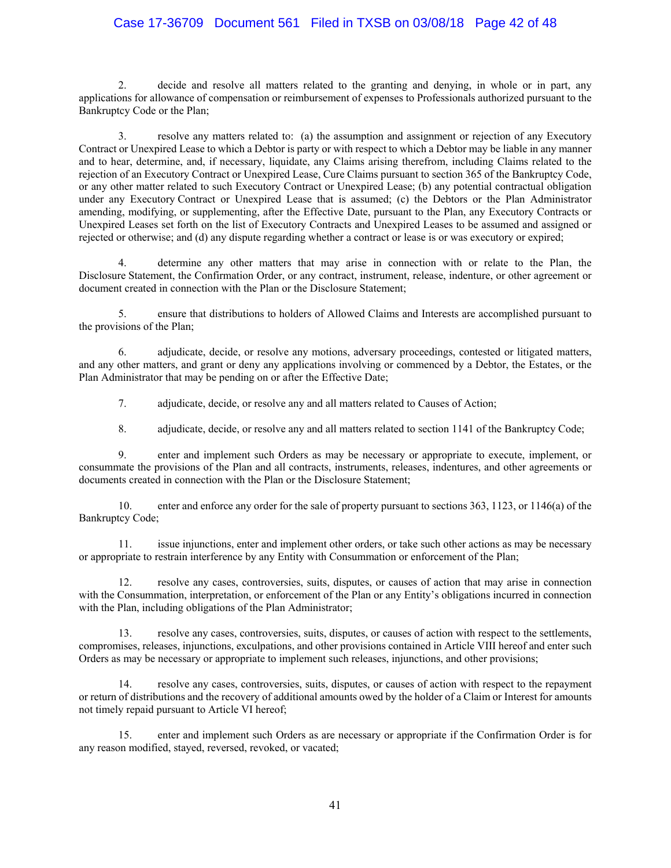## Case 17-36709 Document 561 Filed in TXSB on 03/08/18 Page 42 of 48

2. decide and resolve all matters related to the granting and denying, in whole or in part, any applications for allowance of compensation or reimbursement of expenses to Professionals authorized pursuant to the Bankruptcy Code or the Plan;

3. resolve any matters related to: (a) the assumption and assignment or rejection of any Executory Contract or Unexpired Lease to which a Debtor is party or with respect to which a Debtor may be liable in any manner and to hear, determine, and, if necessary, liquidate, any Claims arising therefrom, including Claims related to the rejection of an Executory Contract or Unexpired Lease, Cure Claims pursuant to section 365 of the Bankruptcy Code, or any other matter related to such Executory Contract or Unexpired Lease; (b) any potential contractual obligation under any Executory Contract or Unexpired Lease that is assumed; (c) the Debtors or the Plan Administrator amending, modifying, or supplementing, after the Effective Date, pursuant to the Plan, any Executory Contracts or Unexpired Leases set forth on the list of Executory Contracts and Unexpired Leases to be assumed and assigned or rejected or otherwise; and (d) any dispute regarding whether a contract or lease is or was executory or expired;

4. determine any other matters that may arise in connection with or relate to the Plan, the Disclosure Statement, the Confirmation Order, or any contract, instrument, release, indenture, or other agreement or document created in connection with the Plan or the Disclosure Statement;

5. ensure that distributions to holders of Allowed Claims and Interests are accomplished pursuant to the provisions of the Plan;

6. adjudicate, decide, or resolve any motions, adversary proceedings, contested or litigated matters, and any other matters, and grant or deny any applications involving or commenced by a Debtor, the Estates, or the Plan Administrator that may be pending on or after the Effective Date;

7. adjudicate, decide, or resolve any and all matters related to Causes of Action;

8. adjudicate, decide, or resolve any and all matters related to section 1141 of the Bankruptcy Code;

9. enter and implement such Orders as may be necessary or appropriate to execute, implement, or consummate the provisions of the Plan and all contracts, instruments, releases, indentures, and other agreements or documents created in connection with the Plan or the Disclosure Statement;

10. enter and enforce any order for the sale of property pursuant to sections 363, 1123, or 1146(a) of the Bankruptcy Code;

11. issue injunctions, enter and implement other orders, or take such other actions as may be necessary or appropriate to restrain interference by any Entity with Consummation or enforcement of the Plan;

12. resolve any cases, controversies, suits, disputes, or causes of action that may arise in connection with the Consummation, interpretation, or enforcement of the Plan or any Entity's obligations incurred in connection with the Plan, including obligations of the Plan Administrator;

13. resolve any cases, controversies, suits, disputes, or causes of action with respect to the settlements, compromises, releases, injunctions, exculpations, and other provisions contained in Article VIII hereof and enter such Orders as may be necessary or appropriate to implement such releases, injunctions, and other provisions;

14. resolve any cases, controversies, suits, disputes, or causes of action with respect to the repayment or return of distributions and the recovery of additional amounts owed by the holder of a Claim or Interest for amounts not timely repaid pursuant to Article VI hereof;

15. enter and implement such Orders as are necessary or appropriate if the Confirmation Order is for any reason modified, stayed, reversed, revoked, or vacated;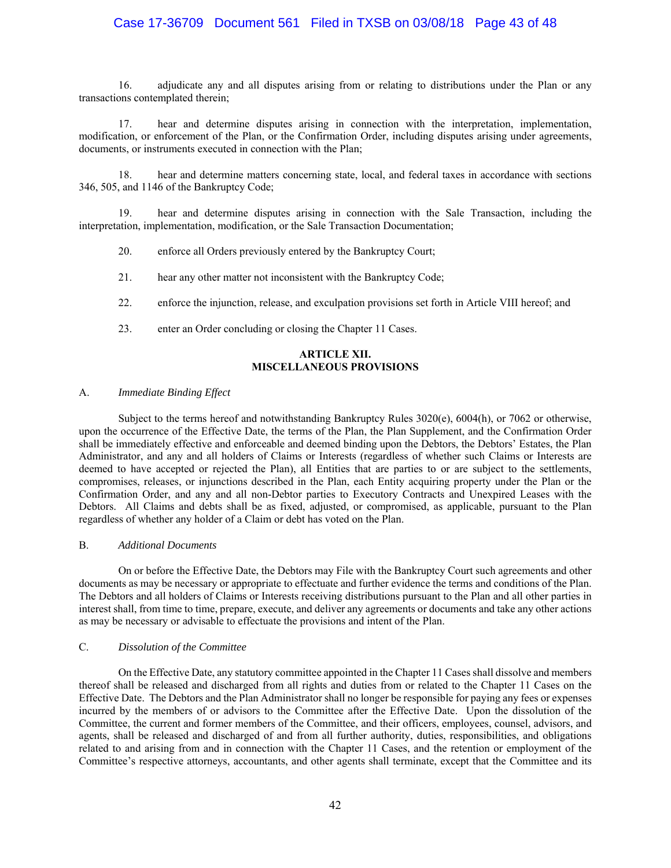## Case 17-36709 Document 561 Filed in TXSB on 03/08/18 Page 43 of 48

16. adjudicate any and all disputes arising from or relating to distributions under the Plan or any transactions contemplated therein;

17. hear and determine disputes arising in connection with the interpretation, implementation, modification, or enforcement of the Plan, or the Confirmation Order, including disputes arising under agreements, documents, or instruments executed in connection with the Plan;

18. hear and determine matters concerning state, local, and federal taxes in accordance with sections 346, 505, and 1146 of the Bankruptcy Code;

19. hear and determine disputes arising in connection with the Sale Transaction, including the interpretation, implementation, modification, or the Sale Transaction Documentation;

- 20. enforce all Orders previously entered by the Bankruptcy Court;
- 21. hear any other matter not inconsistent with the Bankruptcy Code;
- 22. enforce the injunction, release, and exculpation provisions set forth in Article VIII hereof; and
- 23. enter an Order concluding or closing the Chapter 11 Cases.

#### **ARTICLE XII. MISCELLANEOUS PROVISIONS**

#### A. *Immediate Binding Effect*

Subject to the terms hereof and notwithstanding Bankruptcy Rules 3020(e), 6004(h), or 7062 or otherwise, upon the occurrence of the Effective Date, the terms of the Plan, the Plan Supplement, and the Confirmation Order shall be immediately effective and enforceable and deemed binding upon the Debtors, the Debtors' Estates, the Plan Administrator, and any and all holders of Claims or Interests (regardless of whether such Claims or Interests are deemed to have accepted or rejected the Plan), all Entities that are parties to or are subject to the settlements, compromises, releases, or injunctions described in the Plan, each Entity acquiring property under the Plan or the Confirmation Order, and any and all non-Debtor parties to Executory Contracts and Unexpired Leases with the Debtors. All Claims and debts shall be as fixed, adjusted, or compromised, as applicable, pursuant to the Plan regardless of whether any holder of a Claim or debt has voted on the Plan.

#### B. *Additional Documents*

On or before the Effective Date, the Debtors may File with the Bankruptcy Court such agreements and other documents as may be necessary or appropriate to effectuate and further evidence the terms and conditions of the Plan. The Debtors and all holders of Claims or Interests receiving distributions pursuant to the Plan and all other parties in interest shall, from time to time, prepare, execute, and deliver any agreements or documents and take any other actions as may be necessary or advisable to effectuate the provisions and intent of the Plan.

#### C. *Dissolution of the Committee*

On the Effective Date, any statutory committee appointed in the Chapter 11 Cases shall dissolve and members thereof shall be released and discharged from all rights and duties from or related to the Chapter 11 Cases on the Effective Date. The Debtors and the Plan Administrator shall no longer be responsible for paying any fees or expenses incurred by the members of or advisors to the Committee after the Effective Date. Upon the dissolution of the Committee, the current and former members of the Committee, and their officers, employees, counsel, advisors, and agents, shall be released and discharged of and from all further authority, duties, responsibilities, and obligations related to and arising from and in connection with the Chapter 11 Cases, and the retention or employment of the Committee's respective attorneys, accountants, and other agents shall terminate, except that the Committee and its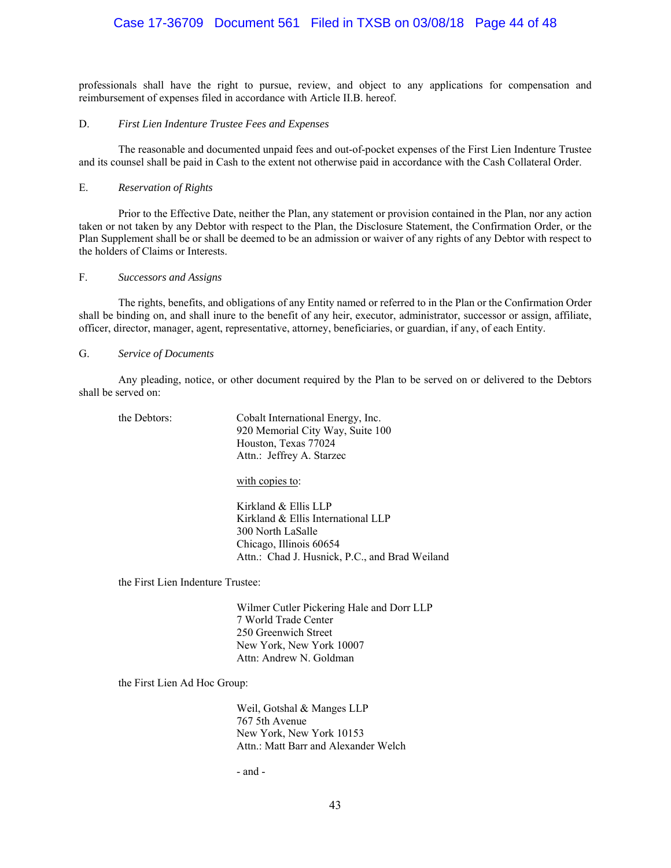## Case 17-36709 Document 561 Filed in TXSB on 03/08/18 Page 44 of 48

professionals shall have the right to pursue, review, and object to any applications for compensation and reimbursement of expenses filed in accordance with Article II.B. hereof.

#### D. *First Lien Indenture Trustee Fees and Expenses*

 The reasonable and documented unpaid fees and out-of-pocket expenses of the First Lien Indenture Trustee and its counsel shall be paid in Cash to the extent not otherwise paid in accordance with the Cash Collateral Order.

#### E. *Reservation of Rights*

Prior to the Effective Date, neither the Plan, any statement or provision contained in the Plan, nor any action taken or not taken by any Debtor with respect to the Plan, the Disclosure Statement, the Confirmation Order, or the Plan Supplement shall be or shall be deemed to be an admission or waiver of any rights of any Debtor with respect to the holders of Claims or Interests.

## F. *Successors and Assigns*

The rights, benefits, and obligations of any Entity named or referred to in the Plan or the Confirmation Order shall be binding on, and shall inure to the benefit of any heir, executor, administrator, successor or assign, affiliate, officer, director, manager, agent, representative, attorney, beneficiaries, or guardian, if any, of each Entity.

#### G. *Service of Documents*

Any pleading, notice, or other document required by the Plan to be served on or delivered to the Debtors shall be served on:

| the Debtors: | Cobalt International Energy, Inc.<br>920 Memorial City Way, Suite 100<br>Houston, Texas 77024<br>Attn.: Jeffrey A. Starzec                                   |
|--------------|--------------------------------------------------------------------------------------------------------------------------------------------------------------|
|              | with copies to:                                                                                                                                              |
|              | Kirkland & Ellis LLP<br>Kirkland & Ellis International LLP<br>300 North LaSalle<br>Chicago, Illinois 60654<br>Attn.: Chad J. Husnick, P.C., and Brad Weiland |

the First Lien Indenture Trustee:

 Wilmer Cutler Pickering Hale and Dorr LLP 7 World Trade Center 250 Greenwich Street New York, New York 10007 Attn: Andrew N. Goldman

the First Lien Ad Hoc Group:

 Weil, Gotshal & Manges LLP 767 5th Avenue New York, New York 10153 Attn.: Matt Barr and Alexander Welch

- and -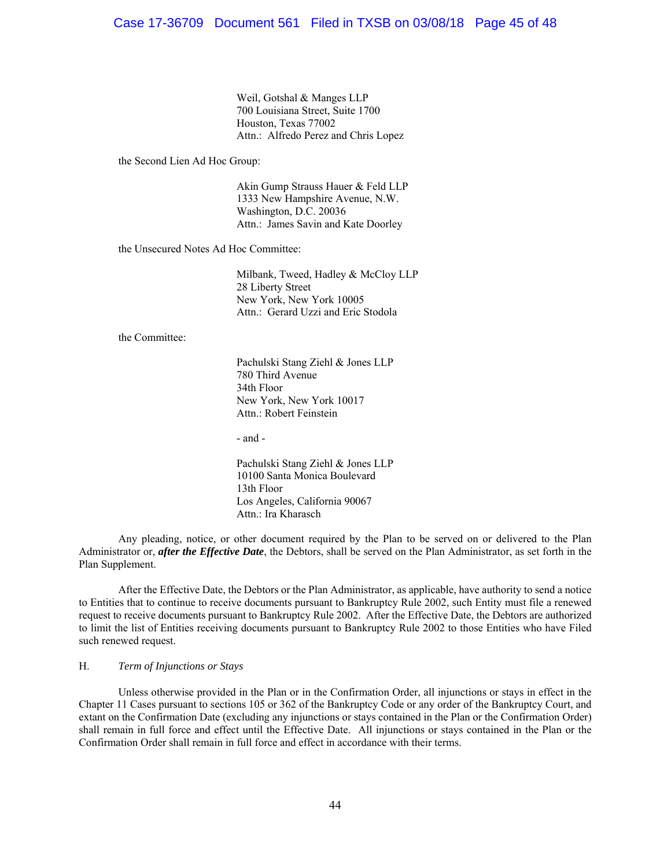Weil, Gotshal & Manges LLP 700 Louisiana Street, Suite 1700 Houston, Texas 77002 Attn.: Alfredo Perez and Chris Lopez

the Second Lien Ad Hoc Group:

 Akin Gump Strauss Hauer & Feld LLP 1333 New Hampshire Avenue, N.W. Washington, D.C. 20036 Attn.: James Savin and Kate Doorley

the Unsecured Notes Ad Hoc Committee:

 Milbank, Tweed, Hadley & McCloy LLP 28 Liberty Street New York, New York 10005 Attn.: Gerard Uzzi and Eric Stodola

the Committee:

 Pachulski Stang Ziehl & Jones LLP 780 Third Avenue 34th Floor New York, New York 10017 Attn.: Robert Feinstein

- and -

 Pachulski Stang Ziehl & Jones LLP 10100 Santa Monica Boulevard 13th Floor Los Angeles, California 90067 Attn.: Ira Kharasch

Any pleading, notice, or other document required by the Plan to be served on or delivered to the Plan Administrator or, *after the Effective Date*, the Debtors, shall be served on the Plan Administrator, as set forth in the Plan Supplement.

After the Effective Date, the Debtors or the Plan Administrator, as applicable, have authority to send a notice to Entities that to continue to receive documents pursuant to Bankruptcy Rule 2002, such Entity must file a renewed request to receive documents pursuant to Bankruptcy Rule 2002. After the Effective Date, the Debtors are authorized to limit the list of Entities receiving documents pursuant to Bankruptcy Rule 2002 to those Entities who have Filed such renewed request.

#### H. *Term of Injunctions or Stays*

Unless otherwise provided in the Plan or in the Confirmation Order, all injunctions or stays in effect in the Chapter 11 Cases pursuant to sections 105 or 362 of the Bankruptcy Code or any order of the Bankruptcy Court, and extant on the Confirmation Date (excluding any injunctions or stays contained in the Plan or the Confirmation Order) shall remain in full force and effect until the Effective Date. All injunctions or stays contained in the Plan or the Confirmation Order shall remain in full force and effect in accordance with their terms.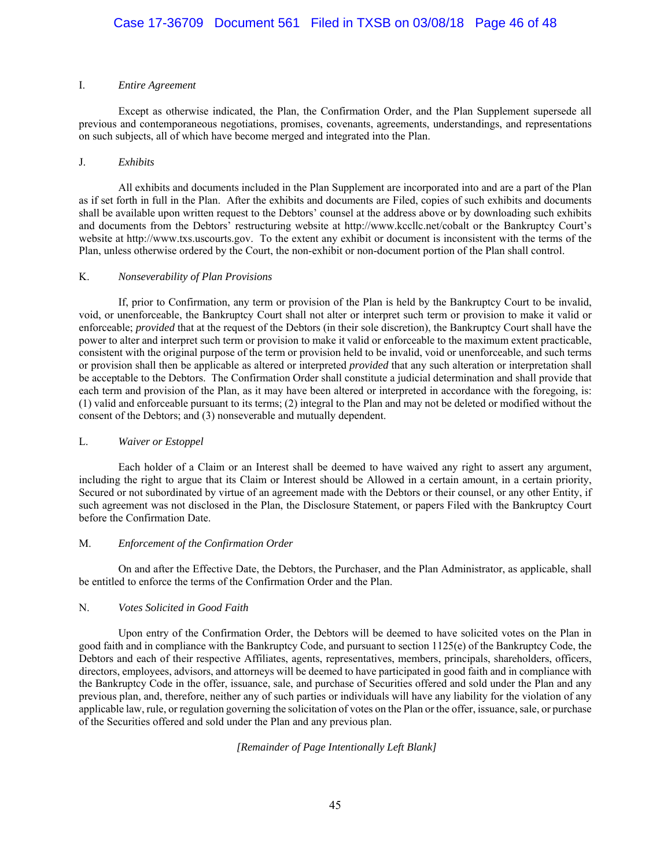### I. *Entire Agreement*

Except as otherwise indicated, the Plan, the Confirmation Order, and the Plan Supplement supersede all previous and contemporaneous negotiations, promises, covenants, agreements, understandings, and representations on such subjects, all of which have become merged and integrated into the Plan.

### J. *Exhibits*

All exhibits and documents included in the Plan Supplement are incorporated into and are a part of the Plan as if set forth in full in the Plan. After the exhibits and documents are Filed, copies of such exhibits and documents shall be available upon written request to the Debtors' counsel at the address above or by downloading such exhibits and documents from the Debtors' restructuring website at http://www.kccllc.net/cobalt or the Bankruptcy Court's website at http://www.txs.uscourts.gov. To the extent any exhibit or document is inconsistent with the terms of the Plan, unless otherwise ordered by the Court, the non-exhibit or non-document portion of the Plan shall control.

### K. *Nonseverability of Plan Provisions*

If, prior to Confirmation, any term or provision of the Plan is held by the Bankruptcy Court to be invalid, void, or unenforceable, the Bankruptcy Court shall not alter or interpret such term or provision to make it valid or enforceable; *provided* that at the request of the Debtors (in their sole discretion), the Bankruptcy Court shall have the power to alter and interpret such term or provision to make it valid or enforceable to the maximum extent practicable, consistent with the original purpose of the term or provision held to be invalid, void or unenforceable, and such terms or provision shall then be applicable as altered or interpreted *provided* that any such alteration or interpretation shall be acceptable to the Debtors. The Confirmation Order shall constitute a judicial determination and shall provide that each term and provision of the Plan, as it may have been altered or interpreted in accordance with the foregoing, is: (1) valid and enforceable pursuant to its terms; (2) integral to the Plan and may not be deleted or modified without the consent of the Debtors; and (3) nonseverable and mutually dependent.

### L. *Waiver or Estoppel*

Each holder of a Claim or an Interest shall be deemed to have waived any right to assert any argument, including the right to argue that its Claim or Interest should be Allowed in a certain amount, in a certain priority, Secured or not subordinated by virtue of an agreement made with the Debtors or their counsel, or any other Entity, if such agreement was not disclosed in the Plan, the Disclosure Statement, or papers Filed with the Bankruptcy Court before the Confirmation Date.

### M. *Enforcement of the Confirmation Order*

On and after the Effective Date, the Debtors, the Purchaser, and the Plan Administrator, as applicable, shall be entitled to enforce the terms of the Confirmation Order and the Plan.

### N. *Votes Solicited in Good Faith*

Upon entry of the Confirmation Order, the Debtors will be deemed to have solicited votes on the Plan in good faith and in compliance with the Bankruptcy Code, and pursuant to section 1125(e) of the Bankruptcy Code, the Debtors and each of their respective Affiliates, agents, representatives, members, principals, shareholders, officers, directors, employees, advisors, and attorneys will be deemed to have participated in good faith and in compliance with the Bankruptcy Code in the offer, issuance, sale, and purchase of Securities offered and sold under the Plan and any previous plan, and, therefore, neither any of such parties or individuals will have any liability for the violation of any applicable law, rule, or regulation governing the solicitation of votes on the Plan or the offer, issuance, sale, or purchase of the Securities offered and sold under the Plan and any previous plan.

## *[Remainder of Page Intentionally Left Blank]*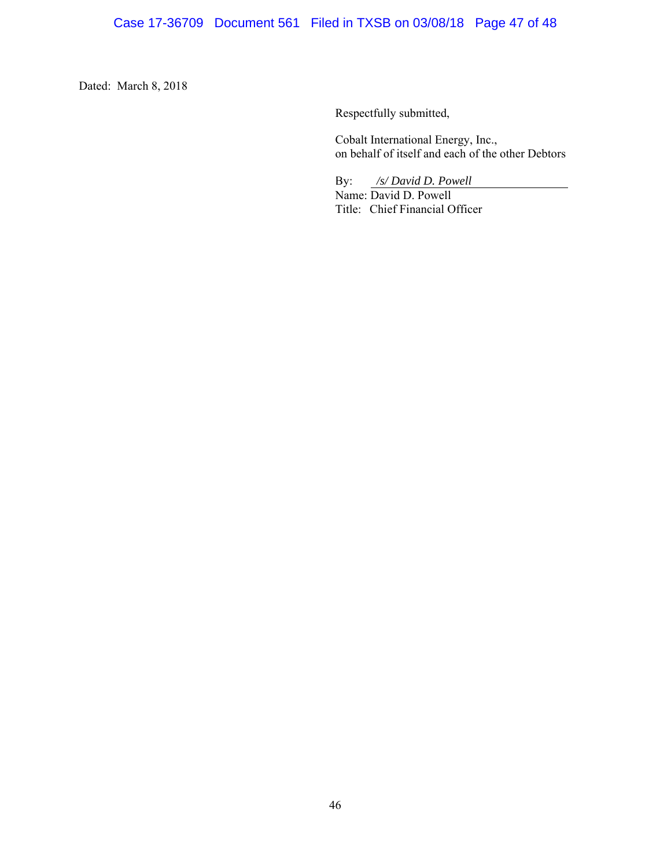Dated: March 8, 2018

Respectfully submitted,

Cobalt International Energy, Inc., on behalf of itself and each of the other Debtors

By: */s/ David D. Powell*

Name: David D. Powell Title: Chief Financial Officer